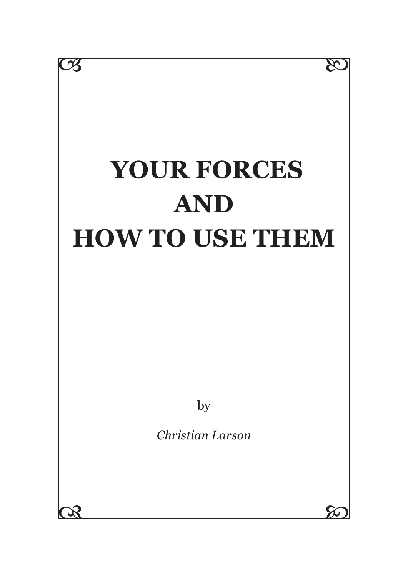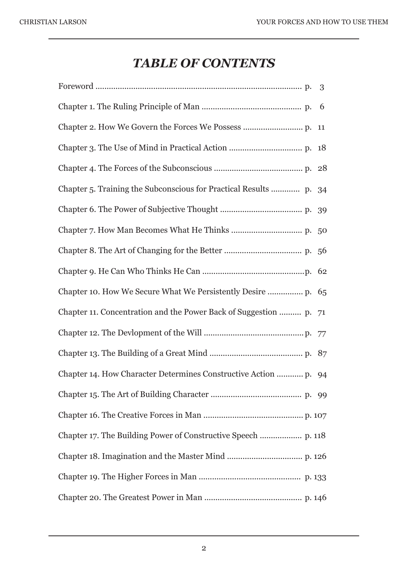# *TABLE OF CONTENTS*

|                                                                   | 6 |
|-------------------------------------------------------------------|---|
|                                                                   |   |
|                                                                   |   |
|                                                                   |   |
|                                                                   |   |
|                                                                   |   |
|                                                                   |   |
|                                                                   |   |
|                                                                   |   |
|                                                                   |   |
| Chapter 11. Concentration and the Power Back of Suggestion  p. 71 |   |
|                                                                   |   |
|                                                                   |   |
| Chapter 14. How Character Determines Constructive Action  p. 94   |   |
|                                                                   |   |
|                                                                   |   |
|                                                                   |   |
|                                                                   |   |
|                                                                   |   |
|                                                                   |   |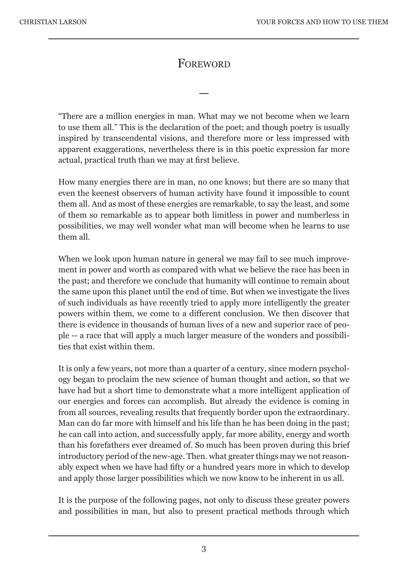#### **FOREWORD**

—

"There are a million energies in man. What may we not become when we learn to use them all." This is the declaration of the poet; and though poetry is usually inspired by transcendental visions, and therefore more or less impressed with apparent exaggerations, nevertheless there is in this poetic expression far more actual, practical truth than we may at first believe.

How many energies there are in man, no one knows; but there are so many that even the keenest observers of human activity have found it impossible to count them all. And as most of these energies are remarkable, to say the least, and some of them so remarkable as to appear both limitless in power and numberless in possibilities, we may well wonder what man will become when he learns to use them all.

When we look upon human nature in general we may fail to see much improvement in power and worth as compared with what we believe the race has been in the past; and therefore we conclude that humanity will continue to remain about the same upon this planet until the end of time. But when we investigate the lives of such individuals as have recently tried to apply more intelligently the greater powers within them, we come to a different conclusion. We then discover that there is evidence in thousands of human lives of a new and superior race of people -- a race that will apply a much larger measure of the wonders and possibilities that exist within them.

It is only a few years, not more than a quarter of a century, since modern psychology began to proclaim the new science of human thought and action, so that we have had but a short time to demonstrate what a more intelligent application of our energies and forces can accomplish. But already the evidence is coming in from all sources, revealing results that frequently border upon the extraordinary. Man can do far more with himself and his life than he has been doing in the past; he can call into action, and successfully apply, far more ability, energy and worth than his forefathers ever dreamed of. So much has been proven during this brief introductory period of the new-age. Then. what greater things may we not reasonably expect when we have had fifty or a hundred years more in which to develop and apply those larger possibilities which we now know to be inherent in us all.

It is the purpose of the following pages, not only to discuss these greater powers and possibilities in man, but also to present practical methods through which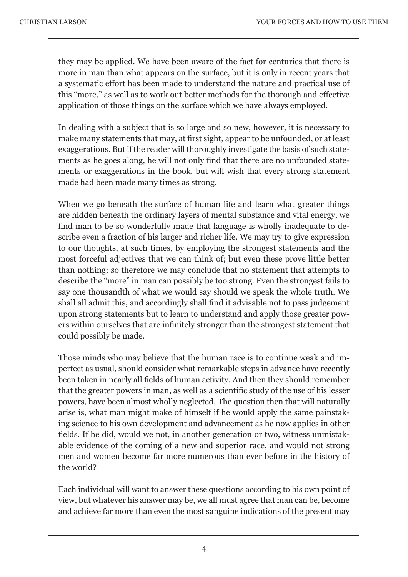they may be applied. We have been aware of the fact for centuries that there is more in man than what appears on the surface, but it is only in recent years that a systematic effort has been made to understand the nature and practical use of this "more," as well as to work out better methods for the thorough and effective application of those things on the surface which we have always employed.

In dealing with a subject that is so large and so new, however, it is necessary to make many statements that may, at first sight, appear to be unfounded, or at least exaggerations. But if the reader will thoroughly investigate the basis of such statements as he goes along, he will not only find that there are no unfounded statements or exaggerations in the book, but will wish that every strong statement made had been made many times as strong.

When we go beneath the surface of human life and learn what greater things are hidden beneath the ordinary layers of mental substance and vital energy, we find man to be so wonderfully made that language is wholly inadequate to describe even a fraction of his larger and richer life. We may try to give expression to our thoughts, at such times, by employing the strongest statements and the most forceful adjectives that we can think of; but even these prove little better than nothing; so therefore we may conclude that no statement that attempts to describe the "more" in man can possibly be too strong. Even the strongest fails to say one thousandth of what we would say should we speak the whole truth. We shall all admit this, and accordingly shall find it advisable not to pass judgement upon strong statements but to learn to understand and apply those greater powers within ourselves that are infinitely stronger than the strongest statement that could possibly be made.

Those minds who may believe that the human race is to continue weak and imperfect as usual, should consider what remarkable steps in advance have recently been taken in nearly all fields of human activity. And then they should remember that the greater powers in man, as well as a scientific study of the use of his lesser powers, have been almost wholly neglected. The question then that will naturally arise is, what man might make of himself if he would apply the same painstaking science to his own development and advancement as he now applies in other fields. If he did, would we not, in another generation or two, witness unmistakable evidence of the coming of a new and superior race, and would not strong men and women become far more numerous than ever before in the history of the world?

Each individual will want to answer these questions according to his own point of view, but whatever his answer may be, we all must agree that man can be, become and achieve far more than even the most sanguine indications of the present may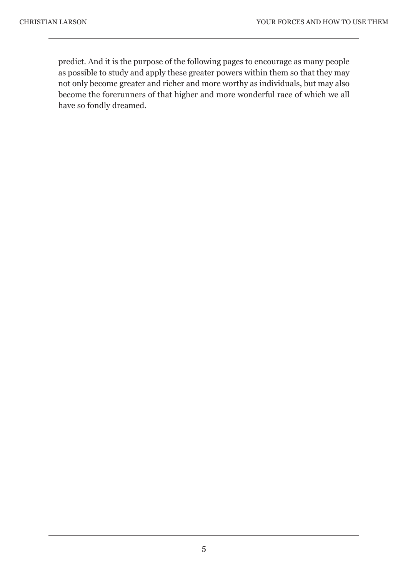predict. And it is the purpose of the following pages to encourage as many people as possible to study and apply these greater powers within them so that they may not only become greater and richer and more worthy as individuals, but may also become the forerunners of that higher and more wonderful race of which we all have so fondly dreamed.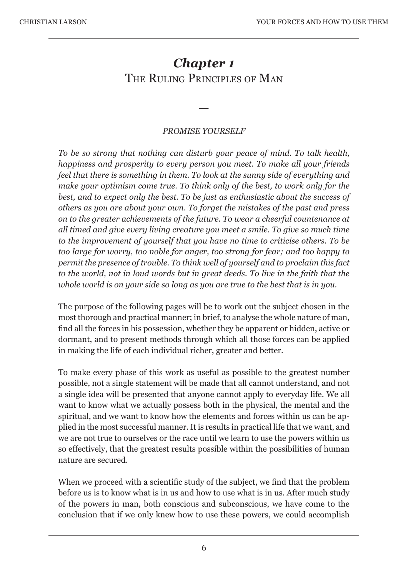## *Chapter 1* THE RULING PRINCIPLES OF MAN

#### *PROMISE YOURSELF*

—

*To be so strong that nothing can disturb your peace of mind. To talk health, happiness and prosperity to every person you meet. To make all your friends feel that there is something in them. To look at the sunny side of everything and make your optimism come true. To think only of the best, to work only for the best, and to expect only the best. To be just as enthusiastic about the success of others as you are about your own. To forget the mistakes of the past and press on to the greater achievements of the future. To wear a cheerful countenance at all timed and give every living creature you meet a smile. To give so much time to the improvement of yourself that you have no time to criticise others. To be too large for worry, too noble for anger, too strong for fear; and too happy to permit the presence of trouble. To think well of yourself and to proclaim this fact to the world, not in loud words but in great deeds. To live in the faith that the whole world is on your side so long as you are true to the best that is in you.*

The purpose of the following pages will be to work out the subject chosen in the most thorough and practical manner; in brief, to analyse the whole nature of man, find all the forces in his possession, whether they be apparent or hidden, active or dormant, and to present methods through which all those forces can be applied in making the life of each individual richer, greater and better.

To make every phase of this work as useful as possible to the greatest number possible, not a single statement will be made that all cannot understand, and not a single idea will be presented that anyone cannot apply to everyday life. We all want to know what we actually possess both in the physical, the mental and the spiritual, and we want to know how the elements and forces within us can be applied in the most successful manner. It is results in practical life that we want, and we are not true to ourselves or the race until we learn to use the powers within us so effectively, that the greatest results possible within the possibilities of human nature are secured.

When we proceed with a scientific study of the subject, we find that the problem before us is to know what is in us and how to use what is in us. After much study of the powers in man, both conscious and subconscious, we have come to the conclusion that if we only knew how to use these powers, we could accomplish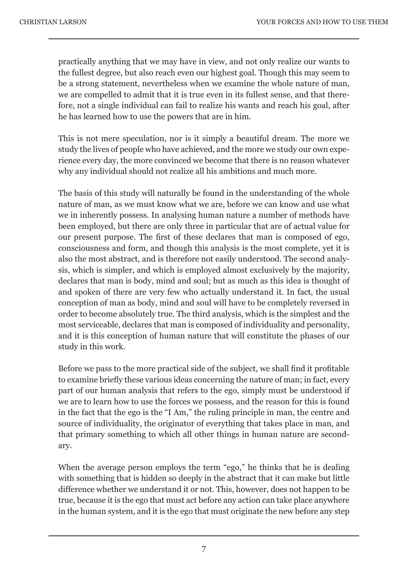practically anything that we may have in view, and not only realize our wants to the fullest degree, but also reach even our highest goal. Though this may seem to be a strong statement, nevertheless when we examine the whole nature of man, we are compelled to admit that it is true even in its fullest sense, and that therefore, not a single individual can fail to realize his wants and reach his goal, after he has learned how to use the powers that are in him.

This is not mere speculation, nor is it simply a beautiful dream. The more we study the lives of people who have achieved, and the more we study our own experience every day, the more convinced we become that there is no reason whatever why any individual should not realize all his ambitions and much more.

The basis of this study will naturally be found in the understanding of the whole nature of man, as we must know what we are, before we can know and use what we in inherently possess. In analysing human nature a number of methods have been employed, but there are only three in particular that are of actual value for our present purpose. The first of these declares that man is composed of ego, consciousness and form, and though this analysis is the most complete, yet it is also the most abstract, and is therefore not easily understood. The second analysis, which is simpler, and which is employed almost exclusively by the majority, declares that man is body, mind and soul; but as much as this idea is thought of and spoken of there are very few who actually understand it. In fact, the usual conception of man as body, mind and soul will have to be completely reversed in order to become absolutely true. The third analysis, which is the simplest and the most serviceable, declares that man is composed of individuality and personality, and it is this conception of human nature that will constitute the phases of our study in this work.

Before we pass to the more practical side of the subject, we shall find it profitable to examine briefly these various ideas concerning the nature of man; in fact, every part of our human analysis that refers to the ego, simply must be understood if we are to learn how to use the forces we possess, and the reason for this is found in the fact that the ego is the "I Am," the ruling principle in man, the centre and source of individuality, the originator of everything that takes place in man, and that primary something to which all other things in human nature are secondary.

When the average person employs the term "ego," he thinks that he is dealing with something that is hidden so deeply in the abstract that it can make but little difference whether we understand it or not. This, however, does not happen to be true, because it is the ego that must act before any action can take place anywhere in the human system, and it is the ego that must originate the new before any step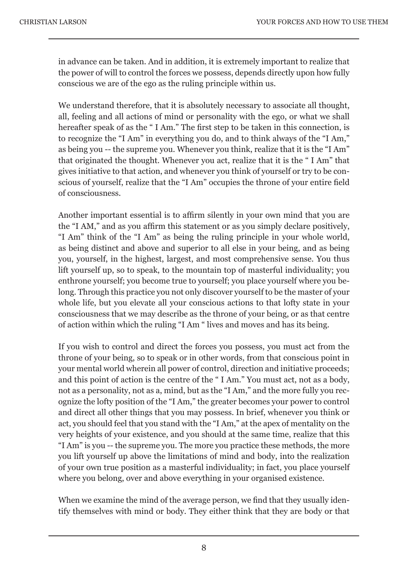in advance can be taken. And in addition, it is extremely important to realize that the power of will to control the forces we possess, depends directly upon how fully conscious we are of the ego as the ruling principle within us.

We understand therefore, that it is absolutely necessary to associate all thought, all, feeling and all actions of mind or personality with the ego, or what we shall hereafter speak of as the " I Am." The first step to be taken in this connection, is to recognize the "I Am" in everything you do, and to think always of the "I Am," as being you -- the supreme you. Whenever you think, realize that it is the "I Am" that originated the thought. Whenever you act, realize that it is the " I Am" that gives initiative to that action, and whenever you think of yourself or try to be conscious of yourself, realize that the "I Am" occupies the throne of your entire field of consciousness.

Another important essential is to affirm silently in your own mind that you are the "I AM," and as you affirm this statement or as you simply declare positively, "I Am" think of the "I Am" as being the ruling principle in your whole world, as being distinct and above and superior to all else in your being, and as being you, yourself, in the highest, largest, and most comprehensive sense. You thus lift yourself up, so to speak, to the mountain top of masterful individuality; you enthrone yourself; you become true to yourself; you place yourself where you belong. Through this practice you not only discover yourself to be the master of your whole life, but you elevate all your conscious actions to that lofty state in your consciousness that we may describe as the throne of your being, or as that centre of action within which the ruling "I Am " lives and moves and has its being.

If you wish to control and direct the forces you possess, you must act from the throne of your being, so to speak or in other words, from that conscious point in your mental world wherein all power of control, direction and initiative proceeds; and this point of action is the centre of the " I Am." You must act, not as a body, not as a personality, not as a, mind, but as the "I Am," and the more fully you recognize the lofty position of the "I Am," the greater becomes your power to control and direct all other things that you may possess. In brief, whenever you think or act, you should feel that you stand with the "I Am," at the apex of mentality on the very heights of your existence, and you should at the same time, realize that this "I Am" is you -- the supreme you. The more you practice these methods, the more you lift yourself up above the limitations of mind and body, into the realization of your own true position as a masterful individuality; in fact, you place yourself where you belong, over and above everything in your organised existence.

When we examine the mind of the average person, we find that they usually identify themselves with mind or body. They either think that they are body or that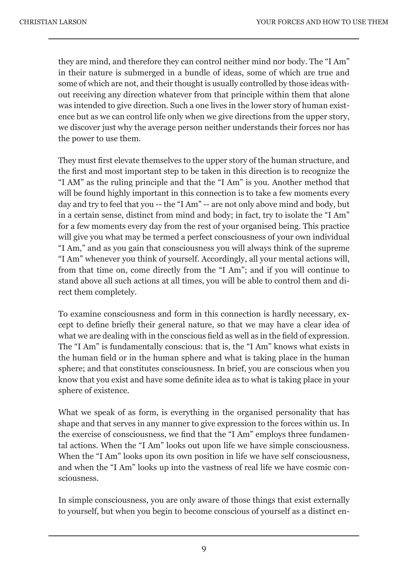they are mind, and therefore they can control neither mind nor body. The "I Am" in their nature is submerged in a bundle of ideas, some of which are true and some of which are not, and their thought is usually controlled by those ideas without receiving any direction whatever from that principle within them that alone was intended to give direction. Such a one lives in the lower story of human existence but as we can control life only when we give directions from the upper story, we discover just why the average person neither understands their forces nor has the power to use them.

They must first elevate themselves to the upper story of the human structure, and the first and most important step to be taken in this direction is to recognize the "I AM" as the ruling principle and that the "I Am" is you. Another method that will be found highly important in this connection is to take a few moments every day and try to feel that you -- the "I Am" -- are not only above mind and body, but in a certain sense, distinct from mind and body; in fact, try to isolate the "I Am" for a few moments every day from the rest of your organised being. This practice will give you what may be termed a perfect consciousness of your own individual "I Am," and as you gain that consciousness you will always think of the supreme "I Am" whenever you think of yourself. Accordingly, all your mental actions will, from that time on, come directly from the "I Am"; and if you will continue to stand above all such actions at all times, you will be able to control them and direct them completely.

To examine consciousness and form in this connection is hardly necessary, except to define briefly their general nature, so that we may have a clear idea of what we are dealing with in the conscious field as well as in the field of expression. The "I Am" is fundamentally conscious: that is, the "I Am" knows what exists in the human field or in the human sphere and what is taking place in the human sphere; and that constitutes consciousness. In brief, you are conscious when you know that you exist and have some definite idea as to what is taking place in your sphere of existence.

What we speak of as form, is everything in the organised personality that has shape and that serves in any manner to give expression to the forces within us. In the exercise of consciousness, we find that the "I Am" employs three fundamental actions. When the "I Am" looks out upon life we have simple consciousness. When the "I Am" looks upon its own position in life we have self consciousness, and when the "I Am" looks up into the vastness of real life we have cosmic consciousness.

In simple consciousness, you are only aware of those things that exist externally to yourself, but when you begin to become conscious of yourself as a distinct en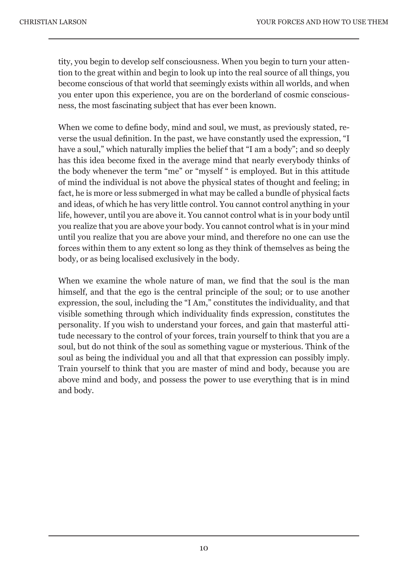tity, you begin to develop self consciousness. When you begin to turn your attention to the great within and begin to look up into the real source of all things, you become conscious of that world that seemingly exists within all worlds, and when you enter upon this experience, you are on the borderland of cosmic consciousness, the most fascinating subject that has ever been known.

When we come to define body, mind and soul, we must, as previously stated, reverse the usual definition. In the past, we have constantly used the expression, "I have a soul," which naturally implies the belief that "I am a body"; and so deeply has this idea become fixed in the average mind that nearly everybody thinks of the body whenever the term "me" or "myself " is employed. But in this attitude of mind the individual is not above the physical states of thought and feeling; in fact, he is more or less submerged in what may be called a bundle of physical facts and ideas, of which he has very little control. You cannot control anything in your life, however, until you are above it. You cannot control what is in your body until you realize that you are above your body. You cannot control what is in your mind until you realize that you are above your mind, and therefore no one can use the forces within them to any extent so long as they think of themselves as being the body, or as being localised exclusively in the body.

When we examine the whole nature of man, we find that the soul is the man himself, and that the ego is the central principle of the soul; or to use another expression, the soul, including the "I Am," constitutes the individuality, and that visible something through which individuality finds expression, constitutes the personality. If you wish to understand your forces, and gain that masterful attitude necessary to the control of your forces, train yourself to think that you are a soul, but do not think of the soul as something vague or mysterious. Think of the soul as being the individual you and all that that expression can possibly imply. Train yourself to think that you are master of mind and body, because you are above mind and body, and possess the power to use everything that is in mind and body.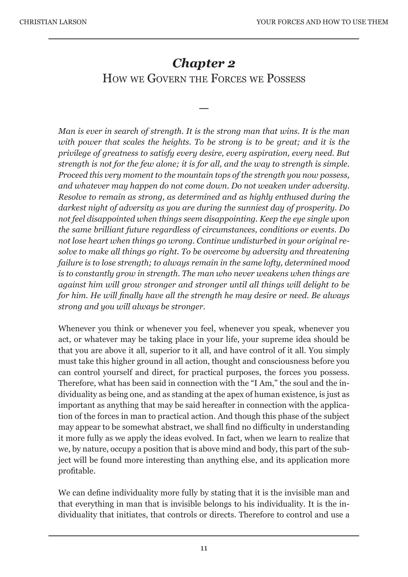## *Chapter 2* HOW WE GOVERN THE FORCES WE POSSESS

—

*Man is ever in search of strength. It is the strong man that wins. It is the man with power that scales the heights. To be strong is to be great; and it is the privilege of greatness to satisfy every desire, every aspiration, every need. But strength is not for the few alone; it is for all, and the way to strength is simple. Proceed this very moment to the mountain tops of the strength you now possess, and whatever may happen do not come down. Do not weaken under adversity. Resolve to remain as strong, as determined and as highly enthused during the darkest night of adversity as you are during the sunniest day of prosperity. Do not feel disappointed when things seem disappointing. Keep the eye single upon the same brilliant future regardless of circumstances, conditions or events. Do not lose heart when things go wrong. Continue undisturbed in your original resolve to make all things go right. To be overcome by adversity and threatening failure is to lose strength; to always remain in the same lofty, determined mood is to constantly grow in strength. The man who never weakens when things are against him will grow stronger and stronger until all things will delight to be for him. He will finally have all the strength he may desire or need. Be always strong and you will always be stronger.*

Whenever you think or whenever you feel, whenever you speak, whenever you act, or whatever may be taking place in your life, your supreme idea should be that you are above it all, superior to it all, and have control of it all. You simply must take this higher ground in all action, thought and consciousness before you can control yourself and direct, for practical purposes, the forces you possess. Therefore, what has been said in connection with the "I Am," the soul and the individuality as being one, and as standing at the apex of human existence, is just as important as anything that may be said hereafter in connection with the application of the forces in man to practical action. And though this phase of the subject may appear to be somewhat abstract, we shall find no difficulty in understanding it more fully as we apply the ideas evolved. In fact, when we learn to realize that we, by nature, occupy a position that is above mind and body, this part of the subject will be found more interesting than anything else, and its application more profitable.

We can define individuality more fully by stating that it is the invisible man and that everything in man that is invisible belongs to his individuality. It is the individuality that initiates, that controls or directs. Therefore to control and use a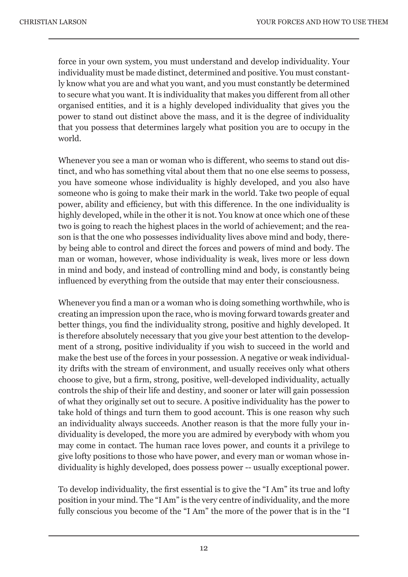force in your own system, you must understand and develop individuality. Your individuality must be made distinct, determined and positive. You must constantly know what you are and what you want, and you must constantly be determined to secure what you want. It is individuality that makes you different from all other organised entities, and it is a highly developed individuality that gives you the power to stand out distinct above the mass, and it is the degree of individuality that you possess that determines largely what position you are to occupy in the world.

Whenever you see a man or woman who is different, who seems to stand out distinct, and who has something vital about them that no one else seems to possess, you have someone whose individuality is highly developed, and you also have someone who is going to make their mark in the world. Take two people of equal power, ability and efficiency, but with this difference. In the one individuality is highly developed, while in the other it is not. You know at once which one of these two is going to reach the highest places in the world of achievement; and the reason is that the one who possesses individuality lives above mind and body, thereby being able to control and direct the forces and powers of mind and body. The man or woman, however, whose individuality is weak, lives more or less down in mind and body, and instead of controlling mind and body, is constantly being influenced by everything from the outside that may enter their consciousness.

Whenever you find a man or a woman who is doing something worthwhile, who is creating an impression upon the race, who is moving forward towards greater and better things, you find the individuality strong, positive and highly developed. It is therefore absolutely necessary that you give your best attention to the development of a strong, positive individuality if you wish to succeed in the world and make the best use of the forces in your possession. A negative or weak individuality drifts with the stream of environment, and usually receives only what others choose to give, but a firm, strong, positive, well-developed individuality, actually controls the ship of their life and destiny, and sooner or later will gain possession of what they originally set out to secure. A positive individuality has the power to take hold of things and turn them to good account. This is one reason why such an individuality always succeeds. Another reason is that the more fully your individuality is developed, the more you are admired by everybody with whom you may come in contact. The human race loves power, and counts it a privilege to give lofty positions to those who have power, and every man or woman whose individuality is highly developed, does possess power -- usually exceptional power.

To develop individuality, the first essential is to give the "I Am" its true and lofty position in your mind. The "I Am" is the very centre of individuality, and the more fully conscious you become of the "I Am" the more of the power that is in the "I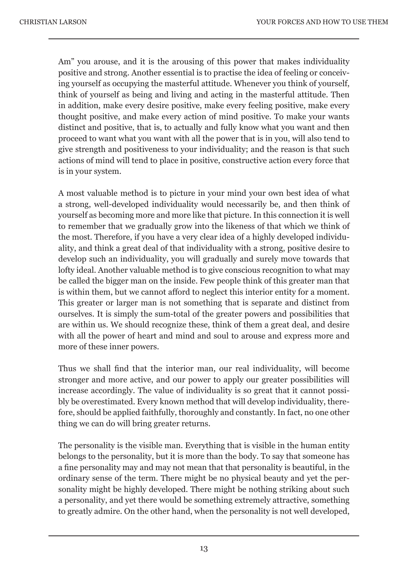Am" you arouse, and it is the arousing of this power that makes individuality positive and strong. Another essential is to practise the idea of feeling or conceiving yourself as occupying the masterful attitude. Whenever you think of yourself, think of yourself as being and living and acting in the masterful attitude. Then in addition, make every desire positive, make every feeling positive, make every thought positive, and make every action of mind positive. To make your wants distinct and positive, that is, to actually and fully know what you want and then proceed to want what you want with all the power that is in you, will also tend to give strength and positiveness to your individuality; and the reason is that such actions of mind will tend to place in positive, constructive action every force that is in your system.

A most valuable method is to picture in your mind your own best idea of what a strong, well-developed individuality would necessarily be, and then think of yourself as becoming more and more like that picture. In this connection it is well to remember that we gradually grow into the likeness of that which we think of the most. Therefore, if you have a very clear idea of a highly developed individuality, and think a great deal of that individuality with a strong, positive desire to develop such an individuality, you will gradually and surely move towards that lofty ideal. Another valuable method is to give conscious recognition to what may be called the bigger man on the inside. Few people think of this greater man that is within them, but we cannot afford to neglect this interior entity for a moment. This greater or larger man is not something that is separate and distinct from ourselves. It is simply the sum-total of the greater powers and possibilities that are within us. We should recognize these, think of them a great deal, and desire with all the power of heart and mind and soul to arouse and express more and more of these inner powers.

Thus we shall find that the interior man, our real individuality, will become stronger and more active, and our power to apply our greater possibilities will increase accordingly. The value of individuality is so great that it cannot possibly be overestimated. Every known method that will develop individuality, therefore, should be applied faithfully, thoroughly and constantly. In fact, no one other thing we can do will bring greater returns.

The personality is the visible man. Everything that is visible in the human entity belongs to the personality, but it is more than the body. To say that someone has a fine personality may and may not mean that that personality is beautiful, in the ordinary sense of the term. There might be no physical beauty and yet the personality might be highly developed. There might be nothing striking about such a personality, and yet there would be something extremely attractive, something to greatly admire. On the other hand, when the personality is not well developed,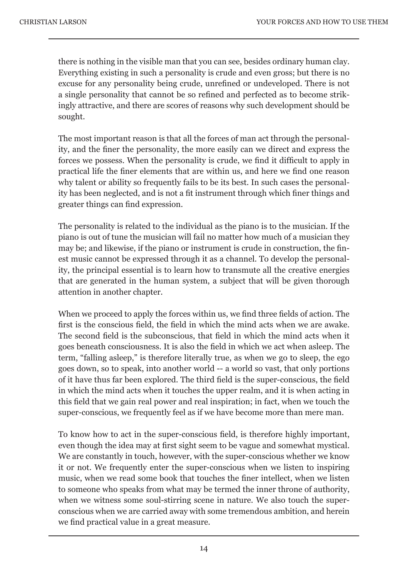there is nothing in the visible man that you can see, besides ordinary human clay. Everything existing in such a personality is crude and even gross; but there is no excuse for any personality being crude, unrefined or undeveloped. There is not a single personality that cannot be so refined and perfected as to become strikingly attractive, and there are scores of reasons why such development should be sought.

The most important reason is that all the forces of man act through the personality, and the finer the personality, the more easily can we direct and express the forces we possess. When the personality is crude, we find it difficult to apply in practical life the finer elements that are within us, and here we find one reason why talent or ability so frequently fails to be its best. In such cases the personality has been neglected, and is not a fit instrument through which finer things and greater things can find expression.

The personality is related to the individual as the piano is to the musician. If the piano is out of tune the musician will fail no matter how much of a musician they may be; and likewise, if the piano or instrument is crude in construction, the finest music cannot be expressed through it as a channel. To develop the personality, the principal essential is to learn how to transmute all the creative energies that are generated in the human system, a subject that will be given thorough attention in another chapter.

When we proceed to apply the forces within us, we find three fields of action. The first is the conscious field, the field in which the mind acts when we are awake. The second field is the subconscious, that field in which the mind acts when it goes beneath consciousness. It is also the field in which we act when asleep. The term, "falling asleep," is therefore literally true, as when we go to sleep, the ego goes down, so to speak, into another world -- a world so vast, that only portions of it have thus far been explored. The third field is the super-conscious, the field in which the mind acts when it touches the upper realm, and it is when acting in this field that we gain real power and real inspiration; in fact, when we touch the super-conscious, we frequently feel as if we have become more than mere man.

To know how to act in the super-conscious field, is therefore highly important, even though the idea may at first sight seem to be vague and somewhat mystical. We are constantly in touch, however, with the super-conscious whether we know it or not. We frequently enter the super-conscious when we listen to inspiring music, when we read some book that touches the finer intellect, when we listen to someone who speaks from what may be termed the inner throne of authority, when we witness some soul-stirring scene in nature. We also touch the superconscious when we are carried away with some tremendous ambition, and herein we find practical value in a great measure.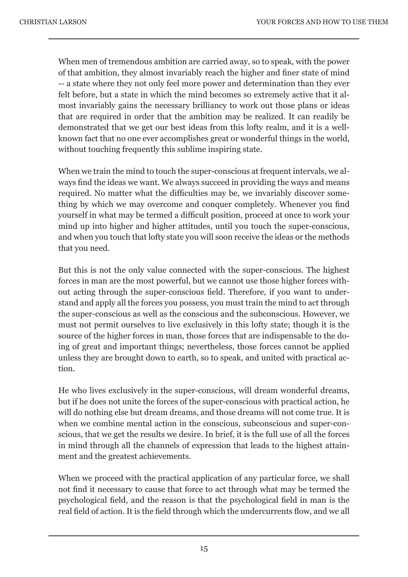When men of tremendous ambition are carried away, so to speak, with the power of that ambition, they almost invariably reach the higher and finer state of mind -- a state where they not only feel more power and determination than they ever felt before, but a state in which the mind becomes so extremely active that it almost invariably gains the necessary brilliancy to work out those plans or ideas that are required in order that the ambition may be realized. It can readily be demonstrated that we get our best ideas from this lofty realm, and it is a wellknown fact that no one ever accomplishes great or wonderful things in the world, without touching frequently this sublime inspiring state.

When we train the mind to touch the super-conscious at frequent intervals, we always find the ideas we want. We always succeed in providing the ways and means required. No matter what the difficulties may be, we invariably discover something by which we may overcome and conquer completely. Whenever you find yourself in what may be termed a difficult position, proceed at once to work your mind up into higher and higher attitudes, until you touch the super-conscious, and when you touch that lofty state you will soon receive the ideas or the methods that you need.

But this is not the only value connected with the super-conscious. The highest forces in man are the most powerful, but we cannot use those higher forces without acting through the super-conscious field. Therefore, if you want to understand and apply all the forces you possess, you must train the mind to act through the super-conscious as well as the conscious and the subconscious. However, we must not permit ourselves to live exclusively in this lofty state; though it is the source of the higher forces in man, those forces that are indispensable to the doing of great and important things; nevertheless, those forces cannot be applied unless they are brought down to earth, so to speak, and united with practical action.

He who lives exclusively in the super-conscious, will dream wonderful dreams, but if he does not unite the forces of the super-conscious with practical action, he will do nothing else but dream dreams, and those dreams will not come true. It is when we combine mental action in the conscious, subconscious and super-conscious, that we get the results we desire. In brief, it is the full use of all the forces in mind through all the channels of expression that leads to the highest attainment and the greatest achievements.

When we proceed with the practical application of any particular force, we shall not find it necessary to cause that force to act through what may be termed the psychological field, and the reason is that the psychological field in man is the real field of action. It is the field through which the undercurrents flow, and we all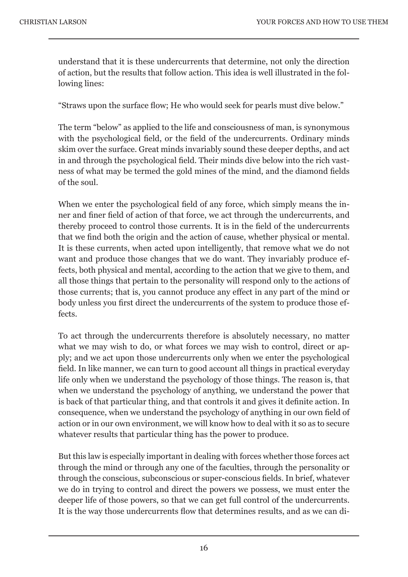understand that it is these undercurrents that determine, not only the direction of action, but the results that follow action. This idea is well illustrated in the following lines:

"Straws upon the surface flow; He who would seek for pearls must dive below."

The term "below" as applied to the life and consciousness of man, is synonymous with the psychological field, or the field of the undercurrents. Ordinary minds skim over the surface. Great minds invariably sound these deeper depths, and act in and through the psychological field. Their minds dive below into the rich vastness of what may be termed the gold mines of the mind, and the diamond fields of the soul.

When we enter the psychological field of any force, which simply means the inner and finer field of action of that force, we act through the undercurrents, and thereby proceed to control those currents. It is in the field of the undercurrents that we find both the origin and the action of cause, whether physical or mental. It is these currents, when acted upon intelligently, that remove what we do not want and produce those changes that we do want. They invariably produce effects, both physical and mental, according to the action that we give to them, and all those things that pertain to the personality will respond only to the actions of those currents; that is, you cannot produce any effect in any part of the mind or body unless you first direct the undercurrents of the system to produce those effects.

To act through the undercurrents therefore is absolutely necessary, no matter what we may wish to do, or what forces we may wish to control, direct or apply; and we act upon those undercurrents only when we enter the psychological field. In like manner, we can turn to good account all things in practical everyday life only when we understand the psychology of those things. The reason is, that when we understand the psychology of anything, we understand the power that is back of that particular thing, and that controls it and gives it definite action. In consequence, when we understand the psychology of anything in our own field of action or in our own environment, we will know how to deal with it so as to secure whatever results that particular thing has the power to produce.

But this law is especially important in dealing with forces whether those forces act through the mind or through any one of the faculties, through the personality or through the conscious, subconscious or super-conscious fields. In brief, whatever we do in trying to control and direct the powers we possess, we must enter the deeper life of those powers, so that we can get full control of the undercurrents. It is the way those undercurrents flow that determines results, and as we can di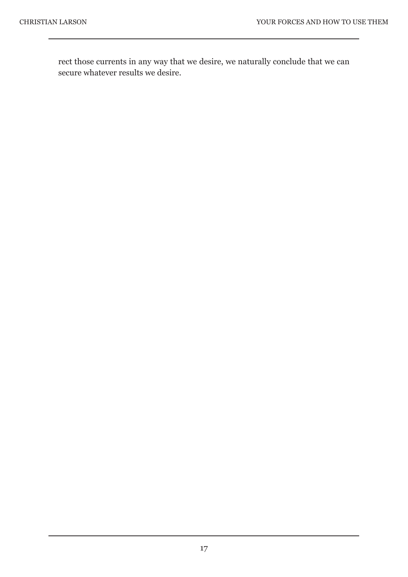rect those currents in any way that we desire, we naturally conclude that we can secure whatever results we desire.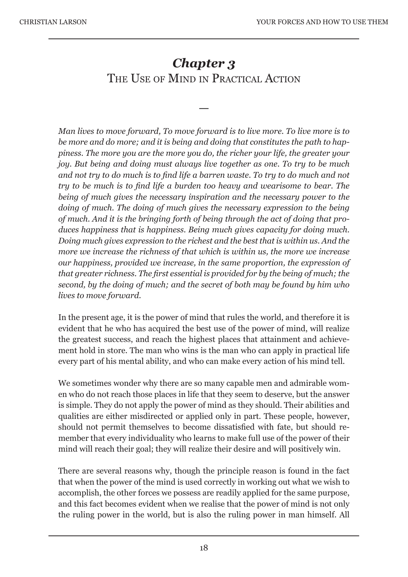## *Chapter 3* THE USE OF MIND IN PRACTICAL ACTION

—

*Man lives to move forward, To move forward is to live more. To live more is to be more and do more; and it is being and doing that constitutes the path to happiness. The more you are the more you do, the richer your life, the greater your joy. But being and doing must always live together as one. To try to be much*  and not try to do much is to find life a barren waste. To try to do much and not *try to be much is to find life a burden too heavy and wearisome to bear. The being of much gives the necessary inspiration and the necessary power to the doing of much. The doing of much gives the necessary expression to the being of much. And it is the bringing forth of being through the act of doing that produces happiness that is happiness. Being much gives capacity for doing much. Doing much gives expression to the richest and the best that is within us. And the more we increase the richness of that which is within us, the more we increase our happiness, provided we increase, in the same proportion, the expression of that greater richness. The first essential is provided for by the being of much; the second, by the doing of much; and the secret of both may be found by him who lives to move forward.*

In the present age, it is the power of mind that rules the world, and therefore it is evident that he who has acquired the best use of the power of mind, will realize the greatest success, and reach the highest places that attainment and achievement hold in store. The man who wins is the man who can apply in practical life every part of his mental ability, and who can make every action of his mind tell.

We sometimes wonder why there are so many capable men and admirable women who do not reach those places in life that they seem to deserve, but the answer is simple. They do not apply the power of mind as they should. Their abilities and qualities are either misdirected or applied only in part. These people, however, should not permit themselves to become dissatisfied with fate, but should remember that every individuality who learns to make full use of the power of their mind will reach their goal; they will realize their desire and will positively win.

There are several reasons why, though the principle reason is found in the fact that when the power of the mind is used correctly in working out what we wish to accomplish, the other forces we possess are readily applied for the same purpose, and this fact becomes evident when we realise that the power of mind is not only the ruling power in the world, but is also the ruling power in man himself. All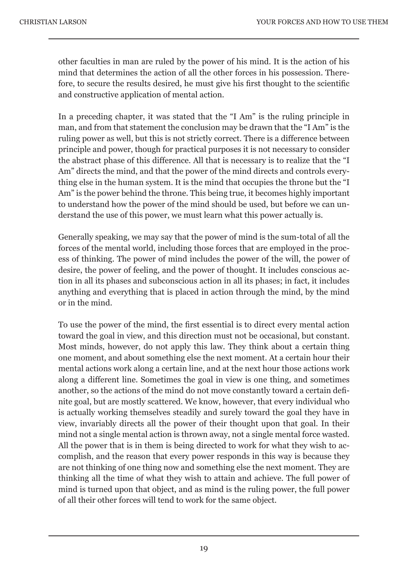other faculties in man are ruled by the power of his mind. It is the action of his mind that determines the action of all the other forces in his possession. Therefore, to secure the results desired, he must give his first thought to the scientific and constructive application of mental action.

In a preceding chapter, it was stated that the "I Am" is the ruling principle in man, and from that statement the conclusion may be drawn that the "I Am" is the ruling power as well, but this is not strictly correct. There is a difference between principle and power, though for practical purposes it is not necessary to consider the abstract phase of this difference. All that is necessary is to realize that the "I Am" directs the mind, and that the power of the mind directs and controls everything else in the human system. It is the mind that occupies the throne but the "I Am" is the power behind the throne. This being true, it becomes highly important to understand how the power of the mind should be used, but before we can understand the use of this power, we must learn what this power actually is.

Generally speaking, we may say that the power of mind is the sum-total of all the forces of the mental world, including those forces that are employed in the process of thinking. The power of mind includes the power of the will, the power of desire, the power of feeling, and the power of thought. It includes conscious action in all its phases and subconscious action in all its phases; in fact, it includes anything and everything that is placed in action through the mind, by the mind or in the mind.

To use the power of the mind, the first essential is to direct every mental action toward the goal in view, and this direction must not be occasional, but constant. Most minds, however, do not apply this law. They think about a certain thing one moment, and about something else the next moment. At a certain hour their mental actions work along a certain line, and at the next hour those actions work along a different line. Sometimes the goal in view is one thing, and sometimes another, so the actions of the mind do not move constantly toward a certain definite goal, but are mostly scattered. We know, however, that every individual who is actually working themselves steadily and surely toward the goal they have in view, invariably directs all the power of their thought upon that goal. In their mind not a single mental action is thrown away, not a single mental force wasted. All the power that is in them is being directed to work for what they wish to accomplish, and the reason that every power responds in this way is because they are not thinking of one thing now and something else the next moment. They are thinking all the time of what they wish to attain and achieve. The full power of mind is turned upon that object, and as mind is the ruling power, the full power of all their other forces will tend to work for the same object.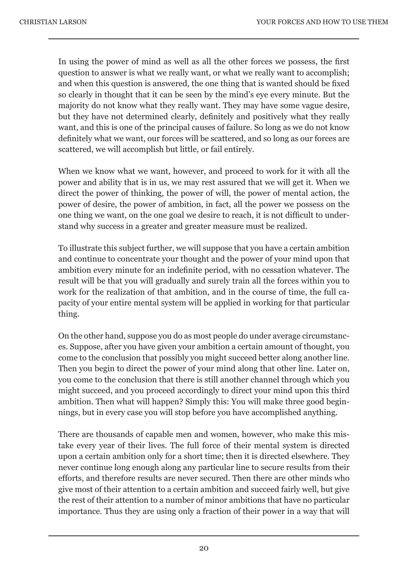In using the power of mind as well as all the other forces we possess, the first question to answer is what we really want, or what we really want to accomplish; and when this question is answered, the one thing that is wanted should be fixed so clearly in thought that it can be seen by the mind's eye every minute. But the majority do not know what they really want. They may have some vague desire, but they have not determined clearly, definitely and positively what they really want, and this is one of the principal causes of failure. So long as we do not know definitely what we want, our forces will be scattered, and so long as our forces are scattered, we will accomplish but little, or fail entirely.

When we know what we want, however, and proceed to work for it with all the power and ability that is in us, we may rest assured that we will get it. When we direct the power of thinking, the power of will, the power of mental action, the power of desire, the power of ambition, in fact, all the power we possess on the one thing we want, on the one goal we desire to reach, it is not difficult to understand why success in a greater and greater measure must be realized.

To illustrate this subject further, we will suppose that you have a certain ambition and continue to concentrate your thought and the power of your mind upon that ambition every minute for an indefinite period, with no cessation whatever. The result will be that you will gradually and surely train all the forces within you to work for the realization of that ambition, and in the course of time, the full capacity of your entire mental system will be applied in working for that particular thing.

On the other hand, suppose you do as most people do under average circumstances. Suppose, after you have given your ambition a certain amount of thought, you come to the conclusion that possibly you might succeed better along another line. Then you begin to direct the power of your mind along that other line. Later on, you come to the conclusion that there is still another channel through which you might succeed, and you proceed accordingly to direct your mind upon this third ambition. Then what will happen? Simply this: You will make three good beginnings, but in every case you will stop before you have accomplished anything.

There are thousands of capable men and women, however, who make this mistake every year of their lives. The full force of their mental system is directed upon a certain ambition only for a short time; then it is directed elsewhere. They never continue long enough along any particular line to secure results from their efforts, and therefore results are never secured. Then there are other minds who give most of their attention to a certain ambition and succeed fairly well, but give the rest of their attention to a number of minor ambitions that have no particular importance. Thus they are using only a fraction of their power in a way that will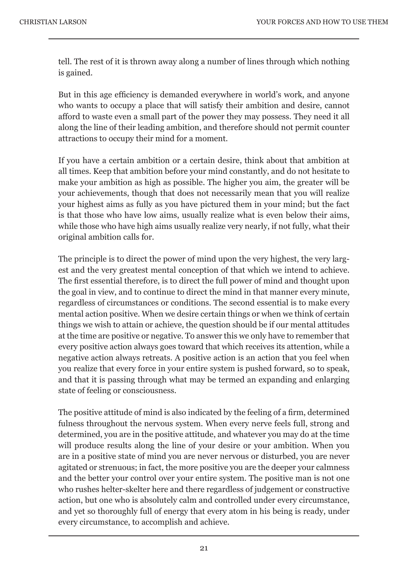tell. The rest of it is thrown away along a number of lines through which nothing is gained.

But in this age efficiency is demanded everywhere in world's work, and anyone who wants to occupy a place that will satisfy their ambition and desire, cannot afford to waste even a small part of the power they may possess. They need it all along the line of their leading ambition, and therefore should not permit counter attractions to occupy their mind for a moment.

If you have a certain ambition or a certain desire, think about that ambition at all times. Keep that ambition before your mind constantly, and do not hesitate to make your ambition as high as possible. The higher you aim, the greater will be your achievements, though that does not necessarily mean that you will realize your highest aims as fully as you have pictured them in your mind; but the fact is that those who have low aims, usually realize what is even below their aims, while those who have high aims usually realize very nearly, if not fully, what their original ambition calls for.

The principle is to direct the power of mind upon the very highest, the very largest and the very greatest mental conception of that which we intend to achieve. The first essential therefore, is to direct the full power of mind and thought upon the goal in view, and to continue to direct the mind in that manner every minute, regardless of circumstances or conditions. The second essential is to make every mental action positive. When we desire certain things or when we think of certain things we wish to attain or achieve, the question should be if our mental attitudes at the time are positive or negative. To answer this we only have to remember that every positive action always goes toward that which receives its attention, while a negative action always retreats. A positive action is an action that you feel when you realize that every force in your entire system is pushed forward, so to speak, and that it is passing through what may be termed an expanding and enlarging state of feeling or consciousness.

The positive attitude of mind is also indicated by the feeling of a firm, determined fulness throughout the nervous system. When every nerve feels full, strong and determined, you are in the positive attitude, and whatever you may do at the time will produce results along the line of your desire or your ambition. When you are in a positive state of mind you are never nervous or disturbed, you are never agitated or strenuous; in fact, the more positive you are the deeper your calmness and the better your control over your entire system. The positive man is not one who rushes helter-skelter here and there regardless of judgement or constructive action, but one who is absolutely calm and controlled under every circumstance, and yet so thoroughly full of energy that every atom in his being is ready, under every circumstance, to accomplish and achieve.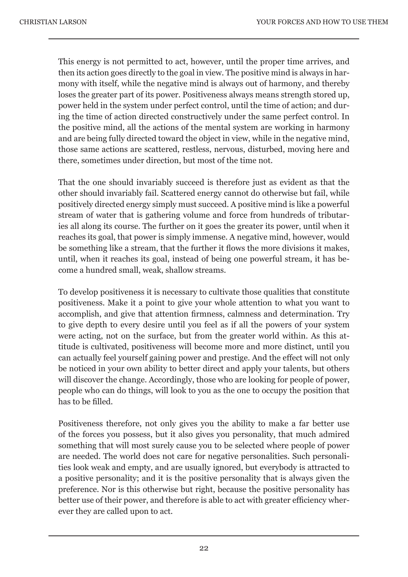This energy is not permitted to act, however, until the proper time arrives, and then its action goes directly to the goal in view. The positive mind is always in harmony with itself, while the negative mind is always out of harmony, and thereby loses the greater part of its power. Positiveness always means strength stored up, power held in the system under perfect control, until the time of action; and during the time of action directed constructively under the same perfect control. In the positive mind, all the actions of the mental system are working in harmony and are being fully directed toward the object in view, while in the negative mind, those same actions are scattered, restless, nervous, disturbed, moving here and there, sometimes under direction, but most of the time not.

That the one should invariably succeed is therefore just as evident as that the other should invariably fail. Scattered energy cannot do otherwise but fail, while positively directed energy simply must succeed. A positive mind is like a powerful stream of water that is gathering volume and force from hundreds of tributaries all along its course. The further on it goes the greater its power, until when it reaches its goal, that power is simply immense. A negative mind, however, would be something like a stream, that the further it flows the more divisions it makes, until, when it reaches its goal, instead of being one powerful stream, it has become a hundred small, weak, shallow streams.

To develop positiveness it is necessary to cultivate those qualities that constitute positiveness. Make it a point to give your whole attention to what you want to accomplish, and give that attention firmness, calmness and determination. Try to give depth to every desire until you feel as if all the powers of your system were acting, not on the surface, but from the greater world within. As this attitude is cultivated, positiveness will become more and more distinct, until you can actually feel yourself gaining power and prestige. And the effect will not only be noticed in your own ability to better direct and apply your talents, but others will discover the change. Accordingly, those who are looking for people of power, people who can do things, will look to you as the one to occupy the position that has to be filled.

Positiveness therefore, not only gives you the ability to make a far better use of the forces you possess, but it also gives you personality, that much admired something that will most surely cause you to be selected where people of power are needed. The world does not care for negative personalities. Such personalities look weak and empty, and are usually ignored, but everybody is attracted to a positive personality; and it is the positive personality that is always given the preference. Nor is this otherwise but right, because the positive personality has better use of their power, and therefore is able to act with greater efficiency wherever they are called upon to act.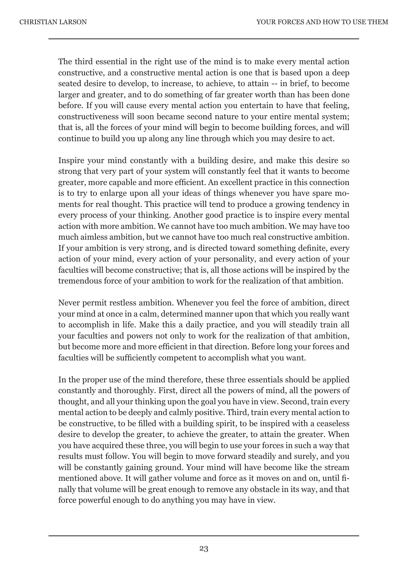The third essential in the right use of the mind is to make every mental action constructive, and a constructive mental action is one that is based upon a deep seated desire to develop, to increase, to achieve, to attain -- in brief, to become larger and greater, and to do something of far greater worth than has been done before. If you will cause every mental action you entertain to have that feeling, constructiveness will soon became second nature to your entire mental system; that is, all the forces of your mind will begin to become building forces, and will continue to build you up along any line through which you may desire to act.

Inspire your mind constantly with a building desire, and make this desire so strong that very part of your system will constantly feel that it wants to become greater, more capable and more efficient. An excellent practice in this connection is to try to enlarge upon all your ideas of things whenever you have spare moments for real thought. This practice will tend to produce a growing tendency in every process of your thinking. Another good practice is to inspire every mental action with more ambition. We cannot have too much ambition. We may have too much aimless ambition, but we cannot have too much real constructive ambition. If your ambition is very strong, and is directed toward something definite, every action of your mind, every action of your personality, and every action of your faculties will become constructive; that is, all those actions will be inspired by the tremendous force of your ambition to work for the realization of that ambition.

Never permit restless ambition. Whenever you feel the force of ambition, direct your mind at once in a calm, determined manner upon that which you really want to accomplish in life. Make this a daily practice, and you will steadily train all your faculties and powers not only to work for the realization of that ambition, but become more and more efficient in that direction. Before long your forces and faculties will be sufficiently competent to accomplish what you want.

In the proper use of the mind therefore, these three essentials should be applied constantly and thoroughly. First, direct all the powers of mind, all the powers of thought, and all your thinking upon the goal you have in view. Second, train every mental action to be deeply and calmly positive. Third, train every mental action to be constructive, to be filled with a building spirit, to be inspired with a ceaseless desire to develop the greater, to achieve the greater, to attain the greater. When you have acquired these three, you will begin to use your forces in such a way that results must follow. You will begin to move forward steadily and surely, and you will be constantly gaining ground. Your mind will have become like the stream mentioned above. It will gather volume and force as it moves on and on, until finally that volume will be great enough to remove any obstacle in its way, and that force powerful enough to do anything you may have in view.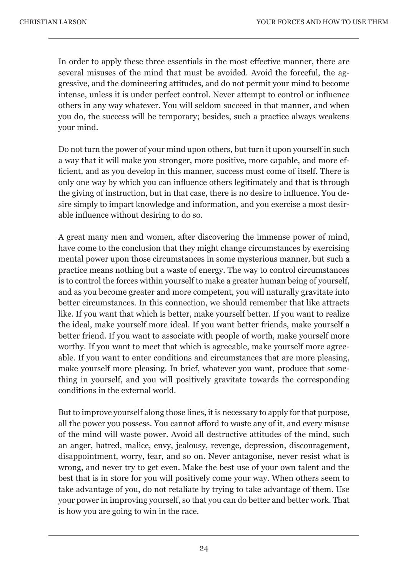In order to apply these three essentials in the most effective manner, there are several misuses of the mind that must be avoided. Avoid the forceful, the aggressive, and the domineering attitudes, and do not permit your mind to become intense, unless it is under perfect control. Never attempt to control or influence others in any way whatever. You will seldom succeed in that manner, and when you do, the success will be temporary; besides, such a practice always weakens your mind.

Do not turn the power of your mind upon others, but turn it upon yourself in such a way that it will make you stronger, more positive, more capable, and more efficient, and as you develop in this manner, success must come of itself. There is only one way by which you can influence others legitimately and that is through the giving of instruction, but in that case, there is no desire to influence. You desire simply to impart knowledge and information, and you exercise a most desirable influence without desiring to do so.

A great many men and women, after discovering the immense power of mind, have come to the conclusion that they might change circumstances by exercising mental power upon those circumstances in some mysterious manner, but such a practice means nothing but a waste of energy. The way to control circumstances is to control the forces within yourself to make a greater human being of yourself, and as you become greater and more competent, you will naturally gravitate into better circumstances. In this connection, we should remember that like attracts like. If you want that which is better, make yourself better. If you want to realize the ideal, make yourself more ideal. If you want better friends, make yourself a better friend. If you want to associate with people of worth, make yourself more worthy. If you want to meet that which is agreeable, make yourself more agreeable. If you want to enter conditions and circumstances that are more pleasing, make yourself more pleasing. In brief, whatever you want, produce that something in yourself, and you will positively gravitate towards the corresponding conditions in the external world.

But to improve yourself along those lines, it is necessary to apply for that purpose, all the power you possess. You cannot afford to waste any of it, and every misuse of the mind will waste power. Avoid all destructive attitudes of the mind, such an anger, hatred, malice, envy, jealousy, revenge, depression, discouragement, disappointment, worry, fear, and so on. Never antagonise, never resist what is wrong, and never try to get even. Make the best use of your own talent and the best that is in store for you will positively come your way. When others seem to take advantage of you, do not retaliate by trying to take advantage of them. Use your power in improving yourself, so that you can do better and better work. That is how you are going to win in the race.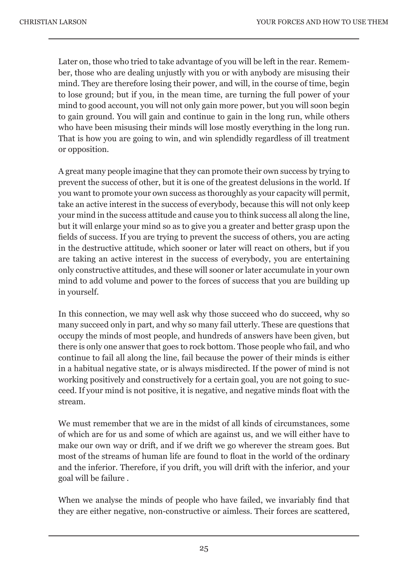Later on, those who tried to take advantage of you will be left in the rear. Remember, those who are dealing unjustly with you or with anybody are misusing their mind. They are therefore losing their power, and will, in the course of time, begin to lose ground; but if you, in the mean time, are turning the full power of your mind to good account, you will not only gain more power, but you will soon begin to gain ground. You will gain and continue to gain in the long run, while others who have been misusing their minds will lose mostly everything in the long run. That is how you are going to win, and win splendidly regardless of ill treatment or opposition.

A great many people imagine that they can promote their own success by trying to prevent the success of other, but it is one of the greatest delusions in the world. If you want to promote your own success as thoroughly as your capacity will permit, take an active interest in the success of everybody, because this will not only keep your mind in the success attitude and cause you to think success all along the line, but it will enlarge your mind so as to give you a greater and better grasp upon the fields of success. If you are trying to prevent the success of others, you are acting in the destructive attitude, which sooner or later will react on others, but if you are taking an active interest in the success of everybody, you are entertaining only constructive attitudes, and these will sooner or later accumulate in your own mind to add volume and power to the forces of success that you are building up in yourself.

In this connection, we may well ask why those succeed who do succeed, why so many succeed only in part, and why so many fail utterly. These are questions that occupy the minds of most people, and hundreds of answers have been given, but there is only one answer that goes to rock bottom. Those people who fail, and who continue to fail all along the line, fail because the power of their minds is either in a habitual negative state, or is always misdirected. If the power of mind is not working positively and constructively for a certain goal, you are not going to succeed. If your mind is not positive, it is negative, and negative minds float with the stream.

We must remember that we are in the midst of all kinds of circumstances, some of which are for us and some of which are against us, and we will either have to make our own way or drift, and if we drift we go wherever the stream goes. But most of the streams of human life are found to float in the world of the ordinary and the inferior. Therefore, if you drift, you will drift with the inferior, and your goal will be failure .

When we analyse the minds of people who have failed, we invariably find that they are either negative, non-constructive or aimless. Their forces are scattered,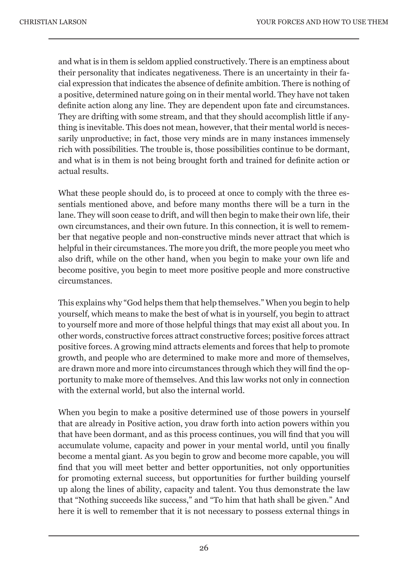and what is in them is seldom applied constructively. There is an emptiness about their personality that indicates negativeness. There is an uncertainty in their facial expression that indicates the absence of definite ambition. There is nothing of a positive, determined nature going on in their mental world. They have not taken definite action along any line. They are dependent upon fate and circumstances. They are drifting with some stream, and that they should accomplish little if anything is inevitable. This does not mean, however, that their mental world is necessarily unproductive; in fact, those very minds are in many instances immensely rich with possibilities. The trouble is, those possibilities continue to be dormant, and what is in them is not being brought forth and trained for definite action or actual results.

What these people should do, is to proceed at once to comply with the three essentials mentioned above, and before many months there will be a turn in the lane. They will soon cease to drift, and will then begin to make their own life, their own circumstances, and their own future. In this connection, it is well to remember that negative people and non-constructive minds never attract that which is helpful in their circumstances. The more you drift, the more people you meet who also drift, while on the other hand, when you begin to make your own life and become positive, you begin to meet more positive people and more constructive circumstances.

This explains why "God helps them that help themselves." When you begin to help yourself, which means to make the best of what is in yourself, you begin to attract to yourself more and more of those helpful things that may exist all about you. In other words, constructive forces attract constructive forces; positive forces attract positive forces. A growing mind attracts elements and forces that help to promote growth, and people who are determined to make more and more of themselves, are drawn more and more into circumstances through which they will find the opportunity to make more of themselves. And this law works not only in connection with the external world, but also the internal world.

When you begin to make a positive determined use of those powers in yourself that are already in Positive action, you draw forth into action powers within you that have been dormant, and as this process continues, you will find that you will accumulate volume, capacity and power in your mental world, until you finally become a mental giant. As you begin to grow and become more capable, you will find that you will meet better and better opportunities, not only opportunities for promoting external success, but opportunities for further building yourself up along the lines of ability, capacity and talent. You thus demonstrate the law that "Nothing succeeds like success," and "To him that hath shall be given." And here it is well to remember that it is not necessary to possess external things in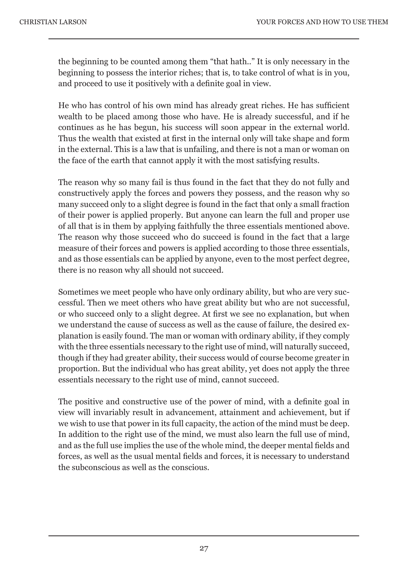the beginning to be counted among them "that hath.." It is only necessary in the beginning to possess the interior riches; that is, to take control of what is in you, and proceed to use it positively with a definite goal in view.

He who has control of his own mind has already great riches. He has sufficient wealth to be placed among those who have. He is already successful, and if he continues as he has begun, his success will soon appear in the external world. Thus the wealth that existed at first in the internal only will take shape and form in the external. This is a law that is unfailing, and there is not a man or woman on the face of the earth that cannot apply it with the most satisfying results.

The reason why so many fail is thus found in the fact that they do not fully and constructively apply the forces and powers they possess, and the reason why so many succeed only to a slight degree is found in the fact that only a small fraction of their power is applied properly. But anyone can learn the full and proper use of all that is in them by applying faithfully the three essentials mentioned above. The reason why those succeed who do succeed is found in the fact that a large measure of their forces and powers is applied according to those three essentials, and as those essentials can be applied by anyone, even to the most perfect degree, there is no reason why all should not succeed.

Sometimes we meet people who have only ordinary ability, but who are very successful. Then we meet others who have great ability but who are not successful, or who succeed only to a slight degree. At first we see no explanation, but when we understand the cause of success as well as the cause of failure, the desired explanation is easily found. The man or woman with ordinary ability, if they comply with the three essentials necessary to the right use of mind, will naturally succeed, though if they had greater ability, their success would of course become greater in proportion. But the individual who has great ability, yet does not apply the three essentials necessary to the right use of mind, cannot succeed.

The positive and constructive use of the power of mind, with a definite goal in view will invariably result in advancement, attainment and achievement, but if we wish to use that power in its full capacity, the action of the mind must be deep. In addition to the right use of the mind, we must also learn the full use of mind, and as the full use implies the use of the whole mind, the deeper mental fields and forces, as well as the usual mental fields and forces, it is necessary to understand the subconscious as well as the conscious.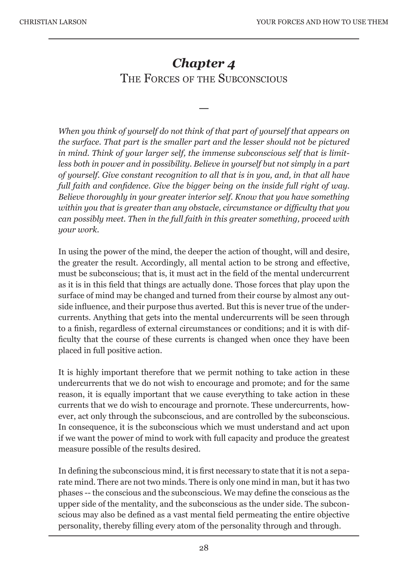### *Chapter 4* THE FORCES OF THE SUBCONSCIOUS

—

*When you think of yourself do not think of that part of yourself that appears on the surface. That part is the smaller part and the lesser should not be pictured in mind. Think of your larger self, the immense subconscious self that is limit*less both in power and in possibility. Believe in yourself but not simply in a part *of yourself. Give constant recognition to all that is in you, and, in that all have full faith and confidence. Give the bigger being on the inside full right of way. Believe thoroughly in your greater interior self. Know that you have something within you that is greater than any obstacle, circumstance or difficulty that you can possibly meet. Then in the full faith in this greater something, proceed with your work.*

In using the power of the mind, the deeper the action of thought, will and desire, the greater the result. Accordingly, all mental action to be strong and effective, must be subconscious; that is, it must act in the field of the mental undercurrent as it is in this field that things are actually done. Those forces that play upon the surface of mind may be changed and turned from their course by almost any outside influence, and their purpose thus averted. But this is never true of the undercurrents. Anything that gets into the mental undercurrents will be seen through to a finish, regardless of external circumstances or conditions; and it is with difficulty that the course of these currents is changed when once they have been placed in full positive action.

It is highly important therefore that we permit nothing to take action in these undercurrents that we do not wish to encourage and promote; and for the same reason, it is equally important that we cause everything to take action in these currents that we do wish to encourage and prornote. These undercurrents, however, act only through the subconscious, and are controlled by the subconscious. In consequence, it is the subconscious which we must understand and act upon if we want the power of mind to work with full capacity and produce the greatest measure possible of the results desired.

In defining the subconscious mind, it is first necessary to state that it is not a separate mind. There are not two minds. There is only one mind in man, but it has two phases -- the conscious and the subconscious. We may define the conscious as the upper side of the mentality, and the subconscious as the under side. The subconscious may also be defined as a vast mental field permeating the entire objective personality, thereby filling every atom of the personality through and through.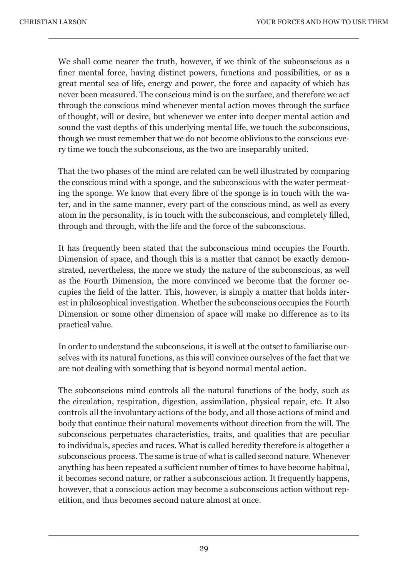We shall come nearer the truth, however, if we think of the subconscious as a finer mental force, having distinct powers, functions and possibilities, or as a great mental sea of life, energy and power, the force and capacity of which has never been measured. The conscious mind is on the surface, and therefore we act through the conscious mind whenever mental action moves through the surface of thought, will or desire, but whenever we enter into deeper mental action and sound the vast depths of this underlying mental life, we touch the subconscious, though we must remember that we do not become oblivious to the conscious every time we touch the subconscious, as the two are inseparably united.

That the two phases of the mind are related can be well illustrated by comparing the conscious mind with a sponge, and the subconscious with the water permeating the sponge. We know that every fibre of the sponge is in touch with the water, and in the same manner, every part of the conscious mind, as well as every atom in the personality, is in touch with the subconscious, and completely filled, through and through, with the life and the force of the subconscious.

It has frequently been stated that the subconscious mind occupies the Fourth. Dimension of space, and though this is a matter that cannot be exactly demonstrated, nevertheless, the more we study the nature of the subconscious, as well as the Fourth Dimension, the more convinced we become that the former occupies the field of the latter. This, however, is simply a matter that holds interest in philosophical investigation. Whether the subconscious occupies the Fourth Dimension or some other dimension of space will make no difference as to its practical value.

In order to understand the subconscious, it is well at the outset to familiarise ourselves with its natural functions, as this will convince ourselves of the fact that we are not dealing with something that is beyond normal mental action.

The subconscious mind controls all the natural functions of the body, such as the circulation, respiration, digestion, assimilation, physical repair, etc. It also controls all the involuntary actions of the body, and all those actions of mind and body that continue their natural movements without direction from the will. The subconscious perpetuates characteristics, traits, and qualities that are peculiar to individuals, species and races. What is called heredity therefore is altogether a subconscious process. The same is true of what is called second nature. Whenever anything has been repeated a sufficient number of times to have become habitual, it becomes second nature, or rather a subconscious action. It frequently happens, however, that a conscious action may become a subconscious action without repetition, and thus becomes second nature almost at once.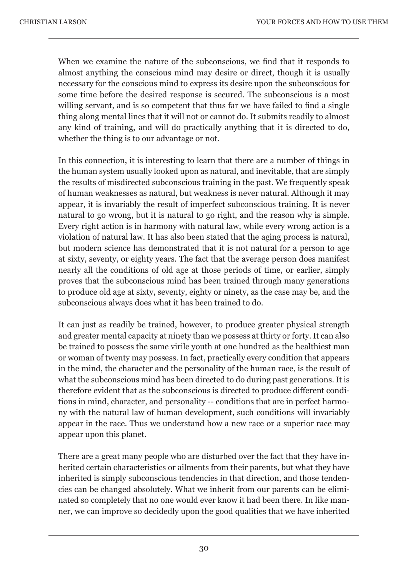When we examine the nature of the subconscious, we find that it responds to almost anything the conscious mind may desire or direct, though it is usually necessary for the conscious mind to express its desire upon the subconscious for some time before the desired response is secured. The subconscious is a most willing servant, and is so competent that thus far we have failed to find a single thing along mental lines that it will not or cannot do. It submits readily to almost any kind of training, and will do practically anything that it is directed to do, whether the thing is to our advantage or not.

In this connection, it is interesting to learn that there are a number of things in the human system usually looked upon as natural, and inevitable, that are simply the results of misdirected subconscious training in the past. We frequently speak of human weaknesses as natural, but weakness is never natural. Although it may appear, it is invariably the result of imperfect subconscious training. It is never natural to go wrong, but it is natural to go right, and the reason why is simple. Every right action is in harmony with natural law, while every wrong action is a violation of natural law. It has also been stated that the aging process is natural, but modern science has demonstrated that it is not natural for a person to age at sixty, seventy, or eighty years. The fact that the average person does manifest nearly all the conditions of old age at those periods of time, or earlier, simply proves that the subconscious mind has been trained through many generations to produce old age at sixty, seventy, eighty or ninety, as the case may be, and the subconscious always does what it has been trained to do.

It can just as readily be trained, however, to produce greater physical strength and greater mental capacity at ninety than we possess at thirty or forty. It can also be trained to possess the same virile youth at one hundred as the healthiest man or woman of twenty may possess. In fact, practically every condition that appears in the mind, the character and the personality of the human race, is the result of what the subconscious mind has been directed to do during past generations. It is therefore evident that as the subconscious is directed to produce different conditions in mind, character, and personality -- conditions that are in perfect harmony with the natural law of human development, such conditions will invariably appear in the race. Thus we understand how a new race or a superior race may appear upon this planet.

There are a great many people who are disturbed over the fact that they have inherited certain characteristics or ailments from their parents, but what they have inherited is simply subconscious tendencies in that direction, and those tendencies can be changed absolutely. What we inherit from our parents can be eliminated so completely that no one would ever know it had been there. In like manner, we can improve so decidedly upon the good qualities that we have inherited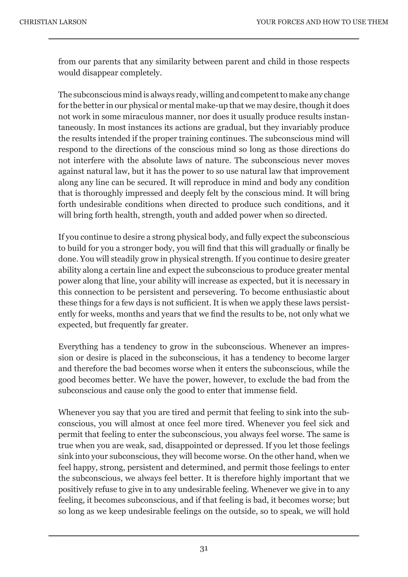from our parents that any similarity between parent and child in those respects would disappear completely.

The subconscious mind is always ready, willing and competent to make any change for the better in our physical or mental make-up that we may desire, though it does not work in some miraculous manner, nor does it usually produce results instantaneously. In most instances its actions are gradual, but they invariably produce the results intended if the proper training continues. The subconscious mind will respond to the directions of the conscious mind so long as those directions do not interfere with the absolute laws of nature. The subconscious never moves against natural law, but it has the power to so use natural law that improvement along any line can be secured. It will reproduce in mind and body any condition that is thoroughly impressed and deeply felt by the conscious mind. It will bring forth undesirable conditions when directed to produce such conditions, and it will bring forth health, strength, youth and added power when so directed.

If you continue to desire a strong physical body, and fully expect the subconscious to build for you a stronger body, you will find that this will gradually or finally be done. You will steadily grow in physical strength. If you continue to desire greater ability along a certain line and expect the subconscious to produce greater mental power along that line, your ability will increase as expected, but it is necessary in this connection to be persistent and persevering. To become enthusiastic about these things for a few days is not sufficient. It is when we apply these laws persistently for weeks, months and years that we find the results to be, not only what we expected, but frequently far greater.

Everything has a tendency to grow in the subconscious. Whenever an impression or desire is placed in the subconscious, it has a tendency to become larger and therefore the bad becomes worse when it enters the subconscious, while the good becomes better. We have the power, however, to exclude the bad from the subconscious and cause only the good to enter that immense field.

Whenever you say that you are tired and permit that feeling to sink into the subconscious, you will almost at once feel more tired. Whenever you feel sick and permit that feeling to enter the subconscious, you always feel worse. The same is true when you are weak, sad, disappointed or depressed. If you let those feelings sink into your subconscious, they will become worse. On the other hand, when we feel happy, strong, persistent and determined, and permit those feelings to enter the subconscious, we always feel better. It is therefore highly important that we positively refuse to give in to any undesirable feeling. Whenever we give in to any feeling, it becomes subconscious, and if that feeling is bad, it becomes worse; but so long as we keep undesirable feelings on the outside, so to speak, we will hold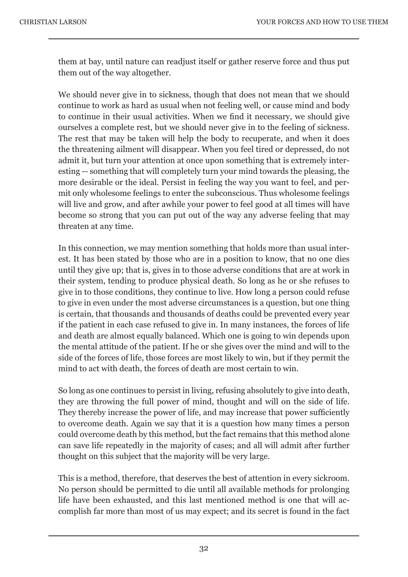them at bay, until nature can readjust itself or gather reserve force and thus put them out of the way altogether.

We should never give in to sickness, though that does not mean that we should continue to work as hard as usual when not feeling well, or cause mind and body to continue in their usual activities. When we find it necessary, we should give ourselves a complete rest, but we should never give in to the feeling of sickness. The rest that may be taken will help the body to recuperate, and when it does the threatening ailment will disappear. When you feel tired or depressed, do not admit it, but turn your attention at once upon something that is extremely interesting -- something that will completely turn your mind towards the pleasing, the more desirable or the ideal. Persist in feeling the way you want to feel, and permit only wholesome feelings to enter the subconscious. Thus wholesome feelings will live and grow, and after awhile your power to feel good at all times will have become so strong that you can put out of the way any adverse feeling that may threaten at any time.

In this connection, we may mention something that holds more than usual interest. It has been stated by those who are in a position to know, that no one dies until they give up; that is, gives in to those adverse conditions that are at work in their system, tending to produce physical death. So long as he or she refuses to give in to those conditions, they continue to live. How long a person could refuse to give in even under the most adverse circumstances is a question, but one thing is certain, that thousands and thousands of deaths could be prevented every year if the patient in each case refused to give in. In many instances, the forces of life and death are almost equally balanced. Which one is going to win depends upon the mental attitude of the patient. If he or she gives over the mind and will to the side of the forces of life, those forces are most likely to win, but if they permit the mind to act with death, the forces of death are most certain to win.

So long as one continues to persist in living, refusing absolutely to give into death, they are throwing the full power of mind, thought and will on the side of life. They thereby increase the power of life, and may increase that power sufficiently to overcome death. Again we say that it is a question how many times a person could overcome death by this method, but the fact remains that this method alone can save life repeatedly in the majority of cases; and all will admit after further thought on this subject that the majority will be very large.

This is a method, therefore, that deserves the best of attention in every sickroom. No person should be permitted to die until all available methods for prolonging life have been exhausted, and this last mentioned method is one that will accomplish far more than most of us may expect; and its secret is found in the fact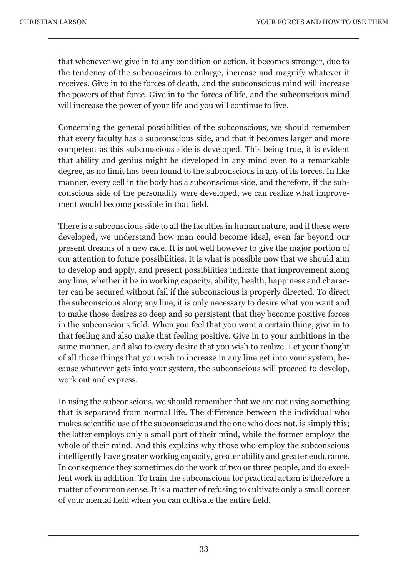that whenever we give in to any condition or action, it becomes stronger, due to the tendency of the subconscious to enlarge, increase and magnify whatever it receives. Give in to the forces of death, and the subconscious mind will increase the powers of that force. Give in to the forces of life, and the subconscious mind will increase the power of your life and you will continue to live.

Concerning the general possibilities of the subconscious, we should remember that every faculty has a subconscious side, and that it becomes larger and more competent as this subconscious side is developed. This being true, it is evident that ability and genius might be developed in any mind even to a remarkable degree, as no limit has been found to the subconscious in any of its forces. In like manner, every cell in the body has a subconscious side, and therefore, if the subconscious side of the personality were developed, we can realize what improvement would become possible in that field.

There is a subconscious side to all the faculties in human nature, and if these were developed, we understand how man could become ideal, even far beyond our present dreams of a new race. It is not well however to give the major portion of our attention to future possibilities. It is what is possible now that we should aim to develop and apply, and present possibilities indicate that improvement along any line, whether it be in working capacity, ability, health, happiness and character can be secured without fail if the subconscious is properly directed. To direct the subconscious along any line, it is only necessary to desire what you want and to make those desires so deep and so persistent that they become positive forces in the subconscious field. When you feel that you want a certain thing, give in to that feeling and also make that feeling positive. Give in to your ambitions in the same manner, and also to every desire that you wish to realize. Let your thought of all those things that you wish to increase in any line get into your system, because whatever gets into your system, the subconscious will proceed to develop, work out and express.

In using the subconscious, we should remember that we are not using something that is separated from normal life. The difference between the individual who makes scientific use of the subconscious and the one who does not, is simply this; the latter employs only a small part of their mind, while the former employs the whole of their mind. And this explains why those who employ the subconscious intelligently have greater working capacity, greater ability and greater endurance. In consequence they sometimes do the work of two or three people, and do excellent work in addition. To train the subconscious for practical action is therefore a matter of common sense. It is a matter of refusing to cultivate only a small corner of your mental field when you can cultivate the entire field.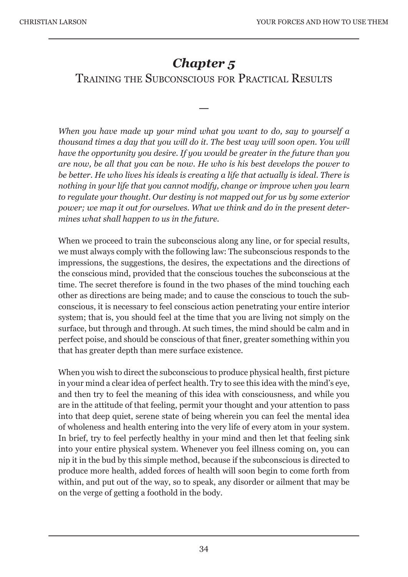#### *Chapter 5* TRAINING THE SUBCONSCIOUS FOR PRACTICAL RESULTS

—

*When you have made up your mind what you want to do, say to yourself a thousand times a day that you will do it. The best way will soon open. You will have the opportunity you desire. If you would be greater in the future than you are now, be all that you can be now. He who is his best develops the power to be better. He who lives his ideals is creating a life that actually is ideal. There is nothing in your life that you cannot modify, change or improve when you learn to regulate your thought. Our destiny is not mapped out for us by some exterior power; we map it out for ourselves. What we think and do in the present determines what shall happen to us in the future.*

When we proceed to train the subconscious along any line, or for special results, we must always comply with the following law: The subconscious responds to the impressions, the suggestions, the desires, the expectations and the directions of the conscious mind, provided that the conscious touches the subconscious at the time. The secret therefore is found in the two phases of the mind touching each other as directions are being made; and to cause the conscious to touch the subconscious, it is necessary to feel conscious action penetrating your entire interior system; that is, you should feel at the time that you are living not simply on the surface, but through and through. At such times, the mind should be calm and in perfect poise, and should be conscious of that finer, greater something within you that has greater depth than mere surface existence.

When you wish to direct the subconscious to produce physical health, first picture in your mind a clear idea of perfect health. Try to see this idea with the mind's eye, and then try to feel the meaning of this idea with consciousness, and while you are in the attitude of that feeling, permit your thought and your attention to pass into that deep quiet, serene state of being wherein you can feel the mental idea of wholeness and health entering into the very life of every atom in your system. In brief, try to feel perfectly healthy in your mind and then let that feeling sink into your entire physical system. Whenever you feel illness coming on, you can nip it in the bud by this simple method, because if the subconscious is directed to produce more health, added forces of health will soon begin to come forth from within, and put out of the way, so to speak, any disorder or ailment that may be on the verge of getting a foothold in the body.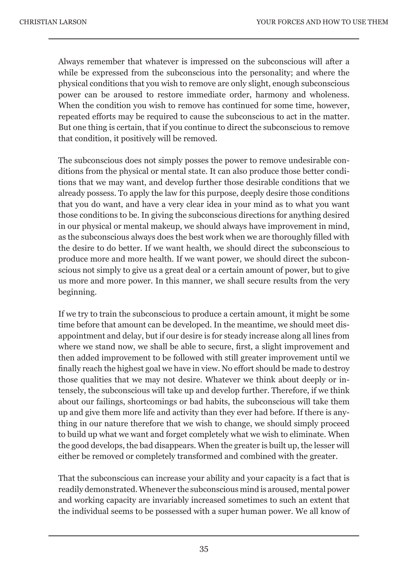Always remember that whatever is impressed on the subconscious will after a while be expressed from the subconscious into the personality; and where the physical conditions that you wish to remove are only slight, enough subconscious power can be aroused to restore immediate order, harmony and wholeness. When the condition you wish to remove has continued for some time, however, repeated efforts may be required to cause the subconscious to act in the matter. But one thing is certain, that if you continue to direct the subconscious to remove that condition, it positively will be removed.

The subconscious does not simply posses the power to remove undesirable conditions from the physical or mental state. It can also produce those better conditions that we may want, and develop further those desirable conditions that we already possess. To apply the law for this purpose, deeply desire those conditions that you do want, and have a very clear idea in your mind as to what you want those conditions to be. In giving the subconscious directions for anything desired in our physical or mental makeup, we should always have improvement in mind, as the subconscious always does the best work when we are thoroughly filled with the desire to do better. If we want health, we should direct the subconscious to produce more and more health. If we want power, we should direct the subconscious not simply to give us a great deal or a certain amount of power, but to give us more and more power. In this manner, we shall secure results from the very beginning.

If we try to train the subconscious to produce a certain amount, it might be some time before that amount can be developed. In the meantime, we should meet disappointment and delay, but if our desire is for steady increase along all lines from where we stand now, we shall be able to secure, first, a slight improvement and then added improvement to be followed with still greater improvement until we finally reach the highest goal we have in view. No effort should be made to destroy those qualities that we may not desire. Whatever we think about deeply or intensely, the subconscious will take up and develop further. Therefore, if we think about our failings, shortcomings or bad habits, the subconscious will take them up and give them more life and activity than they ever had before. If there is anything in our nature therefore that we wish to change, we should simply proceed to build up what we want and forget completely what we wish to eliminate. When the good develops, the bad disappears. When the greater is built up, the lesser will either be removed or completely transformed and combined with the greater.

That the subconscious can increase your ability and your capacity is a fact that is readily demonstrated. Whenever the subconscious mind is aroused, mental power and working capacity are invariably increased sometimes to such an extent that the individual seems to be possessed with a super human power. We all know of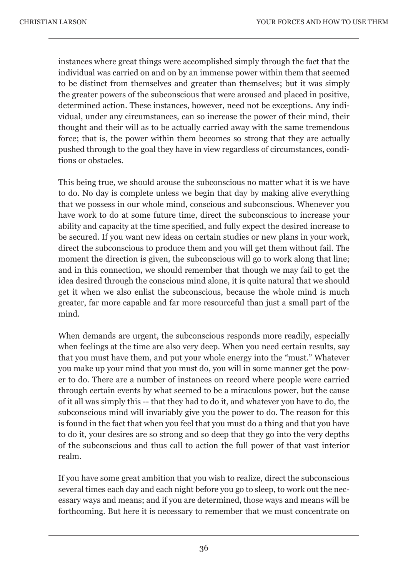instances where great things were accomplished simply through the fact that the individual was carried on and on by an immense power within them that seemed to be distinct from themselves and greater than themselves; but it was simply the greater powers of the subconscious that were aroused and placed in positive, determined action. These instances, however, need not be exceptions. Any individual, under any circumstances, can so increase the power of their mind, their thought and their will as to be actually carried away with the same tremendous force; that is, the power within them becomes so strong that they are actually pushed through to the goal they have in view regardless of circumstances, conditions or obstacles.

This being true, we should arouse the subconscious no matter what it is we have to do. No day is complete unless we begin that day by making alive everything that we possess in our whole mind, conscious and subconscious. Whenever you have work to do at some future time, direct the subconscious to increase your ability and capacity at the time specified, and fully expect the desired increase to be secured. If you want new ideas on certain studies or new plans in your work, direct the subconscious to produce them and you will get them without fail. The moment the direction is given, the subconscious will go to work along that line; and in this connection, we should remember that though we may fail to get the idea desired through the conscious mind alone, it is quite natural that we should get it when we also enlist the subconscious, because the whole mind is much greater, far more capable and far more resourceful than just a small part of the mind.

When demands are urgent, the subconscious responds more readily, especially when feelings at the time are also very deep. When you need certain results, say that you must have them, and put your whole energy into the "must." Whatever you make up your mind that you must do, you will in some manner get the power to do. There are a number of instances on record where people were carried through certain events by what seemed to be a miraculous power, but the cause of it all was simply this -- that they had to do it, and whatever you have to do, the subconscious mind will invariably give you the power to do. The reason for this is found in the fact that when you feel that you must do a thing and that you have to do it, your desires are so strong and so deep that they go into the very depths of the subconscious and thus call to action the full power of that vast interior realm.

If you have some great ambition that you wish to realize, direct the subconscious several times each day and each night before you go to sleep, to work out the necessary ways and means; and if you are determined, those ways and means will be forthcoming. But here it is necessary to remember that we must concentrate on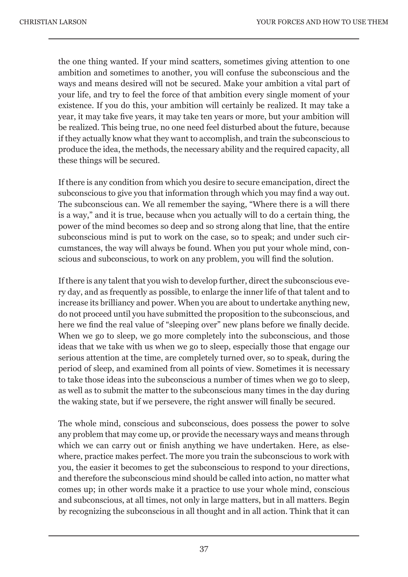the one thing wanted. If your mind scatters, sometimes giving attention to one ambition and sometimes to another, you will confuse the subconscious and the ways and means desired will not be secured. Make your ambition a vital part of your life, and try to feel the force of that ambition every single moment of your existence. If you do this, your ambition will certainly be realized. It may take a year, it may take five years, it may take ten years or more, but your ambition will be realized. This being true, no one need feel disturbed about the future, because if they actually know what they want to accomplish, and train the subconscious to produce the idea, the methods, the necessary ability and the required capacity, all these things will be secured.

If there is any condition from which you desire to secure emancipation, direct the subconscious to give you that information through which you may find a way out. The subconscious can. We all remember the saying, "Where there is a will there is a way," and it is true, because whcn you actually will to do a certain thing, the power of the mind becomes so deep and so strong along that line, that the entire subconscious mind is put to work on the case, so to speak; and under such circumstances, the way will always be found. When you put your whole mind, conscious and subconscious, to work on any problem, you will find the solution.

If there is any talent that you wish to develop further, direct the subconscious every day, and as frequently as possible, to enlarge the inner life of that talent and to increase its brilliancy and power. When you are about to undertake anything new, do not proceed until you have submitted the proposition to the subconscious, and here we find the real value of "sleeping over" new plans before we finally decide. When we go to sleep, we go more completely into the subconscious, and those ideas that we take with us when we go to sleep, especially those that engage our serious attention at the time, are completely turned over, so to speak, during the period of sleep, and examined from all points of view. Sometimes it is necessary to take those ideas into the subconscious a number of times when we go to sleep, as well as to submit the matter to the subconscious many times in the day during the waking state, but if we persevere, the right answer will finally be secured.

The whole mind, conscious and subconscious, does possess the power to solve any problem that may come up, or provide the necessary ways and means through which we can carry out or finish anything we have undertaken. Here, as elsewhere, practice makes perfect. The more you train the subconscious to work with you, the easier it becomes to get the subconscious to respond to your directions, and therefore the subconscious mind should be called into action, no matter what comes up; in other words make it a practice to use your whole mind, conscious and subconscious, at all times, not only in large matters, but in all matters. Begin by recognizing the subconscious in all thought and in all action. Think that it can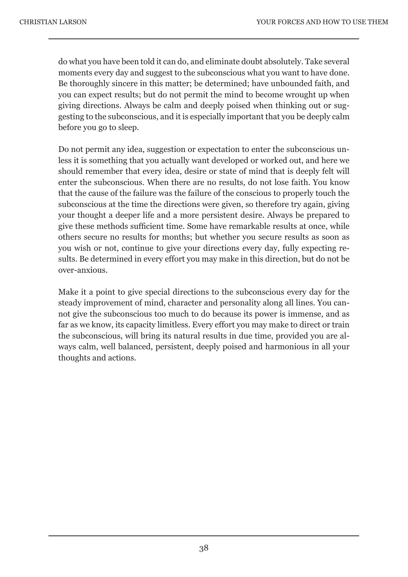do what you have been told it can do, and eliminate doubt absolutely. Take several moments every day and suggest to the subconscious what you want to have done. Be thoroughly sincere in this matter; be determined; have unbounded faith, and you can expect results; but do not permit the mind to become wrought up when giving directions. Always be calm and deeply poised when thinking out or suggesting to the subconscious, and it is especially important that you be deeply calm before you go to sleep.

Do not permit any idea, suggestion or expectation to enter the subconscious unless it is something that you actually want developed or worked out, and here we should remember that every idea, desire or state of mind that is deeply felt will enter the subconscious. When there are no results, do not lose faith. You know that the cause of the failure was the failure of the conscious to properly touch the subconscious at the time the directions were given, so therefore try again, giving your thought a deeper life and a more persistent desire. Always be prepared to give these methods sufficient time. Some have remarkable results at once, while others secure no results for months; but whether you secure results as soon as you wish or not, continue to give your directions every day, fully expecting results. Be determined in every effort you may make in this direction, but do not be over-anxious.

Make it a point to give special directions to the subconscious every day for the steady improvement of mind, character and personality along all lines. You cannot give the subconscious too much to do because its power is immense, and as far as we know, its capacity limitless. Every effort you may make to direct or train the subconscious, will bring its natural results in due time, provided you are always calm, well balanced, persistent, deeply poised and harmonious in all your thoughts and actions.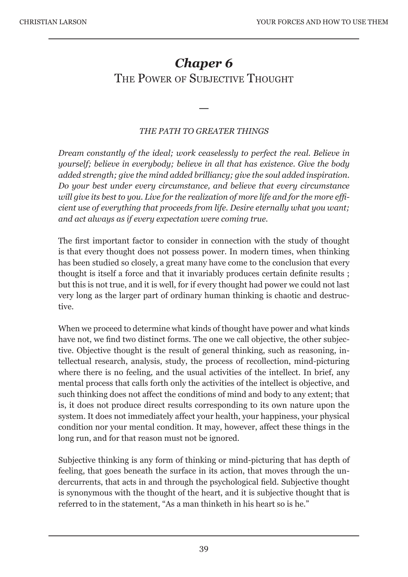#### *Chaper 6* THE POWER OF SUBJECTIVE THOUGHT

#### *THE PATH TO GREATER THINGS*

—

*Dream constantly of the ideal; work ceaselessly to perfect the real. Believe in yourself; believe in everybody; believe in all that has existence. Give the body added strength; give the mind added brilliancy; give the soul added inspiration. Do your best under every circumstance, and believe that every circumstance will give its best to you. Live for the realization of more life and for the more efficient use of everything that proceeds from life. Desire eternally what you want; and act always as if every expectation were coming true.*

The first important factor to consider in connection with the study of thought is that every thought does not possess power. In modern times, when thinking has been studied so closely, a great many have come to the conclusion that every thought is itself a force and that it invariably produces certain definite results ; but this is not true, and it is well, for if every thought had power we could not last very long as the larger part of ordinary human thinking is chaotic and destructive.

When we proceed to determine what kinds of thought have power and what kinds have not, we find two distinct forms. The one we call objective, the other subjective. Objective thought is the result of general thinking, such as reasoning, intellectual research, analysis, study, the process of recollection, mind-picturing where there is no feeling, and the usual activities of the intellect. In brief, any mental process that calls forth only the activities of the intellect is objective, and such thinking does not affect the conditions of mind and body to any extent; that is, it does not produce direct results corresponding to its own nature upon the system. It does not immediately affect your health, your happiness, your physical condition nor your mental condition. It may, however, affect these things in the long run, and for that reason must not be ignored.

Subjective thinking is any form of thinking or mind-picturing that has depth of feeling, that goes beneath the surface in its action, that moves through the undercurrents, that acts in and through the psychological field. Subjective thought is synonymous with the thought of the heart, and it is subjective thought that is referred to in the statement, "As a man thinketh in his heart so is he."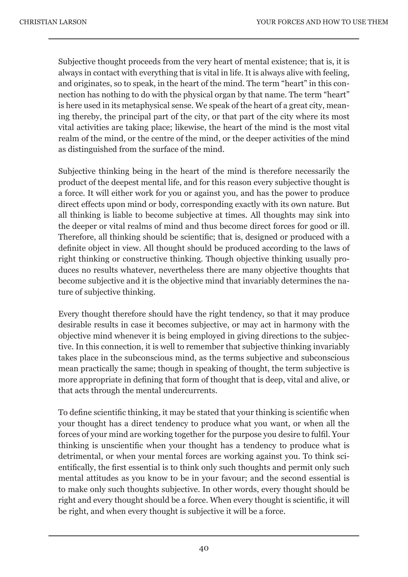Subjective thought proceeds from the very heart of mental existence; that is, it is always in contact with everything that is vital in life. It is always alive with feeling, and originates, so to speak, in the heart of the mind. The term "heart" in this connection has nothing to do with the physical organ by that name. The term "heart" is here used in its metaphysical sense. We speak of the heart of a great city, meaning thereby, the principal part of the city, or that part of the city where its most vital activities are taking place; likewise, the heart of the mind is the most vital realm of the mind, or the centre of the mind, or the deeper activities of the mind as distinguished from the surface of the mind.

Subjective thinking being in the heart of the mind is therefore necessarily the product of the deepest mental life, and for this reason every subjective thought is a force. It will either work for you or against you, and has the power to produce direct effects upon mind or body, corresponding exactly with its own nature. But all thinking is liable to become subjective at times. All thoughts may sink into the deeper or vital realms of mind and thus become direct forces for good or ill. Therefore, all thinking should be scientific; that is, designed or produced with a definite object in view. All thought should be produced according to the laws of right thinking or constructive thinking. Though objective thinking usually produces no results whatever, nevertheless there are many objective thoughts that become subjective and it is the objective mind that invariably determines the nature of subjective thinking.

Every thought therefore should have the right tendency, so that it may produce desirable results in case it becomes subjective, or may act in harmony with the objective mind whenever it is being employed in giving directions to the subjective. In this connection, it is well to remember that subjective thinking invariably takes place in the subconscious mind, as the terms subjective and subconscious mean practically the same; though in speaking of thought, the term subjective is more appropriate in defining that form of thought that is deep, vital and alive, or that acts through the mental undercurrents.

To define scientific thinking, it may be stated that your thinking is scientific when your thought has a direct tendency to produce what you want, or when all the forces of your mind are working together for the purpose you desire to fulfil. Your thinking is unscientific when your thought has a tendency to produce what is detrimental, or when your mental forces are working against you. To think scientifically, the first essential is to think only such thoughts and permit only such mental attitudes as you know to be in your favour; and the second essential is to make only such thoughts subjective. In other words, every thought should be right and every thought should be a force. When every thought is scientific, it will be right, and when every thought is subjective it will be a force.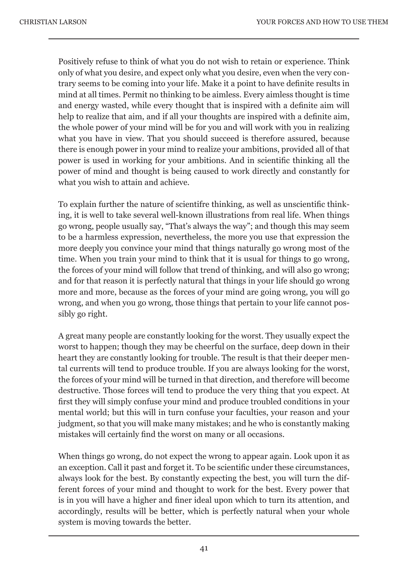Positively refuse to think of what you do not wish to retain or experience. Think only of what you desire, and expect only what you desire, even when the very contrary seems to be coming into your life. Make it a point to have definite results in mind at all times. Permit no thinking to be aimless. Every aimless thought is time and energy wasted, while every thought that is inspired with a definite aim will help to realize that aim, and if all your thoughts are inspired with a definite aim, the whole power of your mind will be for you and will work with you in realizing what you have in view. That you should succeed is therefore assured, because there is enough power in your mind to realize your ambitions, provided all of that power is used in working for your ambitions. And in scientific thinking all the power of mind and thought is being caused to work directly and constantly for what you wish to attain and achieve.

To explain further the nature of scientifre thinking, as well as unscientific thinking, it is well to take several well-known illustrations from real life. When things go wrong, people usually say, "That's always the way"; and though this may seem to be a harmless expression, nevertheless, the more you use that expression the more deeply you convince your mind that things naturally go wrong most of the time. When you train your mind to think that it is usual for things to go wrong, the forces of your mind will follow that trend of thinking, and will also go wrong; and for that reason it is perfectly natural that things in your life should go wrong more and more, because as the forces of your mind are going wrong, you will go wrong, and when you go wrong, those things that pertain to your life cannot possibly go right.

A great many people are constantly looking for the worst. They usually expect the worst to happen; though they may be cheerful on the surface, deep down in their heart they are constantly looking for trouble. The result is that their deeper mental currents will tend to produce trouble. If you are always looking for the worst, the forces of your mind will be turned in that direction, and therefore will become destructive. Those forces will tend to produce the very thing that you expect. At first they will simply confuse your mind and produce troubled conditions in your mental world; but this will in turn confuse your faculties, your reason and your judgment, so that you will make many mistakes; and he who is constantly making mistakes will certainly find the worst on many or all occasions.

When things go wrong, do not expect the wrong to appear again. Look upon it as an exception. Call it past and forget it. To be scientific under these circumstances, always look for the best. By constantly expecting the best, you will turn the different forces of your mind and thought to work for the best. Every power that is in you will have a higher and finer ideal upon which to turn its attention, and accordingly, results will be better, which is perfectly natural when your whole system is moving towards the better.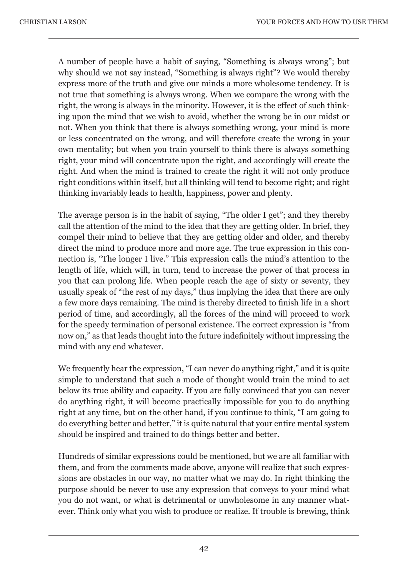A number of people have a habit of saying, "Something is always wrong"; but why should we not say instead, "Something is always right"? We would thereby express more of the truth and give our minds a more wholesome tendency. It is not true that something is always wrong. When we compare the wrong with the right, the wrong is always in the minority. However, it is the effect of such thinking upon the mind that we wish to avoid, whether the wrong be in our midst or not. When you think that there is always something wrong, your mind is more or less concentrated on the wrong, and will therefore create the wrong in your own mentality; but when you train yourself to think there is always something right, your mind will concentrate upon the right, and accordingly will create the right. And when the mind is trained to create the right it will not only produce right conditions within itself, but all thinking will tend to become right; and right thinking invariably leads to health, happiness, power and plenty.

The average person is in the habit of saying, "The older I get"; and they thereby call the attention of the mind to the idea that they are getting older. In brief, they compel their mind to believe that they are getting older and older, and thereby direct the mind to produce more and more age. The true expression in this connection is, "The longer I live." This expression calls the mind's attention to the length of life, which will, in turn, tend to increase the power of that process in you that can prolong life. When people reach the age of sixty or seventy, they usually speak of "the rest of my days," thus implying the idea that there are only a few more days remaining. The mind is thereby directed to finish life in a short period of time, and accordingly, all the forces of the mind will proceed to work for the speedy termination of personal existence. The correct expression is "from now on," as that leads thought into the future indefinitely without impressing the mind with any end whatever.

We frequently hear the expression, "I can never do anything right," and it is quite simple to understand that such a mode of thought would train the mind to act below its true ability and capacity. If you are fully convinced that you can never do anything right, it will become practically impossible for you to do anything right at any time, but on the other hand, if you continue to think, "I am going to do everything better and better," it is quite natural that your entire mental system should be inspired and trained to do things better and better.

Hundreds of similar expressions could be mentioned, but we are all familiar with them, and from the comments made above, anyone will realize that such expressions are obstacles in our way, no matter what we may do. In right thinking the purpose should be never to use any expression that conveys to your mind what you do not want, or what is detrimental or unwholesome in any manner whatever. Think only what you wish to produce or realize. If trouble is brewing, think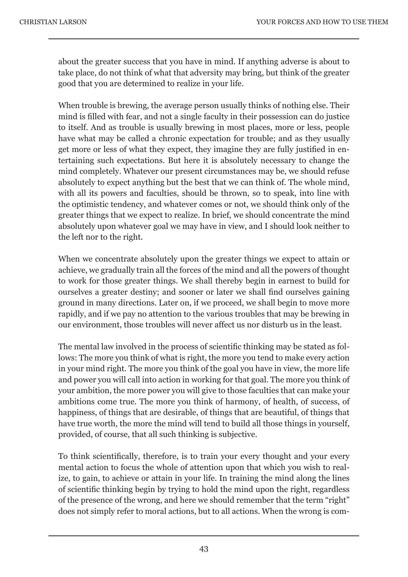about the greater success that you have in mind. If anything adverse is about to take place, do not think of what that adversity may bring, but think of the greater good that you are determined to realize in your life.

When trouble is brewing, the average person usually thinks of nothing else. Their mind is filled with fear, and not a single faculty in their possession can do justice to itself. And as trouble is usually brewing in most places, more or less, people have what may be called a chronic expectation for trouble; and as they usually get more or less of what they expect, they imagine they are fully justified in entertaining such expectations. But here it is absolutely necessary to change the mind completely. Whatever our present circumstances may be, we should refuse absolutely to expect anything but the best that we can think of. The whole mind, with all its powers and faculties, should be thrown, so to speak, into line with the optimistic tendency, and whatever comes or not, we should think only of the greater things that we expect to realize. In brief, we should concentrate the mind absolutely upon whatever goal we may have in view, and I should look neither to the left nor to the right.

When we concentrate absolutely upon the greater things we expect to attain or achieve, we gradually train all the forces of the mind and all the powers of thought to work for those greater things. We shall thereby begin in earnest to build for ourselves a greater destiny; and sooner or later we shall find ourselves gaining ground in many directions. Later on, if we proceed, we shall begin to move more rapidly, and if we pay no attention to the various troubles that may be brewing in our environment, those troubles will never affect us nor disturb us in the least.

The mental law involved in the process of scientific thinking may be stated as follows: The more you think of what is right, the more you tend to make every action in your mind right. The more you think of the goal you have in view, the more life and power you will call into action in working for that goal. The more you think of your ambition, the more power you will give to those faculties that can make your ambitions come true. The more you think of harmony, of health, of success, of happiness, of things that are desirable, of things that are beautiful, of things that have true worth, the more the mind will tend to build all those things in yourself, provided, of course, that all such thinking is subjective.

To think scientifically, therefore, is to train your every thought and your every mental action to focus the whole of attention upon that which you wish to realize, to gain, to achieve or attain in your life. In training the mind along the lines of scientific thinking begin by trying to hold the mind upon the right, regardless of the presence of the wrong, and here we should remember that the term "right" does not simply refer to moral actions, but to all actions. When the wrong is com-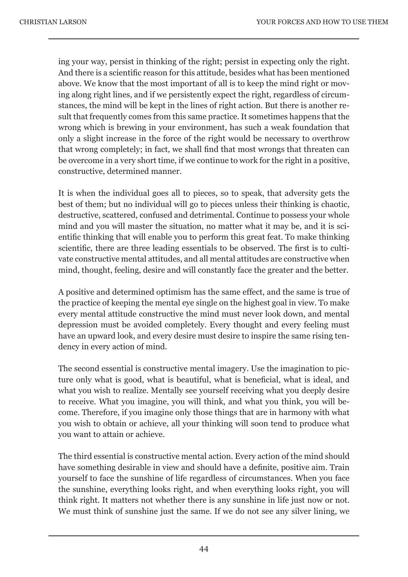ing your way, persist in thinking of the right; persist in expecting only the right. And there is a scientific reason for this attitude, besides what has been mentioned above. We know that the most important of all is to keep the mind right or moving along right lines, and if we persistently expect the right, regardless of circumstances, the mind will be kept in the lines of right action. But there is another result that frequently comes from this same practice. It sometimes happens that the wrong which is brewing in your environment, has such a weak foundation that only a slight increase in the force of the right would be necessary to overthrow that wrong completely; in fact, we shall find that most wrongs that threaten can be overcome in a very short time, if we continue to work for the right in a positive, constructive, determined manner.

It is when the individual goes all to pieces, so to speak, that adversity gets the best of them; but no individual will go to pieces unless their thinking is chaotic, destructive, scattered, confused and detrimental. Continue to possess your whole mind and you will master the situation, no matter what it may be, and it is scientific thinking that will enable you to perform this great feat. To make thinking scientific, there are three leading essentials to be observed. The first is to cultivate constructive mental attitudes, and all mental attitudes are constructive when mind, thought, feeling, desire and will constantly face the greater and the better.

A positive and determined optimism has the same effect, and the same is true of the practice of keeping the mental eye single on the highest goal in view. To make every mental attitude constructive the mind must never look down, and mental depression must be avoided completely. Every thought and every feeling must have an upward look, and every desire must desire to inspire the same rising tendency in every action of mind.

The second essential is constructive mental imagery. Use the imagination to picture only what is good, what is beautiful, what is beneficial, what is ideal, and what you wish to realize. Mentally see yourself receiving what you deeply desire to receive. What you imagine, you will think, and what you think, you will become. Therefore, if you imagine only those things that are in harmony with what you wish to obtain or achieve, all your thinking will soon tend to produce what you want to attain or achieve.

The third essential is constructive mental action. Every action of the mind should have something desirable in view and should have a definite, positive aim. Train yourself to face the sunshine of life regardless of circumstances. When you face the sunshine, everything looks right, and when everything looks right, you will think right. It matters not whether there is any sunshine in life just now or not. We must think of sunshine just the same. If we do not see any silver lining, we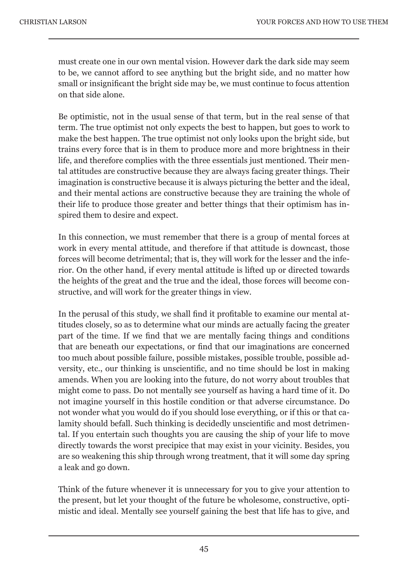must create one in our own mental vision. However dark the dark side may seem to be, we cannot afford to see anything but the bright side, and no matter how small or insignificant the bright side may be, we must continue to focus attention on that side alone.

Be optimistic, not in the usual sense of that term, but in the real sense of that term. The true optimist not only expects the best to happen, but goes to work to make the best happen. The true optimist not only looks upon the bright side, but trains every force that is in them to produce more and more brightness in their life, and therefore complies with the three essentials just mentioned. Their mental attitudes are constructive because they are always facing greater things. Their imagination is constructive because it is always picturing the better and the ideal, and their mental actions are constructive because they are training the whole of their life to produce those greater and better things that their optimism has inspired them to desire and expect.

In this connection, we must remember that there is a group of mental forces at work in every mental attitude, and therefore if that attitude is downcast, those forces will become detrimental; that is, they will work for the lesser and the inferior. On the other hand, if every mental attitude is lifted up or directed towards the heights of the great and the true and the ideal, those forces will become constructive, and will work for the greater things in view.

In the perusal of this study, we shall find it profitable to examine our mental attitudes closely, so as to determine what our minds are actually facing the greater part of the time. If we find that we are mentally facing things and conditions that are beneath our expectations, or find that our imaginations are concerned too much about possible failure, possible mistakes, possible trouble, possible adversity, etc., our thinking is unscientific, and no time should be lost in making amends. When you are looking into the future, do not worry about troubles that might come to pass. Do not mentally see yourself as having a hard time of it. Do not imagine yourself in this hostile condition or that adverse circumstance. Do not wonder what you would do if you should lose everything, or if this or that calamity should befall. Such thinking is decidedly unscientific and most detrimental. If you entertain such thoughts you are causing the ship of your life to move directly towards the worst precipice that may exist in your vicinity. Besides, you are so weakening this ship through wrong treatment, that it will some day spring a leak and go down.

Think of the future whenever it is unnecessary for you to give your attention to the present, but let your thought of the future be wholesome, constructive, optimistic and ideal. Mentally see yourself gaining the best that life has to give, and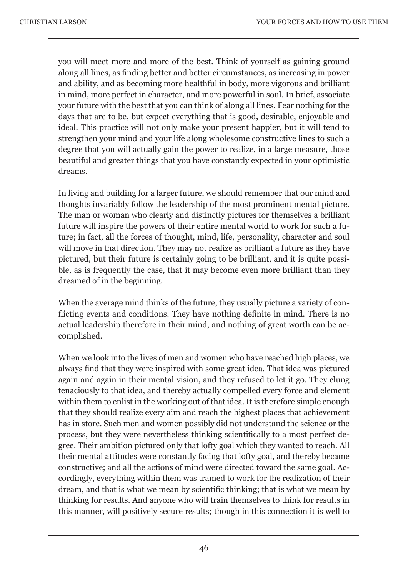you will meet more and more of the best. Think of yourself as gaining ground along all lines, as finding better and better circumstances, as increasing in power and ability, and as becoming more healthful in body, more vigorous and brilliant in mind, more perfect in character, and more powerful in soul. In brief, associate your future with the best that you can think of along all lines. Fear nothing for the days that are to be, but expect everything that is good, desirable, enjoyable and ideal. This practice will not only make your present happier, but it will tend to strengthen your mind and your life along wholesome constructive lines to such a degree that you will actually gain the power to realize, in a large measure, those beautiful and greater things that you have constantly expected in your optimistic dreams.

In living and building for a larger future, we should remember that our mind and thoughts invariably follow the leadership of the most prominent mental picture. The man or woman who clearly and distinctly pictures for themselves a brilliant future will inspire the powers of their entire mental world to work for such a future; in fact, all the forces of thought, mind, life, personality, character and soul will move in that direction. They may not realize as brilliant a future as they have pictured, but their future is certainly going to be brilliant, and it is quite possible, as is frequently the case, that it may become even more brilliant than they dreamed of in the beginning.

When the average mind thinks of the future, they usually picture a variety of conflicting events and conditions. They have nothing definite in mind. There is no actual leadership therefore in their mind, and nothing of great worth can be accomplished.

When we look into the lives of men and women who have reached high places, we always find that they were inspired with some great idea. That idea was pictured again and again in their mental vision, and they refused to let it go. They clung tenaciously to that idea, and thereby actually compelled every force and element within them to enlist in the working out of that idea. It is therefore simple enough that they should realize every aim and reach the highest places that achievement has in store. Such men and women possibly did not understand the science or the process, but they were nevertheless thinking scientifically to a most perfeet degree. Their ambition pictured only that lofty goal which they wanted to reach. All their mental attitudes were constantly facing that lofty goal, and thereby became constructive; and all the actions of mind were directed toward the same goal. Accordingly, everything within them was tramed to work for the realization of their dream, and that is what we mean by scientific thinking; that is what we mean by thinking for results. And anyone who will train themselves to think for results in this manner, will positively secure results; though in this connection it is well to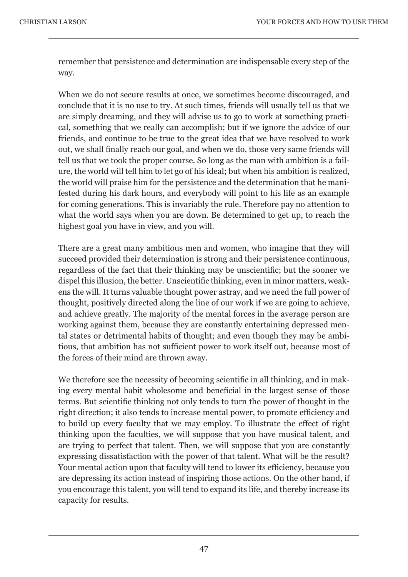remember that persistence and determination are indispensable every step of the way.

When we do not secure results at once, we sometimes become discouraged, and conclude that it is no use to try. At such times, friends will usually tell us that we are simply dreaming, and they will advise us to go to work at something practical, something that we really can accomplish; but if we ignore the advice of our friends, and continue to be true to the great idea that we have resolved to work out, we shall finally reach our goal, and when we do, those very same friends will tell us that we took the proper course. So long as the man with ambition is a failure, the world will tell him to let go of his ideal; but when his ambition is realized, the world will praise him for the persistence and the determination that he manifested during his dark hours, and everybody will point to his life as an example for coming generations. This is invariably the rule. Therefore pay no attention to what the world says when you are down. Be determined to get up, to reach the highest goal you have in view, and you will.

There are a great many ambitious men and women, who imagine that they will succeed provided their determination is strong and their persistence continuous, regardless of the fact that their thinking may be unscientific; but the sooner we dispel this illusion, the better. Unscientific thinking, even in minor matters, weakens the will. It turns valuable thought power astray, and we need the full power of thought, positively directed along the line of our work if we are going to achieve, and achieve greatly. The majority of the mental forces in the average person are working against them, because they are constantly entertaining depressed mental states or detrimental habits of thought; and even though they may be ambitious, that ambition has not sufficient power to work itself out, because most of the forces of their mind are thrown away.

We therefore see the necessity of becoming scientific in all thinking, and in making every mental habit wholesome and beneficial in the largest sense of those terms. But scientific thinking not only tends to turn the power of thought in the right direction; it also tends to increase mental power, to promote efficiency and to build up every faculty that we may employ. To illustrate the effect of right thinking upon the faculties, we will suppose that you have musical talent, and are trying to perfect that talent. Then, we will suppose that you are constantly expressing dissatisfaction with the power of that talent. What will be the result? Your mental action upon that faculty will tend to lower its efficiency, because you are depressing its action instead of inspiring those actions. On the other hand, if you encourage this talent, you will tend to expand its life, and thereby increase its capacity for results.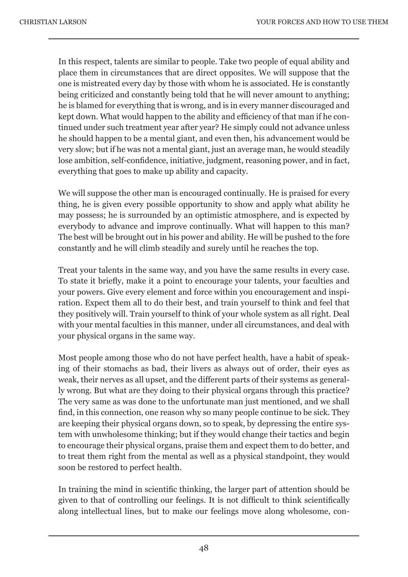In this respect, talents are similar to people. Take two people of equal ability and place them in circumstances that are direct opposites. We will suppose that the one is mistreated every day by those with whom he is associated. He is constantly being criticized and constantly being told that he will never amount to anything; he is blamed for everything that is wrong, and is in every manner discouraged and kept down. What would happen to the ability and efficiency of that man if he continued under such treatment year after year? He simply could not advance unless he should happen to be a mental giant, and even then, his advancement would be very slow; but if he was not a mental giant, just an average man, he would steadily lose ambition, self-confidence, initiative, judgment, reasoning power, and in fact, everything that goes to make up ability and capacity.

We will suppose the other man is encouraged continually. He is praised for every thing, he is given every possible opportunity to show and apply what ability he may possess; he is surrounded by an optimistic atmosphere, and is expected by everybody to advance and improve continually. What will happen to this man? The best will be brought out in his power and ability. He will be pushed to the fore constantly and he will climb steadily and surely until he reaches the top.

Treat your talents in the same way, and you have the same results in every case. To state it briefly, make it a point to encourage your talents, your faculties and your powers. Give every element and force within you encouragement and inspiration. Expect them all to do their best, and train yourself to think and feel that they positively will. Train yourself to think of your whole system as all right. Deal with your mental faculties in this manner, under all circumstances, and deal with your physical organs in the same way.

Most people among those who do not have perfect health, have a habit of speaking of their stomachs as bad, their livers as always out of order, their eyes as weak, their nerves as all upset, and the different parts of their systems as generally wrong. But what are they doing to their physical organs through this practice? The very same as was done to the unfortunate man just mentioned, and we shall find, in this connection, one reason why so many people continue to be sick. They are keeping their physical organs down, so to speak, by depressing the entire system with unwholesome thinking; but if they would change their tactics and begin to encourage their physical organs, praise them and expect them to do better, and to treat them right from the mental as well as a physical standpoint, they would soon be restored to perfect health.

In training the mind in scientific thinking, the larger part of attention should be given to that of controlling our feelings. It is not difficult to think scientifically along intellectual lines, but to make our feelings move along wholesome, con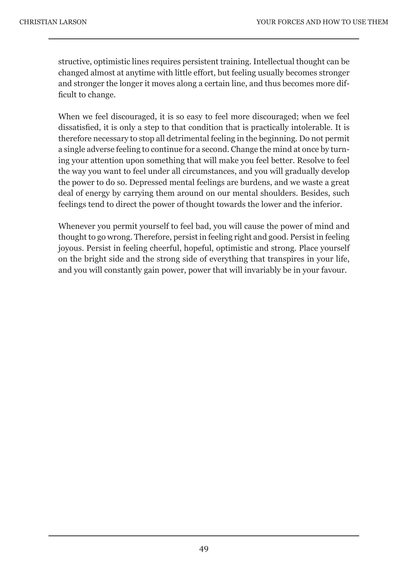structive, optimistic lines requires persistent training. Intellectual thought can be changed almost at anytime with little effort, but feeling usually becomes stronger and stronger the longer it moves along a certain line, and thus becomes more difficult to change.

When we feel discouraged, it is so easy to feel more discouraged; when we feel dissatisfied, it is only a step to that condition that is practically intolerable. It is therefore necessary to stop all detrimental feeling in the beginning. Do not permit a single adverse feeling to continue for a second. Change the mind at once by turning your attention upon something that will make you feel better. Resolve to feel the way you want to feel under all circumstances, and you will gradually develop the power to do so. Depressed mental feelings are burdens, and we waste a great deal of energy by carrying them around on our mental shoulders. Besides, such feelings tend to direct the power of thought towards the lower and the inferior.

Whenever you permit yourself to feel bad, you will cause the power of mind and thought to go wrong. Therefore, persist in feeling right and good. Persist in feeling joyous. Persist in feeling cheerful, hopeful, optimistic and strong. Place yourself on the bright side and the strong side of everything that transpires in your life, and you will constantly gain power, power that will invariably be in your favour.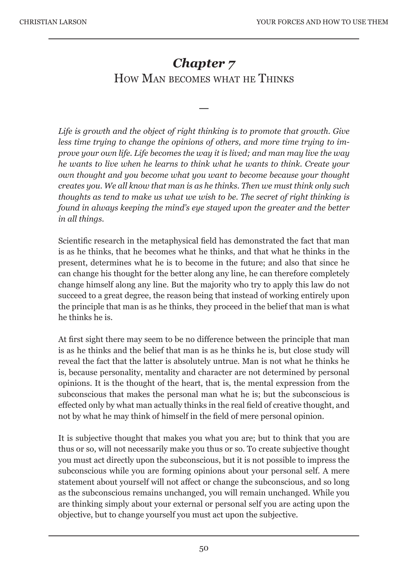#### *Chapter 7* HOW MAN BECOMES WHAT HE THINKS

—

*Life is growth and the object of right thinking is to promote that growth. Give less time trying to change the opinions of others, and more time trying to improve your own life. Life becomes the way it is lived; and man may live the way he wants to live when he learns to think what he wants to think. Create your own thought and you become what you want to become because your thought creates you. We all know that man is as he thinks. Then we must think only such thoughts as tend to make us what we wish to be. The secret of right thinking is found in always keeping the mind's eye stayed upon the greater and the better in all things.*

Scientific research in the metaphysical field has demonstrated the fact that man is as he thinks, that he becomes what he thinks, and that what he thinks in the present, determines what he is to become in the future; and also that since he can change his thought for the better along any line, he can therefore completely change himself along any line. But the majority who try to apply this law do not succeed to a great degree, the reason being that instead of working entirely upon the principle that man is as he thinks, they proceed in the belief that man is what he thinks he is.

At first sight there may seem to be no difference between the principle that man is as he thinks and the belief that man is as he thinks he is, but close study will reveal the fact that the latter is absolutely untrue. Man is not what he thinks he is, because personality, mentality and character are not determined by personal opinions. It is the thought of the heart, that is, the mental expression from the subconscious that makes the personal man what he is; but the subconscious is effected only by what man actually thinks in the real field of creative thought, and not by what he may think of himself in the field of mere personal opinion.

It is subjective thought that makes you what you are; but to think that you are thus or so, will not necessarily make you thus or so. To create subjective thought you must act directly upon the subconscious, but it is not possible to impress the subconscious while you are forming opinions about your personal self. A mere statement about yourself will not affect or change the subconscious, and so long as the subconscious remains unchanged, you will remain unchanged. While you are thinking simply about your external or personal self you are acting upon the objective, but to change yourself you must act upon the subjective.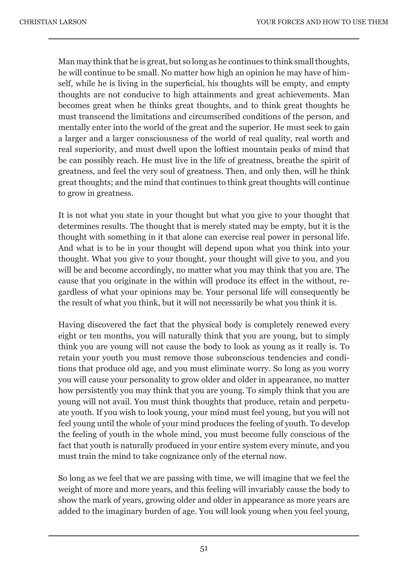Man may think that he is great, but so long as he continues to think small thoughts, he will continue to be small. No matter how high an opinion he may have of himself, while he is living in the superficial, his thoughts will be empty, and empty thoughts are not conducive to high attainments and great achievements. Man becomes great when he thinks great thoughts, and to think great thoughts he must transcend the limitations and circumscribed conditions of the person, and mentally enter into the world of the great and the superior. He must seek to gain a larger and a larger consciousness of the world of real quality, real worth and real superiority, and must dwell upon the loftiest mountain peaks of mind that be can possibly reach. He must live in the life of greatness, breathe the spirit of greatness, and feel the very soul of greatness. Then, and only then, will he think great thoughts; and the mind that continues to think great thoughts will continue to grow in greatness.

It is not what you state in your thought but what you give to your thought that determines results. The thought that is merely stated may be empty, but it is the thought with something in it that alone can exercise real power in personal life. And what is to be in your thought will depend upon what you think into your thought. What you give to your thought, your thought will give to you, and you will be and become accordingly, no matter what you may think that you are. The cause that you originate in the within will produce its effect in the without, regardless of what your opinions may be. Your personal life will consequently be the result of what you think, but it will not necessarily be what you think it is.

Having discovered the fact that the physical body is completely renewed every eight or ten months, you will naturally think that you are young, but to simply think you are young will not cause the body to look as young as it really is. To retain your youth you must remove those subconscious tendencies and conditions that produce old age, and you must eliminate worry. So long as you worry you will cause your personality to grow older and older in appearance, no matter how persistently you may think that you are young. To simply think that you are young will not avail. You must think thoughts that produce, retain and perpetuate youth. If you wish to look young, your mind must feel young, but you will not feel young until the whole of your mind produces the feeling of youth. To develop the feeling of youth in the whole mind, you must become fully conscious of the fact that youth is naturally produced in your entire system every minute, and you must train the mind to take cognizance only of the eternal now.

So long as we feel that we are passing with time, we will imagine that we feel the weight of more and more years, and this feeling will invariably cause the body to show the mark of years, growing older and older in appearance as more years are added to the imaginary burden of age. You will look young when you feel young,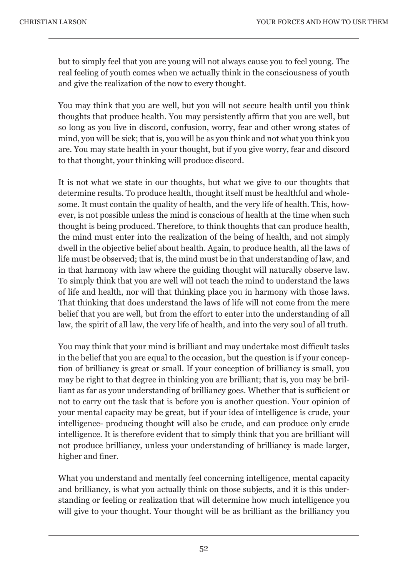but to simply feel that you are young will not always cause you to feel young. The real feeling of youth comes when we actually think in the consciousness of youth and give the realization of the now to every thought.

You may think that you are well, but you will not secure health until you think thoughts that produce health. You may persistently affirm that you are well, but so long as you live in discord, confusion, worry, fear and other wrong states of mind, you will be sick; that is, you will be as you think and not what you think you are. You may state health in your thought, but if you give worry, fear and discord to that thought, your thinking will produce discord.

It is not what we state in our thoughts, but what we give to our thoughts that determine results. To produce health, thought itself must be healthful and wholesome. It must contain the quality of health, and the very life of health. This, however, is not possible unless the mind is conscious of health at the time when such thought is being produced. Therefore, to think thoughts that can produce health, the mind must enter into the realization of the being of health, and not simply dwell in the objective belief about health. Again, to produce health, all the laws of life must be observed; that is, the mind must be in that understanding of law, and in that harmony with law where the guiding thought will naturally observe law. To simply think that you are well will not teach the mind to understand the laws of life and health, nor will that thinking place you in harmony with those laws. That thinking that does understand the laws of life will not come from the mere belief that you are well, but from the effort to enter into the understanding of all law, the spirit of all law, the very life of health, and into the very soul of all truth.

You may think that your mind is brilliant and may undertake most difficult tasks in the belief that you are equal to the occasion, but the question is if your conception of brilliancy is great or small. If your conception of brilliancy is small, you may be right to that degree in thinking you are brilliant; that is, you may be brilliant as far as your understanding of brilliancy goes. Whether that is sufficient or not to carry out the task that is before you is another question. Your opinion of your mental capacity may be great, but if your idea of intelligence is crude, your intelligence- producing thought will also be crude, and can produce only crude intelligence. It is therefore evident that to simply think that you are brilliant will not produce brilliancy, unless your understanding of brilliancy is made larger, higher and finer.

What you understand and mentally feel concerning intelligence, mental capacity and brilliancy, is what you actually think on those subjects, and it is this understanding or feeling or realization that will determine how much intelligence you will give to your thought. Your thought will be as brilliant as the brilliancy you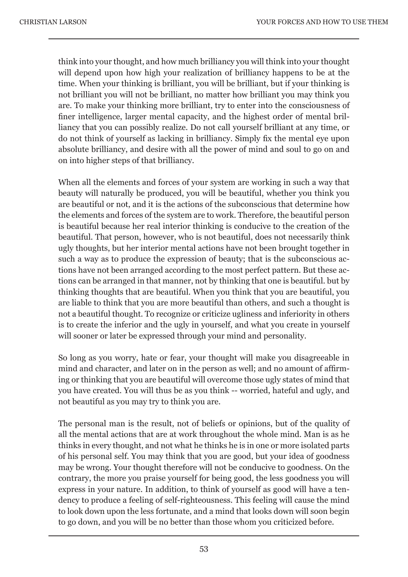think into your thought, and how much brilliancy you will think into your thought will depend upon how high your realization of brilliancy happens to be at the time. When your thinking is brilliant, you will be brilliant, but if your thinking is not brilliant you will not be brilliant, no matter how brilliant you may think you are. To make your thinking more brilliant, try to enter into the consciousness of finer intelligence, larger mental capacity, and the highest order of mental brilliancy that you can possibly realize. Do not call yourself brilliant at any time, or do not think of yourself as lacking in brilliancy. Simply fix the mental eye upon absolute brilliancy, and desire with all the power of mind and soul to go on and on into higher steps of that brilliancy.

When all the elements and forces of your system are working in such a way that beauty will naturally be produced, you will be beautiful, whether you think you are beautiful or not, and it is the actions of the subconscious that determine how the elements and forces of the system are to work. Therefore, the beautiful person is beautiful because her real interior thinking is conducive to the creation of the beautiful. That person, however, who is not beautiful, does not necessarily think ugly thoughts, but her interior mental actions have not been brought together in such a way as to produce the expression of beauty; that is the subconscious actions have not been arranged according to the most perfect pattern. But these actions can be arranged in that manner, not by thinking that one is beautiful. but by thinking thoughts that are beautiful. When you think that you are beautiful, you are liable to think that you are more beautiful than others, and such a thought is not a beautiful thought. To recognize or criticize ugliness and inferiority in others is to create the inferior and the ugly in yourself, and what you create in yourself will sooner or later be expressed through your mind and personality.

So long as you worry, hate or fear, your thought will make you disagreeable in mind and character, and later on in the person as well; and no amount of affirming or thinking that you are beautiful will overcome those ugly states of mind that you have created. You will thus be as you think -- worried, hateful and ugly, and not beautiful as you may try to think you are.

The personal man is the result, not of beliefs or opinions, but of the quality of all the mental actions that are at work throughout the whole mind. Man is as he thinks in every thought, and not what he thinks he is in one or more isolated parts of his personal self. You may think that you are good, but your idea of goodness may be wrong. Your thought therefore will not be conducive to goodness. On the contrary, the more you praise yourself for being good, the less goodness you will express in your nature. In addition, to think of yourself as good will have a tendency to produce a feeling of self-righteousness. This feeling will cause the mind to look down upon the less fortunate, and a mind that looks down will soon begin to go down, and you will be no better than those whom you criticized before.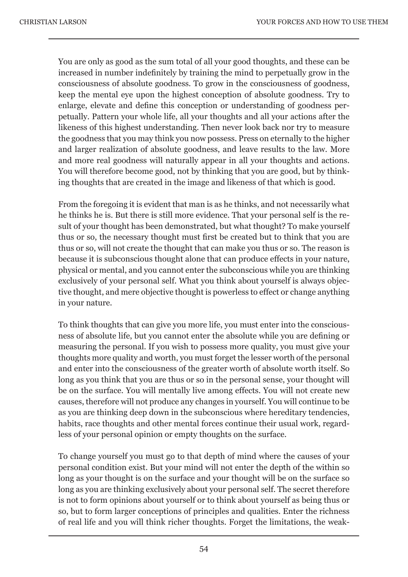You are only as good as the sum total of all your good thoughts, and these can be increased in number indefinitely by training the mind to perpetually grow in the consciousness of absolute goodness. To grow in the consciousness of goodness, keep the mental eye upon the highest conception of absolute goodness. Try to enlarge, elevate and define this conception or understanding of goodness perpetually. Pattern your whole life, all your thoughts and all your actions after the likeness of this highest understanding. Then never look back nor try to measure the goodness that you may think you now possess. Press on eternally to the higher and larger realization of absolute goodness, and leave results to the law. More and more real goodness will naturally appear in all your thoughts and actions. You will therefore become good, not by thinking that you are good, but by thinking thoughts that are created in the image and likeness of that which is good.

From the foregoing it is evident that man is as he thinks, and not necessarily what he thinks he is. But there is still more evidence. That your personal self is the result of your thought has been demonstrated, but what thought? To make yourself thus or so, the necessary thought must first be created but to think that you are thus or so, will not create the thought that can make you thus or so. The reason is because it is subconscious thought alone that can produce effects in your nature, physical or mental, and you cannot enter the subconscious while you are thinking exclusively of your personal self. What you think about yourself is always objective thought, and mere objective thought is powerless to effect or change anything in your nature.

To think thoughts that can give you more life, you must enter into the consciousness of absolute life, but you cannot enter the absolute while you are defining or measuring the personal. If you wish to possess more quality, you must give your thoughts more quality and worth, you must forget the lesser worth of the personal and enter into the consciousness of the greater worth of absolute worth itself. So long as you think that you are thus or so in the personal sense, your thought will be on the surface. You will mentally live among effects. You will not create new causes, therefore will not produce any changes in yourself. You will continue to be as you are thinking deep down in the subconscious where hereditary tendencies, habits, race thoughts and other mental forces continue their usual work, regardless of your personal opinion or empty thoughts on the surface.

To change yourself you must go to that depth of mind where the causes of your personal condition exist. But your mind will not enter the depth of the within so long as your thought is on the surface and your thought will be on the surface so long as you are thinking exclusively about your personal self. The secret therefore is not to form opinions about yourself or to think about yourself as being thus or so, but to form larger conceptions of principles and qualities. Enter the richness of real life and you will think richer thoughts. Forget the limitations, the weak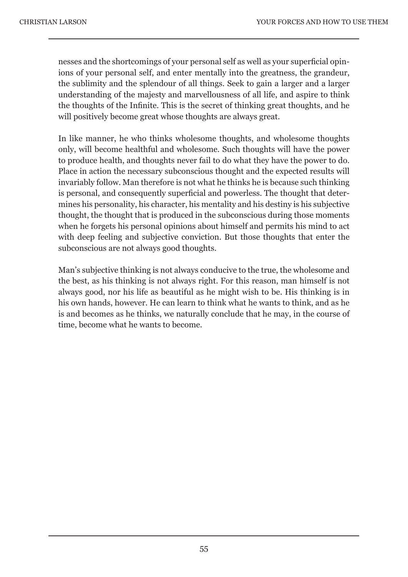nesses and the shortcomings of your personal self as well as your superficial opinions of your personal self, and enter mentally into the greatness, the grandeur, the sublimity and the splendour of all things. Seek to gain a larger and a larger understanding of the majesty and marvellousness of all life, and aspire to think the thoughts of the Infinite. This is the secret of thinking great thoughts, and he will positively become great whose thoughts are always great.

In like manner, he who thinks wholesome thoughts, and wholesome thoughts only, will become healthful and wholesome. Such thoughts will have the power to produce health, and thoughts never fail to do what they have the power to do. Place in action the necessary subconscious thought and the expected results will invariably follow. Man therefore is not what he thinks he is because such thinking is personal, and consequently superficial and powerless. The thought that determines his personality, his character, his mentality and his destiny is his subjective thought, the thought that is produced in the subconscious during those moments when he forgets his personal opinions about himself and permits his mind to act with deep feeling and subjective conviction. But those thoughts that enter the subconscious are not always good thoughts.

Man's subjective thinking is not always conducive to the true, the wholesome and the best, as his thinking is not always right. For this reason, man himself is not always good, nor his life as beautiful as he might wish to be. His thinking is in his own hands, however. He can learn to think what he wants to think, and as he is and becomes as he thinks, we naturally conclude that he may, in the course of time, become what he wants to become.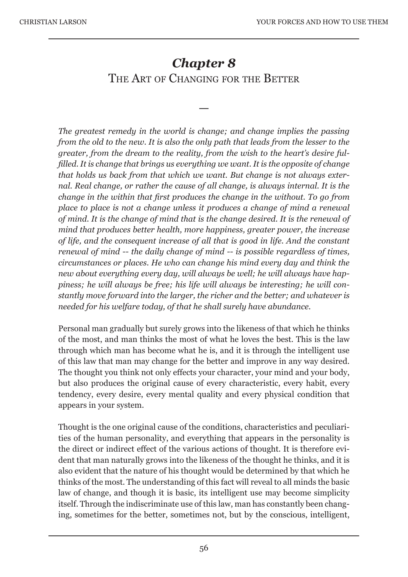## *Chapter 8* THE ART OF CHANGING FOR THE BETTER

—

*The greatest remedy in the world is change; and change implies the passing from the old to the new. It is also the only path that leads from the lesser to the greater, from the dream to the reality, from the wish to the heart's desire fulfilled. It is change that brings us everything we want. It is the opposite of change that holds us back from that which we want. But change is not always external. Real change, or rather the cause of all change, is always internal. It is the change in the within that first produces the change in the without. To go from place to place is not a change unless it produces a change of mind a renewal of mind. It is the change of mind that is the change desired. It is the renewal of mind that produces better health, more happiness, greater power, the increase of life, and the consequent increase of all that is good in life. And the constant renewal of mind -- the daily change of mind -- is possible regardless of times, circumstances or places. He who can change his mind every day and think the new about everything every day, will always be well; he will always have happiness; he will always be free; his life will always be interesting; he will constantly move forward into the larger, the richer and the better; and whatever is needed for his welfare today, of that he shall surely have abundance.*

Personal man gradually but surely grows into the likeness of that which he thinks of the most, and man thinks the most of what he loves the best. This is the law through which man has become what he is, and it is through the intelligent use of this law that man may change for the better and improve in any way desired. The thought you think not only effects your character, your mind and your body, but also produces the original cause of every characteristic, every habit, every tendency, every desire, every mental quality and every physical condition that appears in your system.

Thought is the one original cause of the conditions, characteristics and peculiarities of the human personality, and everything that appears in the personality is the direct or indirect effect of the various actions of thought. It is therefore evident that man naturally grows into the likeness of the thought he thinks, and it is also evident that the nature of his thought would be determined by that which he thinks of the most. The understanding of this fact will reveal to all minds the basic law of change, and though it is basic, its intelligent use may become simplicity itself. Through the indiscriminate use of this law, man has constantly been changing, sometimes for the better, sometimes not, but by the conscious, intelligent,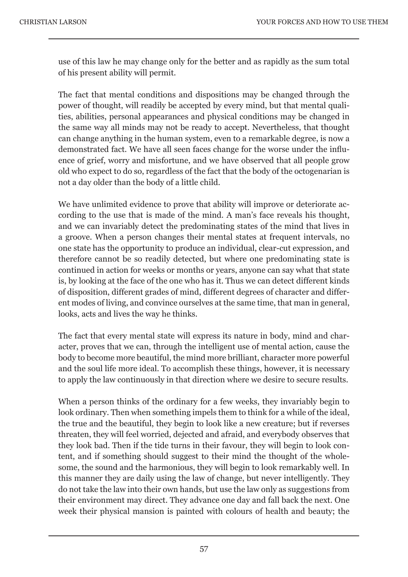use of this law he may change only for the better and as rapidly as the sum total of his present ability will permit.

The fact that mental conditions and dispositions may be changed through the power of thought, will readily be accepted by every mind, but that mental qualities, abilities, personal appearances and physical conditions may be changed in the same way all minds may not be ready to accept. Nevertheless, that thought can change anything in the human system, even to a remarkable degree, is now a demonstrated fact. We have all seen faces change for the worse under the influence of grief, worry and misfortune, and we have observed that all people grow old who expect to do so, regardless of the fact that the body of the octogenarian is not a day older than the body of a little child.

We have unlimited evidence to prove that ability will improve or deteriorate according to the use that is made of the mind. A man's face reveals his thought, and we can invariably detect the predominating states of the mind that lives in a groove. When a person changes their mental states at frequent intervals, no one state has the opportunity to produce an individual, clear-cut expression, and therefore cannot be so readily detected, but where one predominating state is continued in action for weeks or months or years, anyone can say what that state is, by looking at the face of the one who has it. Thus we can detect different kinds of disposition, different grades of mind, different degrees of character and different modes of living, and convince ourselves at the same time, that man in general, looks, acts and lives the way he thinks.

The fact that every mental state will express its nature in body, mind and character, proves that we can, through the intelligent use of mental action, cause the body to become more beautiful, the mind more brilliant, character more powerful and the soul life more ideal. To accomplish these things, however, it is necessary to apply the law continuously in that direction where we desire to secure results.

When a person thinks of the ordinary for a few weeks, they invariably begin to look ordinary. Then when something impels them to think for a while of the ideal, the true and the beautiful, they begin to look like a new creature; but if reverses threaten, they will feel worried, dejected and afraid, and everybody observes that they look bad. Then if the tide turns in their favour, they will begin to look content, and if something should suggest to their mind the thought of the wholesome, the sound and the harmonious, they will begin to look remarkably well. In this manner they are daily using the law of change, but never intelligently. They do not take the law into their own hands, but use the law only as suggestions from their environment may direct. They advance one day and fall back the next. One week their physical mansion is painted with colours of health and beauty; the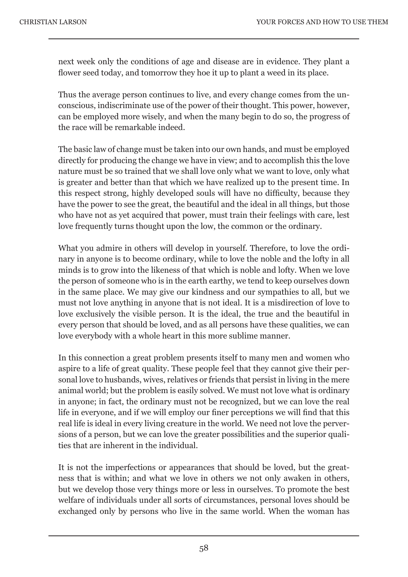next week only the conditions of age and disease are in evidence. They plant a flower seed today, and tomorrow they hoe it up to plant a weed in its place.

Thus the average person continues to live, and every change comes from the unconscious, indiscriminate use of the power of their thought. This power, however, can be employed more wisely, and when the many begin to do so, the progress of the race will be remarkable indeed.

The basic law of change must be taken into our own hands, and must be employed directly for producing the change we have in view; and to accomplish this the love nature must be so trained that we shall love only what we want to love, only what is greater and better than that which we have realized up to the present time. In this respect strong, highly developed souls will have no difficulty, because they have the power to see the great, the beautiful and the ideal in all things, but those who have not as yet acquired that power, must train their feelings with care, lest love frequently turns thought upon the low, the common or the ordinary.

What you admire in others will develop in yourself. Therefore, to love the ordinary in anyone is to become ordinary, while to love the noble and the lofty in all minds is to grow into the likeness of that which is noble and lofty. When we love the person of someone who is in the earth earthy, we tend to keep ourselves down in the same place. We may give our kindness and our sympathies to all, but we must not love anything in anyone that is not ideal. It is a misdirection of love to love exclusively the visible person. It is the ideal, the true and the beautiful in every person that should be loved, and as all persons have these qualities, we can love everybody with a whole heart in this more sublime manner.

In this connection a great problem presents itself to many men and women who aspire to a life of great quality. These people feel that they cannot give their personal love to husbands, wives, relatives or friends that persist in living in the mere animal world; but the problem is easily solved. We must not love what is ordinary in anyone; in fact, the ordinary must not be recognized, but we can love the real life in everyone, and if we will employ our finer perceptions we will find that this real life is ideal in every living creature in the world. We need not love the perversions of a person, but we can love the greater possibilities and the superior qualities that are inherent in the individual.

It is not the imperfections or appearances that should be loved, but the greatness that is within; and what we love in others we not only awaken in others, but we develop those very things more or less in ourselves. To promote the best welfare of individuals under all sorts of circumstances, personal loves should be exchanged only by persons who live in the same world. When the woman has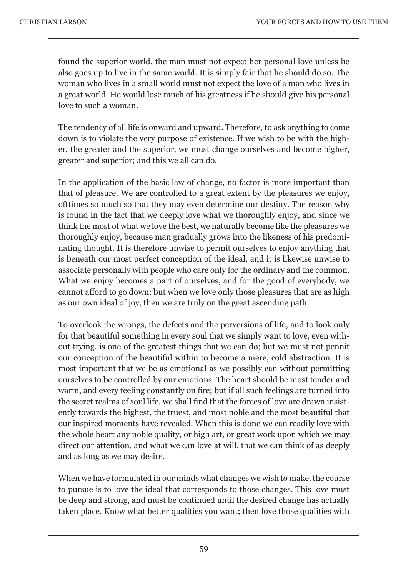found the superior world, the man must not expect her personal love unless he also goes up to live in the same world. It is simply fair that he should do so. The woman who lives in a small world must not expect the love of a man who lives in a great world. He would lose much of his greatness if he should give his personal love to such a woman.

The tendency of all life is onward and upward. Therefore, to ask anything to come down is to violate the very purpose of existence. If we wish to be with the higher, the greater and the superior, we must change ourselves and become higher, greater and superior; and this we all can do.

In the application of the basic law of change, no factor is more important than that of pleasure. We are controlled to a great extent by the pleasures we enjoy, ofttimes so much so that they may even determine our destiny. The reason why is found in the fact that we deeply love what we thoroughly enjoy, and since we think the most of what we love the best, we naturally become like the pleasures we thoroughly enjoy, because man gradually grows into the likeness of his predominating thought. It is therefore unwise to permit ourselves to enjoy anything that is beneath our most perfect conception of the ideal, and it is likewise unwise to associate personally with people who care only for the ordinary and the common. What we enjoy becomes a part of ourselves, and for the good of everybody, we cannot afford to go down; but when we love only those pleasures that are as high as our own ideal of joy, then we are truly on the great ascending path.

To overlook the wrongs, the defects and the perversions of life, and to look only for that beautiful something in every soul that we simply want to love, even without trying, is one of the greatest things that we can do; but we must not pennit our conception of the beautiful within to become a mere, cold abstraction. It is most important that we be as emotional as we possibly can without permitting ourselves to be controlled by our emotions. The heart should be most tender and warm, and every feeling constantly on fire; but if all such feelings are turned into the secret realms of soul life, we shall find that the forces of love are drawn insistently towards the highest, the truest, and most noble and the most beautiful that our inspired moments have revealed. When this is done we can readily love with the whole heart any noble quality, or high art, or great work upon which we may direct our attention, and what we can love at will, that we can think of as deeply and as long as we may desire.

When we have formulated in our minds what changes we wish to make, the course to pursue is to love the ideal that corresponds to those changes. This love must be deep and strong, and must be continued until the desired change has actually taken place. Know what better qualities you want; then love those qualities with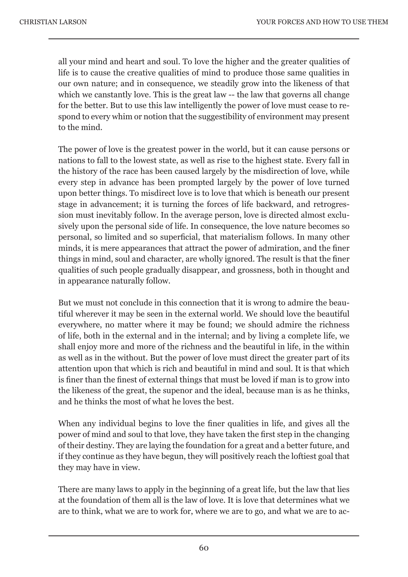all your mind and heart and soul. To love the higher and the greater qualities of life is to cause the creative qualities of mind to produce those same qualities in our own nature; and in consequence, we steadily grow into the likeness of that which we canstantly love. This is the great law -- the law that governs all change for the better. But to use this law intelligently the power of love must cease to respond to every whim or notion that the suggestibility of environment may present to the mind.

The power of love is the greatest power in the world, but it can cause persons or nations to fall to the lowest state, as well as rise to the highest state. Every fall in the history of the race has been caused largely by the misdirection of love, while every step in advance has been prompted largely by the power of love turned upon better things. To misdirect love is to love that which is beneath our present stage in advancement; it is turning the forces of life backward, and retrogression must inevitably follow. In the average person, love is directed almost exclusively upon the personal side of life. In consequence, the love nature becomes so personal, so limited and so superficial, that materialism follows. In many other minds, it is mere appearances that attract the power of admiration, and the finer things in mind, soul and character, are wholly ignored. The result is that the finer qualities of such people gradually disappear, and grossness, both in thought and in appearance naturally follow.

But we must not conclude in this connection that it is wrong to admire the beautiful wherever it may be seen in the external world. We should love the beautiful everywhere, no matter where it may be found; we should admire the richness of life, both in the external and in the internal; and by living a complete life, we shall enjoy more and more of the richness and the beautiful in life, in the within as well as in the without. But the power of love must direct the greater part of its attention upon that which is rich and beautiful in mind and soul. It is that which is finer than the finest of external things that must be loved if man is to grow into the likeness of the great, the supenor and the ideal, because man is as he thinks, and he thinks the most of what he loves the best.

When any individual begins to love the finer qualities in life, and gives all the power of mind and soul to that love, they have taken the first step in the changing of their destiny. They are laying the foundation for a great and a better future, and if they continue as they have begun, they will positively reach the loftiest goal that they may have in view.

There are many laws to apply in the beginning of a great life, but the law that lies at the foundation of them all is the law of love. It is love that determines what we are to think, what we are to work for, where we are to go, and what we are to ac-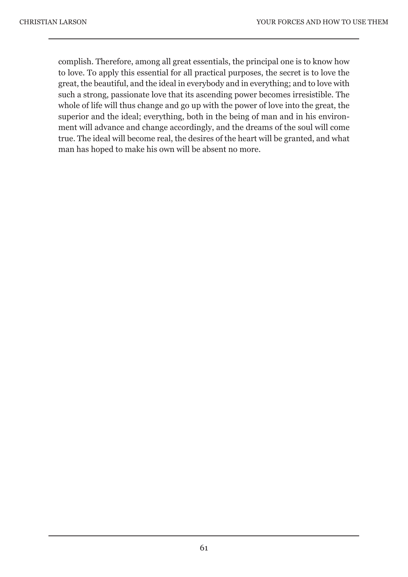complish. Therefore, among all great essentials, the principal one is to know how to love. To apply this essential for all practical purposes, the secret is to love the great, the beautiful, and the ideal in everybody and in everything; and to love with such a strong, passionate love that its ascending power becomes irresistible. The whole of life will thus change and go up with the power of love into the great, the superior and the ideal; everything, both in the being of man and in his environment will advance and change accordingly, and the dreams of the soul will come true. The ideal will become real, the desires of the heart will be granted, and what man has hoped to make his own will be absent no more.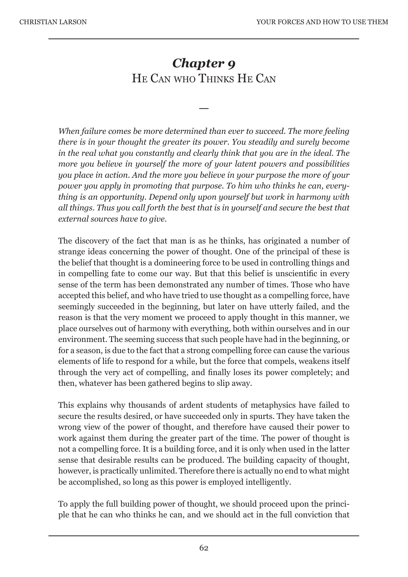#### *Chapter 9* HE CAN WHO THINKS HE CAN

—

*When failure comes be more determined than ever to succeed. The more feeling there is in your thought the greater its power. You steadily and surely become*  in the real what you constantly and clearly think that you are in the ideal. The *more you believe in yourself the more of your latent powers and possibilities you place in action. And the more you believe in your purpose the more of your power you apply in promoting that purpose. To him who thinks he can, everything is an opportunity. Depend only upon yourself but work in harmony with all things. Thus you call forth the best that is in yourself and secure the best that external sources have to give.*

The discovery of the fact that man is as he thinks, has originated a number of strange ideas concerning the power of thought. One of the principal of these is the belief that thought is a domineering force to be used in controlling things and in compelling fate to come our way. But that this belief is unscientific in every sense of the term has been demonstrated any number of times. Those who have accepted this belief, and who have tried to use thought as a compelling force, have seemingly succeeded in the beginning, but later on have utterly failed, and the reason is that the very moment we proceed to apply thought in this manner, we place ourselves out of harmony with everything, both within ourselves and in our environment. The seeming success that such people have had in the beginning, or for a season, is due to the fact that a strong compelling force can cause the various elements of life to respond for a while, but the force that compels, weakens itself through the very act of compelling, and finally loses its power completely; and then, whatever has been gathered begins to slip away.

This explains why thousands of ardent students of metaphysics have failed to secure the results desired, or have succeeded only in spurts. They have taken the wrong view of the power of thought, and therefore have caused their power to work against them during the greater part of the time. The power of thought is not a compelling force. It is a building force, and it is only when used in the latter sense that desirable results can be produced. The building capacity of thought, however, is practically unlimited. Therefore there is actually no end to what might be accomplished, so long as this power is employed intelligently.

To apply the full building power of thought, we should proceed upon the principle that he can who thinks he can, and we should act in the full conviction that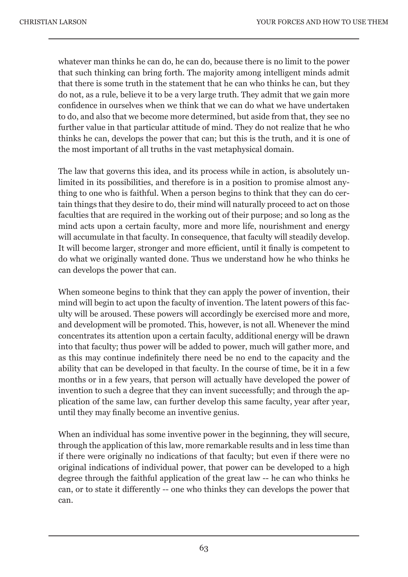whatever man thinks he can do, he can do, because there is no limit to the power that such thinking can bring forth. The majority among intelligent minds admit that there is some truth in the statement that he can who thinks he can, but they do not, as a rule, believe it to be a very large truth. They admit that we gain more confidence in ourselves when we think that we can do what we have undertaken to do, and also that we become more determined, but aside from that, they see no further value in that particular attitude of mind. They do not realize that he who thinks he can, develops the power that can; but this is the truth, and it is one of the most important of all truths in the vast metaphysical domain.

The law that governs this idea, and its process while in action, is absolutely unlimited in its possibilities, and therefore is in a position to promise almost anything to one who is faithful. When a person begins to think that they can do certain things that they desire to do, their mind will naturally proceed to act on those faculties that are required in the working out of their purpose; and so long as the mind acts upon a certain faculty, more and more life, nourishment and energy will accumulate in that faculty. In consequence, that faculty will steadily develop. It will become larger, stronger and more efficient, until it finally is competent to do what we originally wanted done. Thus we understand how he who thinks he can develops the power that can.

When someone begins to think that they can apply the power of invention, their mind will begin to act upon the faculty of invention. The latent powers of this faculty will be aroused. These powers will accordingly be exercised more and more, and development will be promoted. This, however, is not all. Whenever the mind concentrates its attention upon a certain faculty, additional energy will be drawn into that faculty; thus power will be added to power, much will gather more, and as this may continue indefinitely there need be no end to the capacity and the ability that can be developed in that faculty. In the course of time, be it in a few months or in a few years, that person will actually have developed the power of invention to such a degree that they can invent successfully; and through the application of the same law, can further develop this same faculty, year after year, until they may finally become an inventive genius.

When an individual has some inventive power in the beginning, they will secure, through the application of this law, more remarkable results and in less time than if there were originally no indications of that faculty; but even if there were no original indications of individual power, that power can be developed to a high degree through the faithful application of the great law -- he can who thinks he can, or to state it differently -- one who thinks they can develops the power that can.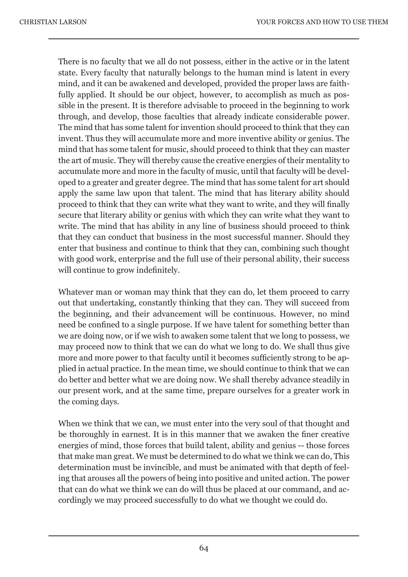There is no faculty that we all do not possess, either in the active or in the latent state. Every faculty that naturally belongs to the human mind is latent in every mind, and it can be awakened and developed, provided the proper laws are faithfully applied. It should be our object, however, to accomplish as much as possible in the present. It is therefore advisable to proceed in the beginning to work through, and develop, those faculties that already indicate considerable power. The mind that has some talent for invention should proceed to think that they can invent. Thus they will accumulate more and more inventive ability or genius. The mind that has some talent for music, should proceed to think that they can master the art of music. They will thereby cause the creative energies of their mentality to accumulate more and more in the faculty of music, until that faculty will be developed to a greater and greater degree. The mind that has some talent for art should apply the same law upon that talent. The mind that has literary ability should proceed to think that they can write what they want to write, and they will finally secure that literary ability or genius with which they can write what they want to write. The mind that has ability in any line of business should proceed to think that they can conduct that business in the most successful manner. Should they enter that business and continue to think that they can, combining such thought with good work, enterprise and the full use of their personal ability, their success will continue to grow indefinitely.

Whatever man or woman may think that they can do, let them proceed to carry out that undertaking, constantly thinking that they can. They will succeed from the beginning, and their advancement will be continuous. However, no mind need be confined to a single purpose. If we have talent for something better than we are doing now, or if we wish to awaken some talent that we long to possess, we may proceed now to think that we can do what we long to do. We shall thus give more and more power to that faculty until it becomes sufficiently strong to be applied in actual practice. In the mean time, we should continue to think that we can do better and better what we are doing now. We shall thereby advance steadily in our present work, and at the same time, prepare ourselves for a greater work in the coming days.

When we think that we can, we must enter into the very soul of that thought and be thoroughly in earnest. It is in this manner that we awaken the finer creative energies of mind, those forces that build talent, ability and genius -- those forces that make man great. We must be determined to do what we think we can do, This determination must be invincible, and must be animated with that depth of feeling that arouses all the powers of being into positive and united action. The power that can do what we think we can do will thus be placed at our command, and accordingly we may proceed successfully to do what we thought we could do.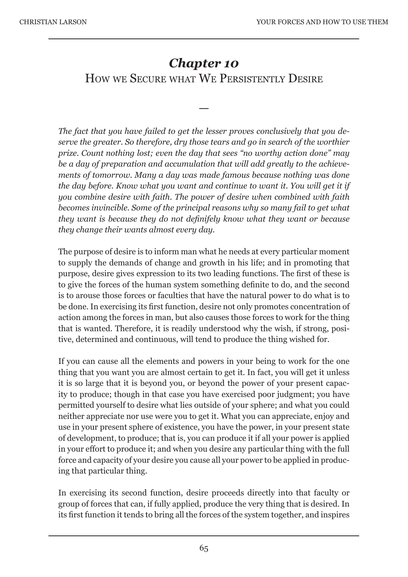## *Chapter 10* HOW WE SECURE WHAT WE PERSISTENTLY DESIRE

—

*The fact that you have failed to get the lesser proves conclusively that you deserve the greater. So therefore, dry those tears and go in search of the worthier prize. Count nothing lost; even the day that sees "no worthy action done" may be a day of preparation and accumulation that will add greatly to the achievements of tomorrow. Many a day was made famous because nothing was done the day before. Know what you want and continue to want it. You will get it if you combine desire with faith. The power of desire when combined with faith becomes invincible. Some of the principal reasons why so many fail to get what they want is because they do not definifely know what they want or because they change their wants almost every day.*

The purpose of desire is to inform man what he needs at every particular moment to supply the demands of change and growth in his life; and in promoting that purpose, desire gives expression to its two leading functions. The first of these is to give the forces of the human system something definite to do, and the second is to arouse those forces or faculties that have the natural power to do what is to be done. In exercising its first function, desire not only promotes concentration of action among the forces in man, but also causes those forces to work for the thing that is wanted. Therefore, it is readily understood why the wish, if strong, positive, determined and continuous, will tend to produce the thing wished for.

If you can cause all the elements and powers in your being to work for the one thing that you want you are almost certain to get it. In fact, you will get it unless it is so large that it is beyond you, or beyond the power of your present capacity to produce; though in that case you have exercised poor judgment; you have permitted yourself to desire what lies outside of your sphere; and what you could neither appreciate nor use were you to get it. What you can appreciate, enjoy and use in your present sphere of existence, you have the power, in your present state of development, to produce; that is, you can produce it if all your power is applied in your effort to produce it; and when you desire any particular thing with the full force and capacity of your desire you cause all your power to be applied in producing that particular thing.

In exercising its second function, desire proceeds directly into that faculty or group of forces that can, if fully applied, produce the very thing that is desired. In its first function it tends to bring all the forces of the system together, and inspires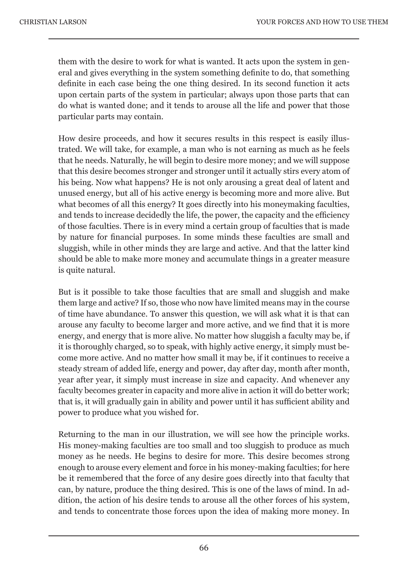them with the desire to work for what is wanted. It acts upon the system in general and gives everything in the system something definite to do, that something definite in each case being the one thing desired. In its second function it acts upon certain parts of the system in particular; always upon those parts that can do what is wanted done; and it tends to arouse all the life and power that those particular parts may contain.

How desire proceeds, and how it secures results in this respect is easily illustrated. We will take, for example, a man who is not earning as much as he feels that he needs. Naturally, he will begin to desire more money; and we will suppose that this desire becomes stronger and stronger until it actually stirs every atom of his being. Now what happens? He is not only arousing a great deal of latent and unused energy, but all of his active energy is becoming more and more alive. But what becomes of all this energy? It goes directly into his moneymaking faculties, and tends to increase decidedly the life, the power, the capacity and the efficiency of those faculties. There is in every mind a certain group of faculties that is made by nature for financial purposes. In some minds these faculties are small and sluggish, while in other minds they are large and active. And that the latter kind should be able to make more money and accumulate things in a greater measure is quite natural.

But is it possible to take those faculties that are small and sluggish and make them large and active? If so, those who now have limited means may in the course of time have abundance. To answer this question, we will ask what it is that can arouse any faculty to become larger and more active, and we find that it is more energy, and energy that is more alive. No matter how sluggish a faculty may be, if it is thoroughly charged, so to speak, with highly active energy, it simply must become more active. And no matter how small it may be, if it continues to receive a steady stream of added life, energy and power, day after day, month after month, year after year, it simply must increase in size and capacity. And whenever any faculty becomes greater in capacity and more alive in action it will do better work; that is, it will gradually gain in ability and power until it has sufficient ability and power to produce what you wished for.

Returning to the man in our illustration, we will see how the principle works. His money-making faculties are too small and too sluggish to produce as much money as he needs. He begins to desire for more. This desire becomes strong enough to arouse every element and force in his money-making faculties; for here be it remembered that the force of any desire goes directly into that faculty that can, by nature, produce the thing desired. This is one of the laws of mind. In addition, the action of his desire tends to arouse all the other forces of his system, and tends to concentrate those forces upon the idea of making more money. In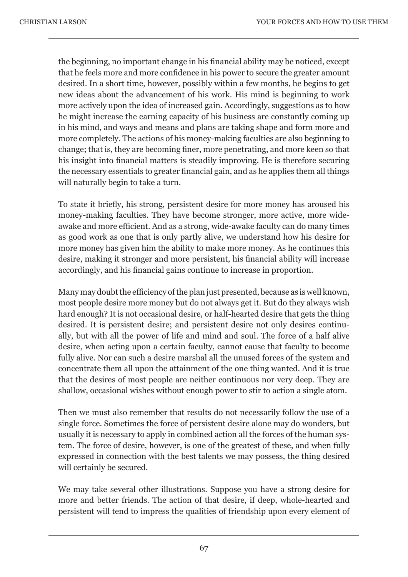the beginning, no important change in his financial ability may be noticed, except that he feels more and more confidence in his power to secure the greater amount desired. In a short time, however, possibly within a few months, he begins to get new ideas about the advancement of his work. His mind is beginning to work more actively upon the idea of increased gain. Accordingly, suggestions as to how he might increase the earning capacity of his business are constantly coming up in his mind, and ways and means and plans are taking shape and form more and more completely. The actions of his money-making faculties are also beginning to change; that is, they are becoming finer, more penetrating, and more keen so that his insight into financial matters is steadily improving. He is therefore securing the necessary essentials to greater financial gain, and as he applies them all things will naturally begin to take a turn.

To state it briefly, his strong, persistent desire for more money has aroused his money-making faculties. They have become stronger, more active, more wideawake and more efficient. And as a strong, wide-awake faculty can do many times as good work as one that is only partly alive, we understand how his desire for more money has given him the ability to make more money. As he continues this desire, making it stronger and more persistent, his financial ability will increase accordingly, and his financial gains continue to increase in proportion.

Many may doubt the efficiency of the plan just presented, because as is well known, most people desire more money but do not always get it. But do they always wish hard enough? It is not occasional desire, or half-hearted desire that gets the thing desired. It is persistent desire; and persistent desire not only desires continually, but with all the power of life and mind and soul. The force of a half alive desire, when acting upon a certain faculty, cannot cause that faculty to become fully alive. Nor can such a desire marshal all the unused forces of the system and concentrate them all upon the attainment of the one thing wanted. And it is true that the desires of most people are neither continuous nor very deep. They are shallow, occasional wishes without enough power to stir to action a single atom.

Then we must also remember that results do not necessarily follow the use of a single force. Sometimes the force of persistent desire alone may do wonders, but usually it is necessary to apply in combined action all the forces of the human system. The force of desire, however, is one of the greatest of these, and when fully expressed in connection with the best talents we may possess, the thing desired will certainly be secured.

We may take several other illustrations. Suppose you have a strong desire for more and better friends. The action of that desire, if deep, whole-hearted and persistent will tend to impress the qualities of friendship upon every element of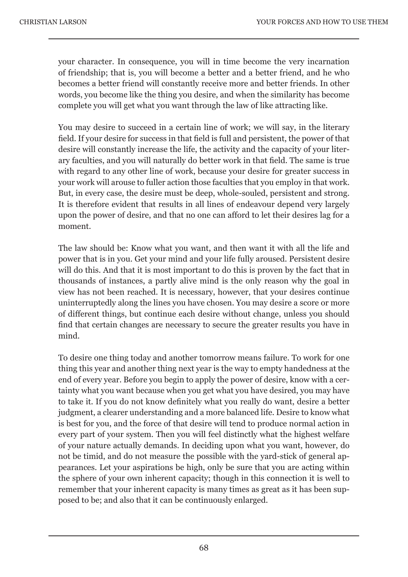your character. In consequence, you will in time become the very incarnation of friendship; that is, you will become a better and a better friend, and he who becomes a better friend will constantly receive more and better friends. In other words, you become like the thing you desire, and when the similarity has become complete you will get what you want through the law of like attracting like.

You may desire to succeed in a certain line of work; we will say, in the literary field. If your desire for success in that field is full and persistent, the power of that desire will constantly increase the life, the activity and the capacity of your literary faculties, and you will naturally do better work in that field. The same is true with regard to any other line of work, because your desire for greater success in your work will arouse to fuller action those faculties that you employ in that work. But, in every case, the desire must be deep, whole-souled, persistent and strong. It is therefore evident that results in all lines of endeavour depend very largely upon the power of desire, and that no one can afford to let their desires lag for a moment.

The law should be: Know what you want, and then want it with all the life and power that is in you. Get your mind and your life fully aroused. Persistent desire will do this. And that it is most important to do this is proven by the fact that in thousands of instances, a partly alive mind is the only reason why the goal in view has not been reached. It is necessary, however, that your desires continue uninterruptedly along the lines you have chosen. You may desire a score or more of different things, but continue each desire without change, unless you should find that certain changes are necessary to secure the greater results you have in mind.

To desire one thing today and another tomorrow means failure. To work for one thing this year and another thing next year is the way to empty handedness at the end of every year. Before you begin to apply the power of desire, know with a certainty what you want because when you get what you have desired, you may have to take it. If you do not know definitely what you really do want, desire a better judgment, a clearer understanding and a more balanced life. Desire to know what is best for you, and the force of that desire will tend to produce normal action in every part of your system. Then you will feel distinctly what the highest welfare of your nature actually demands. In deciding upon what you want, however, do not be timid, and do not measure the possible with the yard-stick of general appearances. Let your aspirations be high, only be sure that you are acting within the sphere of your own inherent capacity; though in this connection it is well to remember that your inherent capacity is many times as great as it has been supposed to be; and also that it can be continuously enlarged.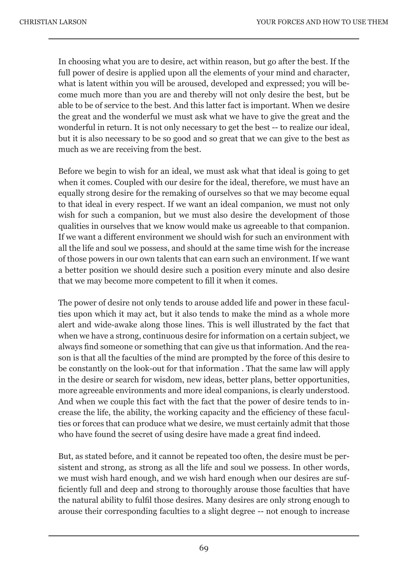In choosing what you are to desire, act within reason, but go after the best. If the full power of desire is applied upon all the elements of your mind and character, what is latent within you will be aroused, developed and expressed; you will become much more than you are and thereby will not only desire the best, but be able to be of service to the best. And this latter fact is important. When we desire the great and the wonderful we must ask what we have to give the great and the wonderful in return. It is not only necessary to get the best -- to realize our ideal, but it is also necessary to be so good and so great that we can give to the best as much as we are receiving from the best.

Before we begin to wish for an ideal, we must ask what that ideal is going to get when it comes. Coupled with our desire for the ideal, therefore, we must have an equally strong desire for the remaking of ourselves so that we may become equal to that ideal in every respect. If we want an ideal companion, we must not only wish for such a companion, but we must also desire the development of those qualities in ourselves that we know would make us agreeable to that companion. If we want a different environment we should wish for such an environment with all the life and soul we possess, and should at the same time wish for the increase of those powers in our own talents that can earn such an environment. If we want a better position we should desire such a position every minute and also desire that we may become more competent to fill it when it comes.

The power of desire not only tends to arouse added life and power in these faculties upon which it may act, but it also tends to make the mind as a whole more alert and wide-awake along those lines. This is well illustrated by the fact that when we have a strong, continuous desire for information on a certain subject, we always find someone or something that can give us that information. And the reason is that all the faculties of the mind are prompted by the force of this desire to be constantly on the look-out for that information . That the same law will apply in the desire or search for wisdom, new ideas, better plans, better opportunities, more agreeable environments and more ideal companions, is clearly understood. And when we couple this fact with the fact that the power of desire tends to increase the life, the ability, the working capacity and the efficiency of these faculties or forces that can produce what we desire, we must certainly admit that those who have found the secret of using desire have made a great find indeed.

But, as stated before, and it cannot be repeated too often, the desire must be persistent and strong, as strong as all the life and soul we possess. In other words, we must wish hard enough, and we wish hard enough when our desires are sufficiently full and deep and strong to thoroughly arouse those faculties that have the natural ability to fulfil those desires. Many desires are only strong enough to arouse their corresponding faculties to a slight degree -- not enough to increase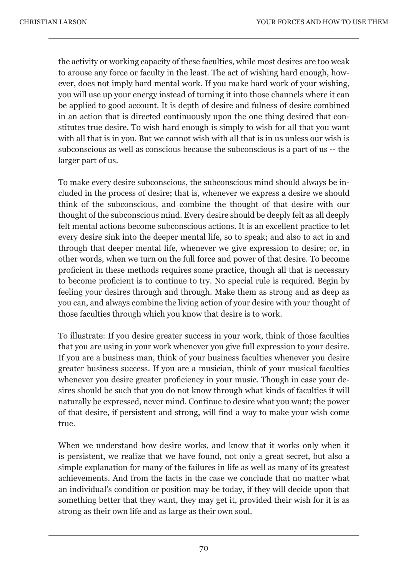the activity or working capacity of these faculties, while most desires are too weak to arouse any force or faculty in the least. The act of wishing hard enough, however, does not imply hard mental work. If you make hard work of your wishing, you will use up your energy instead of turning it into those channels where it can be applied to good account. It is depth of desire and fulness of desire combined in an action that is directed continuously upon the one thing desired that constitutes true desire. To wish hard enough is simply to wish for all that you want with all that is in you. But we cannot wish with all that is in us unless our wish is subconscious as well as conscious because the subconscious is a part of us -- the larger part of us.

To make every desire subconscious, the subconscious mind should always be included in the process of desire; that is, whenever we express a desire we should think of the subconscious, and combine the thought of that desire with our thought of the subconscious mind. Every desire should be deeply felt as all deeply felt mental actions become subconscious actions. It is an excellent practice to let every desire sink into the deeper mental life, so to speak; and also to act in and through that deeper mental life, whenever we give expression to desire; or, in other words, when we turn on the full force and power of that desire. To become proficient in these methods requires some practice, though all that is necessary to become proficient is to continue to try. No special rule is required. Begin by feeling your desires through and through. Make them as strong and as deep as you can, and always combine the living action of your desire with your thought of those faculties through which you know that desire is to work.

To illustrate: If you desire greater success in your work, think of those faculties that you are using in your work whenever you give full expression to your desire. If you are a business man, think of your business faculties whenever you desire greater business success. If you are a musician, think of your musical faculties whenever you desire greater proficiency in your music. Though in case your desires should be such that you do not know through what kinds of faculties it will naturally be expressed, never mind. Continue to desire what you want; the power of that desire, if persistent and strong, will find a way to make your wish come true.

When we understand how desire works, and know that it works only when it is persistent, we realize that we have found, not only a great secret, but also a simple explanation for many of the failures in life as well as many of its greatest achievements. And from the facts in the case we conclude that no matter what an individual's condition or position may be today, if they will decide upon that something better that they want, they may get it, provided their wish for it is as strong as their own life and as large as their own soul.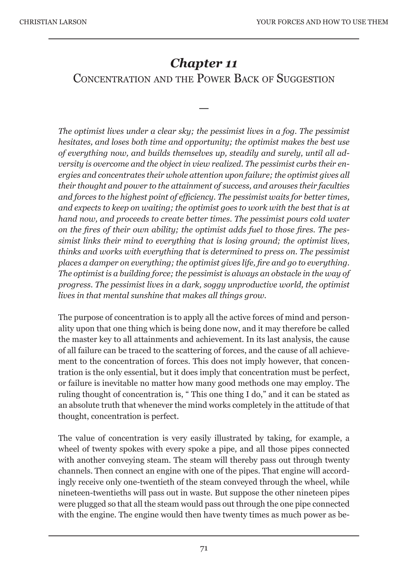# *Chapter 11*

#### CONCENTRATION AND THE POWER BACK OF SUGGESTION

—

*The optimist lives under a clear sky; the pessimist lives in a fog. The pessimist hesitates, and loses both time and opportunity; the optimist makes the best use of everything now, and builds themselves up, steadily and surely, until all adversity is overcome and the object in view realized. The pessimist curbs their energies and concentrates their whole attention upon failure; the optimist gives all their thought and power to the attainment of success, and arouses their faculties and forces to the highest point of efficiency. The pessimist waits for better times, and expects to keep on waiting; the optimist goes to work with the best that is at hand now, and proceeds to create better times. The pessimist pours cold water on the fires of their own ability; the optimist adds fuel to those fires. The pessimist links their mind to everything that is losing ground; the optimist lives, thinks and works with everything that is determined to press on. The pessimist places a damper on everything; the optimist gives life, fire and go to everything. The optimist is a building force; the pessimist is always an obstacle in the way of progress. The pessimist lives in a dark, soggy unproductive world, the optimist lives in that mental sunshine that makes all things grow.*

The purpose of concentration is to apply all the active forces of mind and personality upon that one thing which is being done now, and it may therefore be called the master key to all attainments and achievement. In its last analysis, the cause of all failure can be traced to the scattering of forces, and the cause of all achievement to the concentration of forces. This does not imply however, that concentration is the only essential, but it does imply that concentration must be perfect, or failure is inevitable no matter how many good methods one may employ. The ruling thought of concentration is, " This one thing I do," and it can be stated as an absolute truth that whenever the mind works completely in the attitude of that thought, concentration is perfect.

The value of concentration is very easily illustrated by taking, for example, a wheel of twenty spokes with every spoke a pipe, and all those pipes connected with another conveying steam. The steam will thereby pass out through twenty channels. Then connect an engine with one of the pipes. That engine will accordingly receive only one-twentieth of the steam conveyed through the wheel, while nineteen-twentieths will pass out in waste. But suppose the other nineteen pipes were plugged so that all the steam would pass out through the one pipe connected with the engine. The engine would then have twenty times as much power as be-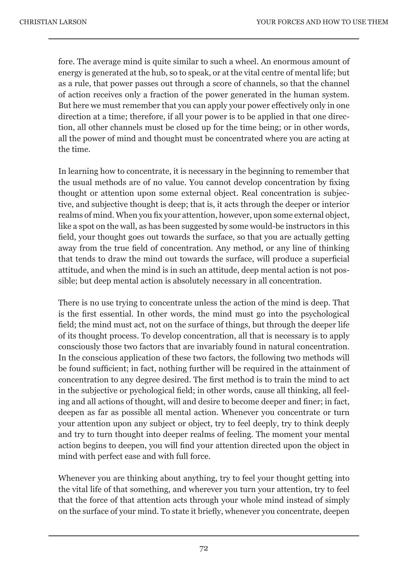fore. The average mind is quite similar to such a wheel. An enormous amount of energy is generated at the hub, so to speak, or at the vital centre of mental life; but as a rule, that power passes out through a score of channels, so that the channel of action receives only a fraction of the power generated in the human system. But here we must remember that you can apply your power effectively only in one direction at a time; therefore, if all your power is to be applied in that one direction, all other channels must be closed up for the time being; or in other words, all the power of mind and thought must be concentrated where you are acting at the time.

In learning how to concentrate, it is necessary in the beginning to remember that the usual methods are of no value. You cannot develop concentration by fixing thought or attention upon some external object. Real concentration is subjective, and subjective thought is deep; that is, it acts through the deeper or interior realms of mind. When you fix your attention, however, upon some external object, like a spot on the wall, as has been suggested by some would-be instructors in this field, your thought goes out towards the surface, so that you are actually getting away from the true field of concentration. Any method, or any line of thinking that tends to draw the mind out towards the surface, will produce a superficial attitude, and when the mind is in such an attitude, deep mental action is not possible; but deep mental action is absolutely necessary in all concentration.

There is no use trying to concentrate unless the action of the mind is deep. That is the first essential. In other words, the mind must go into the psychological field; the mind must act, not on the surface of things, but through the deeper life of its thought process. To develop concentration, all that is necessary is to apply consciously those two factors that are invariably found in natural concentration. In the conscious application of these two factors, the following two methods will be found sufficient; in fact, nothing further will be required in the attainment of concentration to any degree desired. The first method is to train the mind to act in the subjective or pychological field; in other words, cause all thinking, all feeling and all actions of thought, will and desire to become deeper and finer; in fact, deepen as far as possible all mental action. Whenever you concentrate or turn your attention upon any subject or object, try to feel deeply, try to think deeply and try to turn thought into deeper realms of feeling. The moment your mental action begins to deepen, you will find your attention directed upon the object in mind with perfect ease and with full force.

Whenever you are thinking about anything, try to feel your thought getting into the vital life of that something, and wherever you turn your attention, try to feel that the force of that attention acts through your whole mind instead of simply on the surface of your mind. To state it briefly, whenever you concentrate, deepen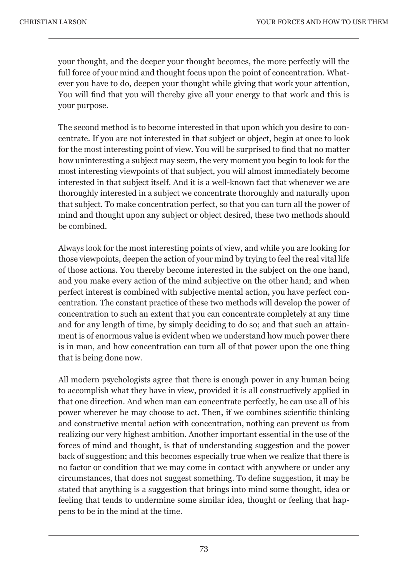your thought, and the deeper your thought becomes, the more perfectly will the full force of your mind and thought focus upon the point of concentration. Whatever you have to do, deepen your thought while giving that work your attention, You will find that you will thereby give all your energy to that work and this is your purpose.

The second method is to become interested in that upon which you desire to concentrate. If you are not interested in that subject or object, begin at once to look for the most interesting point of view. You will be surprised to find that no matter how uninteresting a subject may seem, the very moment you begin to look for the most interesting viewpoints of that subject, you will almost immediately become interested in that subject itself. And it is a well-known fact that whenever we are thoroughly interested in a subject we concentrate thoroughly and naturally upon that subject. To make concentration perfect, so that you can turn all the power of mind and thought upon any subject or object desired, these two methods should be combined.

Always look for the most interesting points of view, and while you are looking for those viewpoints, deepen the action of your mind by trying to feel the real vital life of those actions. You thereby become interested in the subject on the one hand, and you make every action of the mind subjective on the other hand; and when perfect interest is combined with subjective mental action, you have perfect concentration. The constant practice of these two methods will develop the power of concentration to such an extent that you can concentrate completely at any time and for any length of time, by simply deciding to do so; and that such an attainment is of enormous value is evident when we understand how much power there is in man, and how concentration can turn all of that power upon the one thing that is being done now.

All modern psychologists agree that there is enough power in any human being to accomplish what they have in view, provided it is all constructively applied in that one direction. And when man can concentrate perfectly, he can use all of his power wherever he may choose to act. Then, if we combines scientific thinking and constructive mental action with concentration, nothing can prevent us from realizing our very highest ambition. Another important essential in the use of the forces of mind and thought, is that of understanding suggestion and the power back of suggestion; and this becomes especially true when we realize that there is no factor or condition that we may come in contact with anywhere or under any circumstances, that does not suggest something. To define suggestion, it may be stated that anything is a suggestion that brings into mind some thought, idea or feeling that tends to undermine some similar idea, thought or feeling that happens to be in the mind at the time.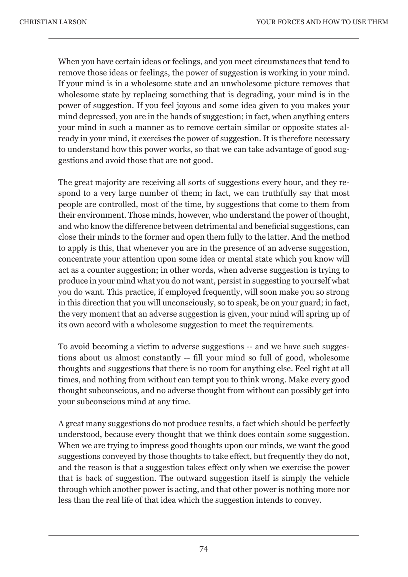When you have certain ideas or feelings, and you meet circumstances that tend to remove those ideas or feelings, the power of suggestion is working in your mind. If your mind is in a wholesome state and an unwholesome picture removes that wholesome state by replacing something that is degrading, your mind is in the power of suggestion. If you feel joyous and some idea given to you makes your mind depressed, you are in the hands of suggestion; in fact, when anything enters your mind in such a manner as to remove certain similar or opposite states already in your mind, it exercises the power of suggestion. It is therefore necessary to understand how this power works, so that we can take advantage of good suggestions and avoid those that are not good.

The great majority are receiving all sorts of suggestions every hour, and they respond to a very large number of them; in fact, we can truthfully say that most people are controlled, most of the time, by suggestions that come to them from their environment. Those minds, however, who understand the power of thought, and who know the difference between detrimental and beneficial suggestions, can close their minds to the former and open them fully to the latter. And the method to apply is this, that whenever you are in the presence of an adverse suggcstion, concentrate your attention upon some idea or mental state which you know will act as a counter suggestion; in other words, when adverse suggestion is trying to produce in your mind what you do not want, persist in suggesting to yourself what you do want. This practice, if employed frequently, will soon make you so strong in this direction that you will unconsciously, so to speak, be on your guard; in fact, the very moment that an adverse suggestion is given, your mind will spring up of its own accord with a wholesome suggestion to meet the requirements.

To avoid becoming a victim to adverse suggestions -- and we have such suggestions about us almost constantly -- fill your mind so full of good, wholesome thoughts and suggestions that there is no room for anything else. Feel right at all times, and nothing from without can tempt you to think wrong. Make every good thought subconseious, and no adverse thought from without can possibly get into your subconscious mind at any time.

A great many suggestions do not produce results, a fact which should be perfectly understood, because every thought that we think does contain some suggestion. When we are trying to impress good thoughts upon our minds, we want the good suggestions conveyed by those thoughts to take effect, but frequently they do not, and the reason is that a suggestion takes effect only when we exercise the power that is back of suggestion. The outward suggestion itself is simply the vehicle through which another power is acting, and that other power is nothing more nor less than the real life of that idea which the suggestion intends to convey.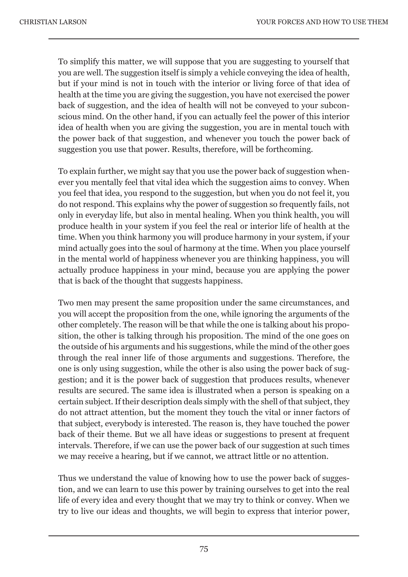To simplify this matter, we will suppose that you are suggesting to yourself that you are well. The suggestion itself is simply a vehicle conveying the idea of health, but if your mind is not in touch with the interior or living force of that idea of health at the time you are giving the suggestion, you have not exercised the power back of suggestion, and the idea of health will not be conveyed to your subconscious mind. On the other hand, if you can actually feel the power of this interior idea of health when you are giving the suggestion, you are in mental touch with the power back of that suggestion, and whenever you touch the power back of suggestion you use that power. Results, therefore, will be forthcoming.

To explain further, we might say that you use the power back of suggestion whenever you mentally feel that vital idea which the suggestion aims to convey. When you feel that idea, you respond to the suggestion, but when you do not feel it, you do not respond. This explains why the power of suggestion so frequently fails, not only in everyday life, but also in mental healing. When you think health, you will produce health in your system if you feel the real or interior life of health at the time. When you think harmony you will produce harmony in your system, if your mind actually goes into the soul of harmony at the time. When you place yourself in the mental world of happiness whenever you are thinking happiness, you will actually produce happiness in your mind, because you are applying the power that is back of the thought that suggests happiness.

Two men may present the same proposition under the same circumstances, and you will accept the proposition from the one, while ignoring the arguments of the other completely. The reason will be that while the one is talking about his proposition, the other is talking through his proposition. The mind of the one goes on the outside of his arguments and his suggestions, while the mind of the other goes through the real inner life of those arguments and suggestions. Therefore, the one is only using suggestion, while the other is also using the power back of suggestion; and it is the power back of suggestion that produces results, whenever results are secured. The same idea is illustrated when a person is speaking on a certain subject. If their description deals simply with the shell of that subject, they do not attract attention, but the moment they touch the vital or inner factors of that subject, everybody is interested. The reason is, they have touched the power back of their theme. But we all have ideas or suggestions to present at frequent intervals. Therefore, if we can use the power back of our suggestion at such times we may receive a hearing, but if we cannot, we attract little or no attention.

Thus we understand the value of knowing how to use the power back of suggestion, and we can learn to use this power by training ourselves to get into the real life of every idea and every thought that we may try to think or convey. When we try to live our ideas and thoughts, we will begin to express that interior power,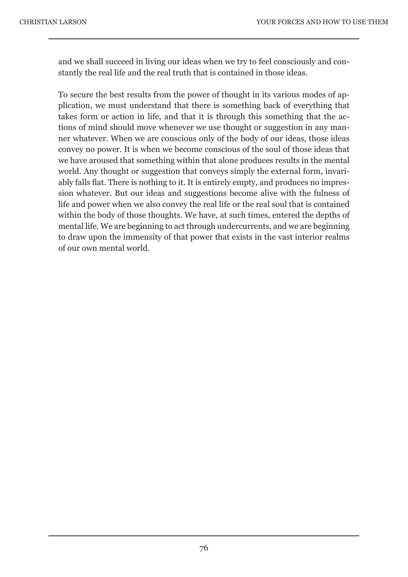and we shall succeed in living our ideas when we try to feel consciously and constantly the real life and the real truth that is contained in those ideas.

To secure the best results from the power of thought in its various modes of application, we must understand that there is something back of everything that takes form or action in life, and that it is through this something that the actions of mind should move whenever we use thought or suggestion in any manner whatever. When we are conscious only of the body of our ideas, those ideas convey no power. It is when we become conscious of the soul of those ideas that we have aroused that something within that alone produces results in the mental world. Any thought or suggestion that conveys simply the external form, invariably falls flat. There is nothing to it. It is entirely empty, and produces no impression whatever. But our ideas and suggestions become alive with the fulness of life and power when we also convey the real life or the real soul that is contained within the body of those thoughts. We have, at such times, entered the depths of mental life. We are beginning to act through undercurrents, and we are beginning to draw upon the immensity of that power that exists in the vast interior realms of our own mental world.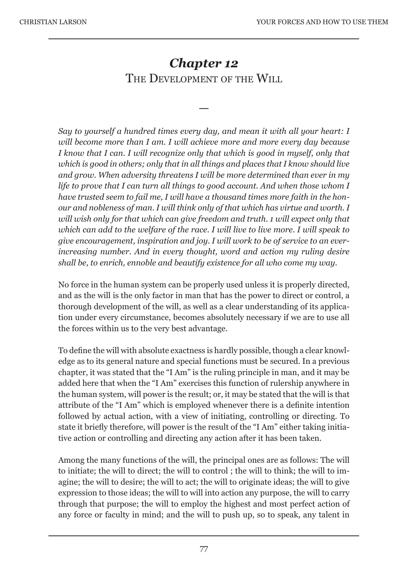# *Chapter 12* THE DEVELOPMENT OF THE WILL

—

*Say to yourself a hundred times every day, and mean it with all your heart: I will become more than I am. I will achieve more and more every day because I know that I can. I will recognize only that which is good in myself, only that which is good in others; only that in all things and places that I know should live and grow. When adversity threatens I will be more determined than ever in my*  life to prove that I can turn all things to good account. And when those whom I *have trusted seem to fail me, I will have a thousand times more faith in the honour and nobleness of man. I will think only of that which has virtue and worth. I*  will wish only for that which can give freedom and truth. 1 will expect only that *which can add to the welfare of the race. I will live to live more. I will speak to give encouragement, inspiration and joy. I will work to be of service to an everincreasing number. And in every thought, word and action my ruling desire shall be, to enrich, ennoble and beautify existence for all who come my way.*

No force in the human system can be properly used unless it is properly directed, and as the will is the only factor in man that has the power to direct or control, a thorough development of the will, as well as a clear understanding of its application under every circumstance, becomes absolutely necessary if we are to use all the forces within us to the very best advantage.

To define the will with absolute exactness is hardly possible, though a clear knowledge as to its general nature and special functions must be secured. In a previous chapter, it was stated that the "I Am" is the ruling principle in man, and it may be added here that when the "I Am" exercises this function of rulership anywhere in the human system, will power is the result; or, it may be stated that the will is that attribute of the "I Am" which is employed whenever there is a definite intention followed by actual action, with a view of initiating, controlling or directing. To state it briefly therefore, will power is the result of the "I Am" either taking initiative action or controlling and directing any action after it has been taken.

Among the many functions of the will, the principal ones are as follows: The will to initiate; the will to direct; the will to control ; the will to think; the will to imagine; the will to desire; the will to act; the will to originate ideas; the will to give expression to those ideas; the will to will into action any purpose, the will to carry through that purpose; the will to employ the highest and most perfect action of any force or faculty in mind; and the will to push up, so to speak, any talent in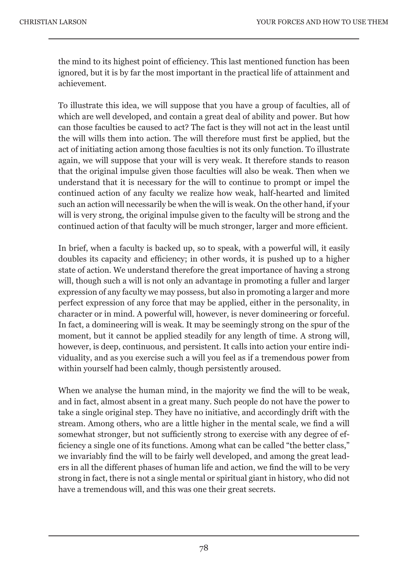the mind to its highest point of efficiency. This last mentioned function has been ignored, but it is by far the most important in the practical life of attainment and achievement.

To illustrate this idea, we will suppose that you have a group of faculties, all of which are well developed, and contain a great deal of ability and power. But how can those faculties be caused to act? The fact is they will not act in the least until the will wills them into action. The will therefore must first be applied, but the act of initiating action among those faculties is not its only function. To illustrate again, we will suppose that your will is very weak. It therefore stands to reason that the original impulse given those faculties will also be weak. Then when we understand that it is necessary for the will to continue to prompt or impel the continued action of any faculty we realize how weak, half-hearted and limited such an action will necessarily be when the will is weak. On the other hand, if your will is very strong, the original impulse given to the faculty will be strong and the continued action of that faculty will be much stronger, larger and more efficient.

In brief, when a faculty is backed up, so to speak, with a powerful will, it easily doubles its capacity and efficiency; in other words, it is pushed up to a higher state of action. We understand therefore the great importance of having a strong will, though such a will is not only an advantage in promoting a fuller and larger expression of any faculty we may possess, but also in promoting a larger and more perfect expression of any force that may be applied, either in the personality, in character or in mind. A powerful will, however, is never domineering or forceful. In fact, a domineering will is weak. It may be seemingly strong on the spur of the moment, but it cannot be applied steadily for any length of time. A strong will, however, is deep, continuous, and persistent. It calls into action your entire individuality, and as you exercise such a will you feel as if a tremendous power from within yourself had been calmly, though persistently aroused.

When we analyse the human mind, in the majority we find the will to be weak, and in fact, almost absent in a great many. Such people do not have the power to take a single original step. They have no initiative, and accordingly drift with the stream. Among others, who are a little higher in the mental scale, we find a will somewhat stronger, but not sufficiently strong to exercise with any degree of efficiency a single one of its functions. Among what can be called "the better class," we invariably find the will to be fairly well developed, and among the great leaders in all the different phases of human life and action, we find the will to be very strong in fact, there is not a single mental or spiritual giant in history, who did not have a tremendous will, and this was one their great secrets.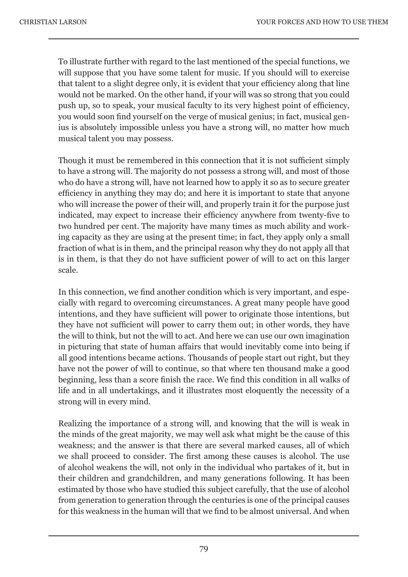To illustrate further with regard to the last mentioned of the special functions, we will suppose that you have some talent for music. If you should will to exercise that talent to a slight degree only, it is evident that your efficiency along that line would not be marked. On the other hand, if your will was so strong that you could push up, so to speak, your musical faculty to its very highest point of efficiency, you would soon find yourself on the verge of musical genius; in fact, musical genius is absolutely impossible unless you have a strong will, no matter how much musical talent you may possess.

Though it must be remembered in this connection that it is not sufficient simply to have a strong will. The majority do not possess a strong will, and most of those who do have a strong will, have not learned how to apply it so as to secure greater efficiency in anything they may do; and here it is important to state that anyone who will increase the power of their will, and properly train it for the purpose just indicated, may expect to increase their efficiency anywhere from twenty-five to two hundred per cent. The majority have many times as much ability and working capacity as they are using at the present time; in fact, they apply only a small fraction of what is in them, and the principal reason why they do not apply all that is in them, is that they do not have sufficient power of will to act on this larger scale.

In this connection, we find another condition which is very important, and especially with regard to overcoming circumstances. A great many people have good intentions, and they have sufficient will power to originate those intentions, but they have not sufficient will power to carry them out; in other words, they have the will to think, but not the will to act. And here we can use our own imagination in picturing that state of human affairs that would inevitably come into being if all good intentions became actions. Thousands of people start out right, but they have not the power of will to continue, so that where ten thousand make a good beginning, less than a score finish the race. We find this condition in all walks of life and in all undertakings, and it illustrates most eloquently the necessity of a strong will in every mind.

Realizing the importance of a strong will, and knowing that the will is weak in the minds of the great majority, we may well ask what might be the cause of this weakness; and the answer is that there are several marked causes, all of which we shall proceed to consider. The first among these causes is alcohol. The use of alcohol weakens the will, not only in the individual who partakes of it, but in their children and grandchildren, and many generations following. It has been estimated by those who have studied this subject carefully, that the use of alcohol from generation to generation through the centuries is one of the principal causes for this weakness in the human will that we find to be almost universal. And when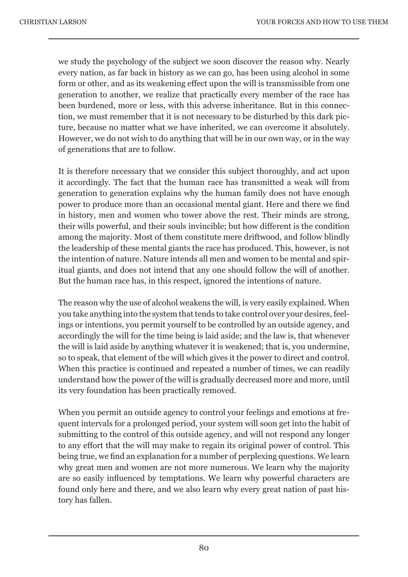we study the psychology of the subject we soon discover the reason why. Nearly every nation, as far back in history as we can go, has been using alcohol in some form or other, and as its weakening effect upon the will is transmissible from one generation to another, we realize that practically every member of the race has been burdened, more or less, with this adverse inheritance. But in this connection, we must remember that it is not necessary to be disturbed by this dark picture, because no matter what we have inherited, we can overcome it absolutely. However, we do not wish to do anything that will be in our own way, or in the way of generations that are to follow.

It is therefore necessary that we consider this subject thoroughly, and act upon it accordingly. The fact that the human race has transmitted a weak will from generation to generation explains why the human family does not have enough power to produce more than an occasional mental giant. Here and there we find in history, men and women who tower above the rest. Their minds are strong, their wills powerful, and their souls invincible; but how different is the condition among the majority. Most of them constitute mere driftwood, and follow blindly the leadership of these mental giants the race has produced. This, however, is not the intention of nature. Nature intends all men and women to be mental and spiritual giants, and does not intend that any one should follow the will of another. But the human race has, in this respect, ignored the intentions of nature.

The reason why the use of alcohol weakens the will, is very easily explained. When you take anything into the system that tends to take control over your desires, feelings or intentions, you permit yourself to be controlled by an outside agency, and accordingly the will for the time being is laid aside; and the law is, that whenever the will is laid aside by anything whatever it is weakened; that is, you undermine, so to speak, that element of the will which gives it the power to direct and control. When this practice is continued and repeated a number of times, we can readily understand how the power of the will is gradually decreased more and more, until its very foundation has been practically removed.

When you permit an outside agency to control your feelings and emotions at frequent intervals for a prolonged period, your system will soon get into the habit of submitting to the control of this outside agency, and will not respond any longer to any effort that the will may make to regain its original power of control. This being true, we find an explanation for a number of perplexing questions. We learn why great men and women are not more numerous. We learn why the majority are so easily influenced by temptations. We learn why powerful characters are found only here and there, and we also learn why every great nation of past history has fallen.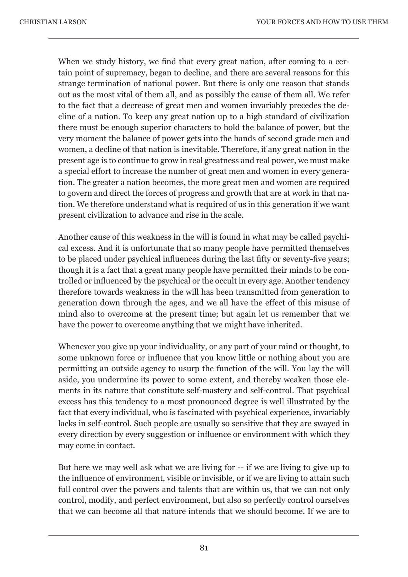When we study history, we find that every great nation, after coming to a certain point of supremacy, began to decline, and there are several reasons for this strange termination of national power. But there is only one reason that stands out as the most vital of them all, and as possibly the cause of them all. We refer to the fact that a decrease of great men and women invariably precedes the decline of a nation. To keep any great nation up to a high standard of civilization there must be enough superior characters to hold the balance of power, but the very moment the balance of power gets into the hands of second grade men and women, a decline of that nation is inevitable. Therefore, if any great nation in the present age is to continue to grow in real greatness and real power, we must make a special effort to increase the number of great men and women in every generation. The greater a nation becomes, the more great men and women are required to govern and direct the forces of progress and growth that are at work in that nation. We therefore understand what is required of us in this generation if we want present civilization to advance and rise in the scale.

Another cause of this weakness in the will is found in what may be called psychical excess. And it is unfortunate that so many people have permitted themselves to be placed under psychical influences during the last fifty or seventy-five years; though it is a fact that a great many people have permitted their minds to be controlled or influenced by the psychical or the occult in every age. Another tendency therefore towards weakness in the will has been transmitted from generation to generation down through the ages, and we all have the effect of this misuse of mind also to overcome at the present time; but again let us remember that we have the power to overcome anything that we might have inherited.

Whenever you give up your individuality, or any part of your mind or thought, to some unknown force or influence that you know little or nothing about you are permitting an outside agency to usurp the function of the will. You lay the will aside, you undermine its power to some extent, and thereby weaken those elements in its nature that constitute self-mastery and self-control. That psychical excess has this tendency to a most pronounced degree is well illustrated by the fact that every individual, who is fascinated with psychical experience, invariably lacks in self-control. Such people are usually so sensitive that they are swayed in every direction by every suggestion or influence or environment with which they may come in contact.

But here we may well ask what we are living for -- if we are living to give up to the influence of environment, visible or invisible, or if we are living to attain such full control over the powers and talents that are within us, that we can not only control, modify, and perfect environment, but also so perfectly control ourselves that we can become all that nature intends that we should become. If we are to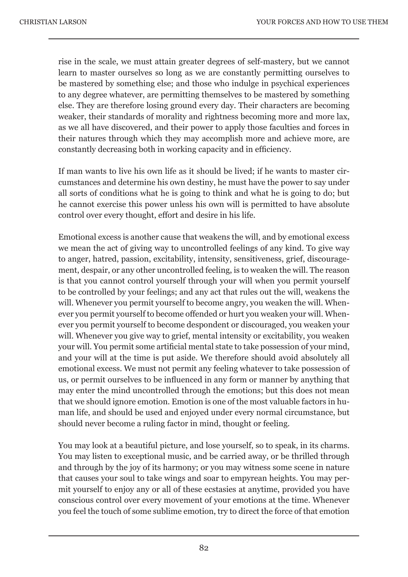rise in the scale, we must attain greater degrees of self-mastery, but we cannot learn to master ourselves so long as we are constantly permitting ourselves to be mastered by something else; and those who indulge in psychical experiences to any degree whatever, are permitting themselves to be mastered by something else. They are therefore losing ground every day. Their characters are becoming weaker, their standards of morality and rightness becoming more and more lax, as we all have discovered, and their power to apply those faculties and forces in their natures through which they may accomplish more and achieve more, are constantly decreasing both in working capacity and in efficiency.

If man wants to live his own life as it should be lived; if he wants to master circumstances and determine his own destiny, he must have the power to say under all sorts of conditions what he is going to think and what he is going to do; but he cannot exercise this power unless his own will is permitted to have absolute control over every thought, effort and desire in his life.

Emotional excess is another cause that weakens the will, and by emotional excess we mean the act of giving way to uncontrolled feelings of any kind. To give way to anger, hatred, passion, excitability, intensity, sensitiveness, grief, discouragement, despair, or any other uncontrolled feeling, is to weaken the will. The reason is that you cannot control yourself through your will when you permit yourself to be controlled by your feelings; and any act that rules out the will, weakens the will. Whenever you permit yourself to become angry, you weaken the will. Whenever you permit yourself to become offended or hurt you weaken your will. Whenever you permit yourself to become despondent or discouraged, you weaken your will. Whenever you give way to grief, mental intensity or excitability, you weaken your will. You permit some artificial mental state to take possession of your mind, and your will at the time is put aside. We therefore should avoid absolutely all emotional excess. We must not permit any feeling whatever to take possession of us, or permit ourselves to be influenced in any form or manner by anything that may enter the mind uncontrolled through the emotions; but this does not mean that we should ignore emotion. Emotion is one of the most valuable factors in human life, and should be used and enjoyed under every normal circumstance, but should never become a ruling factor in mind, thought or feeling.

You may look at a beautiful picture, and lose yourself, so to speak, in its charms. You may listen to exceptional music, and be carried away, or be thrilled through and through by the joy of its harmony; or you may witness some scene in nature that causes your soul to take wings and soar to empyrean heights. You may permit yourself to enjoy any or all of these ecstasies at anytime, provided you have conscious control over every movement of your emotions at the time. Whenever you feel the touch of some sublime emotion, try to direct the force of that emotion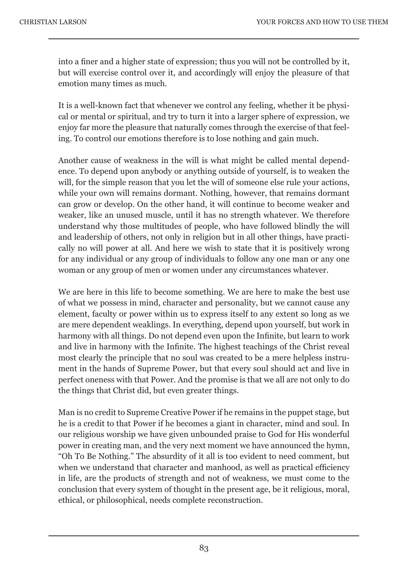into a finer and a higher state of expression; thus you will not be controlled by it, but will exercise control over it, and accordingly will enjoy the pleasure of that emotion many times as much.

It is a well-known fact that whenever we control any feeling, whether it be physical or mental or spiritual, and try to turn it into a larger sphere of expression, we enjoy far more the pleasure that naturally comes through the exercise of that feeling. To control our emotions therefore is to lose nothing and gain much.

Another cause of weakness in the will is what might be called mental dependence. To depend upon anybody or anything outside of yourself, is to weaken the will, for the simple reason that you let the will of someone else rule your actions, while your own will remains dormant. Nothing, however, that remains dormant can grow or develop. On the other hand, it will continue to become weaker and weaker, like an unused muscle, until it has no strength whatever. We therefore understand why those multitudes of people, who have followed blindly the will and leadership of others, not only in religion but in all other things, have practically no will power at all. And here we wish to state that it is positively wrong for any individual or any group of individuals to follow any one man or any one woman or any group of men or women under any circumstances whatever.

We are here in this life to become something. We are here to make the best use of what we possess in mind, character and personality, but we cannot cause any element, faculty or power within us to express itself to any extent so long as we are mere dependent weaklings. In everything, depend upon yourself, but work in harmony with all things. Do not depend even upon the Infinite, but learn to work and live in harmony with the Infinite. The highest teachings of the Christ reveal most clearly the principle that no soul was created to be a mere helpless instrument in the hands of Supreme Power, but that every soul should act and live in perfect oneness with that Power. And the promise is that we all are not only to do the things that Christ did, but even greater things.

Man is no credit to Supreme Creative Power if he remains in the puppet stage, but he is a credit to that Power if he becomes a giant in character, mind and soul. In our religious worship we have given unbounded praise to God for His wonderful power in creating man, and the very next moment we have announced the hymn, "Oh To Be Nothing." The absurdity of it all is too evident to need comment, but when we understand that character and manhood, as well as practical efficiency in life, are the products of strength and not of weakness, we must come to the conclusion that every system of thought in the present age, be it religious, moral, ethical, or philosophical, needs complete reconstruction.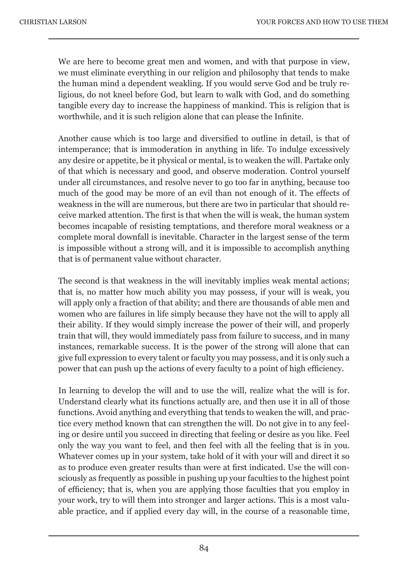We are here to become great men and women, and with that purpose in view, we must eliminate everything in our religion and philosophy that tends to make the human mind a dependent weakling. If you would serve God and be truly religious, do not kneel before God, but learn to walk with God, and do something tangible every day to increase the happiness of mankind. This is religion that is worthwhile, and it is such religion alone that can please the Infinite.

Another cause which is too large and diversified to outline in detail, is that of intemperance; that is immoderation in anything in life. To indulge excessively any desire or appetite, be it physical or mental, is to weaken the will. Partake only of that which is necessary and good, and observe moderation. Control yourself under all circumstances, and resolve never to go too far in anything, because too much of the good may be more of an evil than not enough of it. The effects of weakness in the will are numerous, but there are two in particular that should receive marked attention. The first is that when the will is weak, the human system becomes incapable of resisting temptations, and therefore moral weakness or a complete moral downfall is inevitable. Character in the largest sense of the term is impossible without a strong will, and it is impossible to accomplish anything that is of permanent value without character.

The second is that weakness in the will inevitably implies weak mental actions; that is, no matter how much ability you may possess, if your will is weak, you will apply only a fraction of that ability; and there are thousands of able men and women who are failures in life simply because they have not the will to apply all their ability. If they would simply increase the power of their will, and properly train that will, they would immediately pass from failure to success, and in many instances, remarkable success. It is the power of the strong will alone that can give full expression to every talent or faculty you may possess, and it is only such a power that can push up the actions of every faculty to a point of high efficiency.

In learning to develop the will and to use the will, realize what the will is for. Understand clearly what its functions actually are, and then use it in all of those functions. Avoid anything and everything that tends to weaken the will, and practice every method known that can strengthen the will. Do not give in to any feeling or desire until you succeed in directing that feeling or desire as you like. Feel only the way you want to feel, and then feel with all the feeling that is in you. Whatever comes up in your system, take hold of it with your will and direct it so as to produce even greater results than were at first indicated. Use the will consciously as frequently as possible in pushing up your faculties to the highest point of efficiency; that is, when you are applying those faculties that you employ in your work, try to will them into stronger and larger actions. This is a most valuable practice, and if applied every day will, in the course of a reasonable time,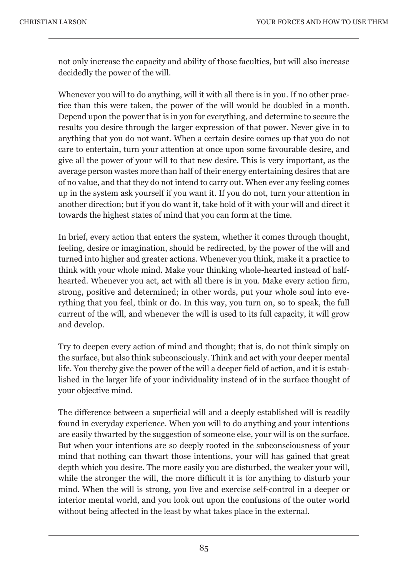not only increase the capacity and ability of those faculties, but will also increase decidedly the power of the will.

Whenever you will to do anything, will it with all there is in you. If no other practice than this were taken, the power of the will would be doubled in a month. Depend upon the power that is in you for everything, and determine to secure the results you desire through the larger expression of that power. Never give in to anything that you do not want. When a certain desire comes up that you do not care to entertain, turn your attention at once upon some favourable desire, and give all the power of your will to that new desire. This is very important, as the average person wastes more than half of their energy entertaining desires that are of no value, and that they do not intend to carry out. When ever any feeling comes up in the system ask yourself if you want it. If you do not, turn your attention in another direction; but if you do want it, take hold of it with your will and direct it towards the highest states of mind that you can form at the time.

In brief, every action that enters the system, whether it comes through thought, feeling, desire or imagination, should be redirected, by the power of the will and turned into higher and greater actions. Whenever you think, make it a practice to think with your whole mind. Make your thinking whole-hearted instead of halfhearted. Whenever you act, act with all there is in you. Make every action firm, strong, positive and determined; in other words, put your whole soul into everything that you feel, think or do. In this way, you turn on, so to speak, the full current of the will, and whenever the will is used to its full capacity, it will grow and develop.

Try to deepen every action of mind and thought; that is, do not think simply on the surface, but also think subconsciously. Think and act with your deeper mental life. You thereby give the power of the will a deeper field of action, and it is established in the larger life of your individuality instead of in the surface thought of your objective mind.

The difference between a superficial will and a deeply established will is readily found in everyday experience. When you will to do anything and your intentions are easily thwarted by the suggestion of someone else, your will is on the surface. But when your intentions are so deeply rooted in the subconsciousness of your mind that nothing can thwart those intentions, your will has gained that great depth which you desire. The more easily you are disturbed, the weaker your will, while the stronger the will, the more difficult it is for anything to disturb your mind. When the will is strong, you live and exercise self-control in a deeper or interior mental world, and you look out upon the confusions of the outer world without being affected in the least by what takes place in the external.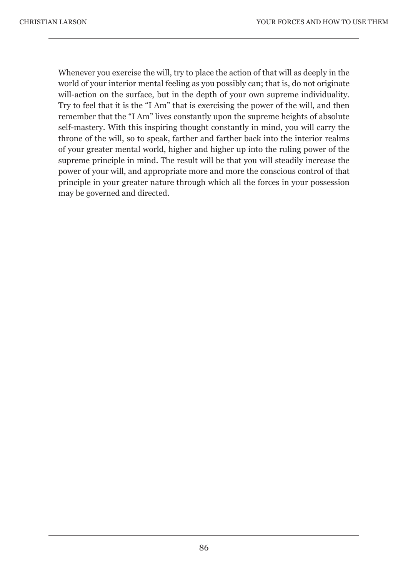Whenever you exercise the will, try to place the action of that will as deeply in the world of your interior mental feeling as you possibly can; that is, do not originate will-action on the surface, but in the depth of your own supreme individuality. Try to feel that it is the "I Am" that is exercising the power of the will, and then remember that the "I Am" lives constantly upon the supreme heights of absolute self-mastery. With this inspiring thought constantly in mind, you will carry the throne of the will, so to speak, farther and farther back into the interior realms of your greater mental world, higher and higher up into the ruling power of the supreme principle in mind. The result will be that you will steadily increase the power of your will, and appropriate more and more the conscious control of that principle in your greater nature through which all the forces in your possession may be governed and directed.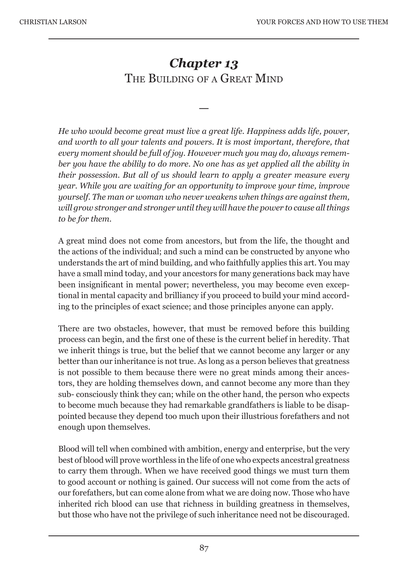#### *Chapter 13* THE BUILDING OF A GREAT MIND

—

*He who would become great must live a great life. Happiness adds life, power, and worth to all your talents and powers. It is most important, therefore, that every moment should be full of joy. However much you may do, always remem*ber you have the abilily to do more. No one has as yet applied all the ability in *their possession. But all of us should learn to apply a greater measure every year. While you are waiting for an opportunity to improve your time, improve yourself. The man or woman who never weakens when things are against them, will grow stronger and stronger until they will have the power to cause all things to be for them.*

A great mind does not come from ancestors, but from the life, the thought and the actions of the individual; and such a mind can be constructed by anyone who understands the art of mind building, and who faithfully applies this art. You may have a small mind today, and your ancestors for many generations back may have been insignificant in mental power; nevertheless, you may become even exceptional in mental capacity and brilliancy if you proceed to build your mind according to the principles of exact science; and those principles anyone can apply.

There are two obstacles, however, that must be removed before this building process can begin, and the first one of these is the current belief in heredity. That we inherit things is true, but the belief that we cannot become any larger or any better than our inheritance is not true. As long as a person believes that greatness is not possible to them because there were no great minds among their ancestors, they are holding themselves down, and cannot become any more than they sub- consciously think they can; while on the other hand, the person who expects to become much because they had remarkable grandfathers is liable to be disappointed because they depend too much upon their illustrious forefathers and not enough upon themselves.

Blood will tell when combined with ambition, energy and enterprise, but the very best of blood will prove worthless in the life of one who expects ancestral greatness to carry them through. When we have received good things we must turn them to good account or nothing is gained. Our success will not come from the acts of our forefathers, but can come alone from what we are doing now. Those who have inherited rich blood can use that richness in building greatness in themselves, but those who have not the privilege of such inheritance need not be discouraged.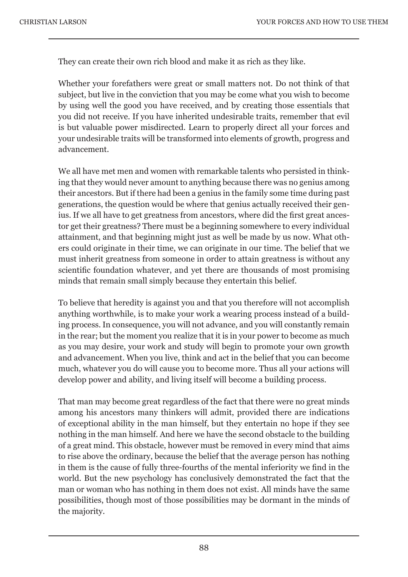They can create their own rich blood and make it as rich as they like.

Whether your forefathers were great or small matters not. Do not think of that subject, but live in the conviction that you may be come what you wish to become by using well the good you have received, and by creating those essentials that you did not receive. If you have inherited undesirable traits, remember that evil is but valuable power misdirected. Learn to properly direct all your forces and your undesirable traits will be transformed into elements of growth, progress and advancement.

We all have met men and women with remarkable talents who persisted in thinking that they would never amount to anything because there was no genius among their ancestors. But if there had been a genius in the family some time during past generations, the question would be where that genius actually received their genius. If we all have to get greatness from ancestors, where did the first great ancestor get their greatness? There must be a beginning somewhere to every individual attainment, and that beginning might just as well be made by us now. What others could originate in their time, we can originate in our time. The belief that we must inherit greatness from someone in order to attain greatness is without any scientific foundation whatever, and yet there are thousands of most promising minds that remain small simply because they entertain this belief.

To believe that heredity is against you and that you therefore will not accomplish anything worthwhile, is to make your work a wearing process instead of a building process. In consequence, you will not advance, and you will constantly remain in the rear; but the moment you realize that it is in your power to become as much as you may desire, your work and study will begin to promote your own growth and advancement. When you live, think and act in the belief that you can become much, whatever you do will cause you to become more. Thus all your actions will develop power and ability, and living itself will become a building process.

That man may become great regardless of the fact that there were no great minds among his ancestors many thinkers will admit, provided there are indications of exceptional ability in the man himself, but they entertain no hope if they see nothing in the man himself. And here we have the second obstacle to the building of a great mind. This obstacle, however must be removed in every mind that aims to rise above the ordinary, because the belief that the average person has nothing in them is the cause of fully three-fourths of the mental inferiority we find in the world. But the new psychology has conclusively demonstrated the fact that the man or woman who has nothing in them does not exist. All minds have the same possibilities, though most of those possibilities may be dormant in the minds of the majority.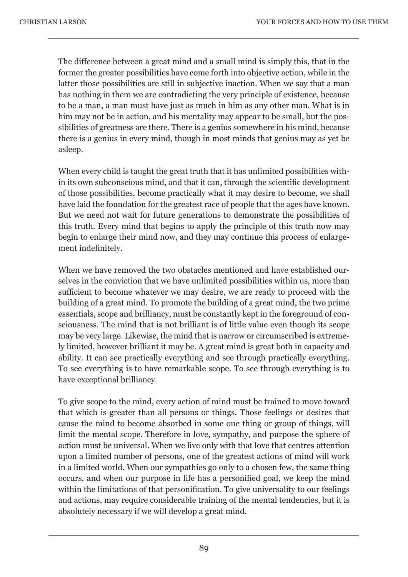The difference between a great mind and a small mind is simply this, that in the former the greater possibilities have come forth into objective action, while in the latter those possibilities are still in subjective inaction. When we say that a man has nothing in them we are contradicting the very principle of existence, because to be a man, a man must have just as much in him as any other man. What is in him may not be in action, and his mentality may appear to be small, but the possibilities of greatness are there. There is a genius somewhere in his mind, because there is a genius in every mind, though in most minds that genius may as yet be asleep.

When every child is taught the great truth that it has unlimited possibilities within its own subconscious mind, and that it can, through the scientific development of those possibilities, become practically what it may desire to become, we shall have laid the foundation for the greatest race of people that the ages have known. But we need not wait for future generations to demonstrate the possibilities of this truth. Every mind that begins to apply the principle of this truth now may begin to enlarge their mind now, and they may continue this process of enlargement indefinitely.

When we have removed the two obstacles mentioned and have established ourselves in the conviction that we have unlimited possibilities within us, more than sufficient to become whatever we may desire, we are ready to proceed with the building of a great mind. To promote the building of a great mind, the two prime essentials, scope and brilliancy, must be constantly kept in the foreground of consciousness. The mind that is not brilliant is of little value even though its scope may be very large. Likewise, the mind that is narrow or circumscribed is extremely limited, however brilliant it may be. A great mind is great both in capacity and ability. It can see practically everything and see through practically everything. To see everything is to have remarkable scope. To see through everything is to have exceptional brilliancy.

To give scope to the mind, every action of mind must be trained to move toward that which is greater than all persons or things. Those feelings or desires that cause the mind to become absorbed in some one thing or group of things, will limit the mental scope. Therefore in love, sympathy, and purpose the sphere of action must be universal. When we live only with that love that centres attention upon a limited number of persons, one of the greatest actions of mind will work in a limited world. When our sympathies go only to a chosen few, the same thing occurs, and when our purpose in life has a personified goal, we keep the mind within the limitations of that personification. To give universality to our feelings and actions, may require considerable training of the mental tendencies, but it is absolutely necessary if we will develop a great mind.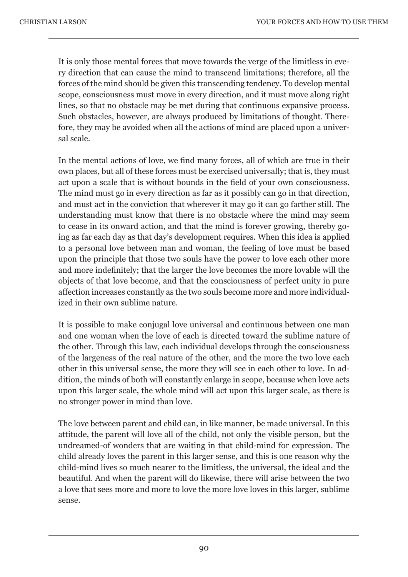It is only those mental forces that move towards the verge of the limitless in every direction that can cause the mind to transcend limitations; therefore, all the forces of the mind should be given this transcending tendency. To develop mental scope, consciousness must move in every direction, and it must move along right lines, so that no obstacle may be met during that continuous expansive process. Such obstacles, however, are always produced by limitations of thought. Therefore, they may be avoided when all the actions of mind are placed upon a universal scale.

In the mental actions of love, we find many forces, all of which are true in their own places, but all of these forces must be exercised universally; that is, they must act upon a scale that is without bounds in the field of your own consciousness. The mind must go in every direction as far as it possibly can go in that direction, and must act in the conviction that wherever it may go it can go farther still. The understanding must know that there is no obstacle where the mind may seem to cease in its onward action, and that the mind is forever growing, thereby going as far each day as that day's development requires. When this idea is applied to a personal love between man and woman, the feeling of love must be based upon the principle that those two souls have the power to love each other more and more indefinitely; that the larger the love becomes the more lovable will the objects of that love become, and that the consciousness of perfect unity in pure affection increases constantly as the two souls become more and more individualized in their own sublime nature.

It is possible to make conjugal love universal and continuous between one man and one woman when the love of each is directed toward the sublime nature of the other. Through this law, each individual develops through the consciousness of the largeness of the real nature of the other, and the more the two love each other in this universal sense, the more they will see in each other to love. In addition, the minds of both will constantly enlarge in scope, because when love acts upon this larger scale, the whole mind will act upon this larger scale, as there is no stronger power in mind than love.

The love between parent and child can, in like manner, be made universal. In this attitude, the parent will love all of the child, not only the visible person, but the undreamed-of wonders that are waiting in that child-mind for expression. The child already loves the parent in this larger sense, and this is one reason why the child-mind lives so much nearer to the limitless, the universal, the ideal and the beautiful. And when the parent will do likewise, there will arise between the two a love that sees more and more to love the more love loves in this larger, sublime sense.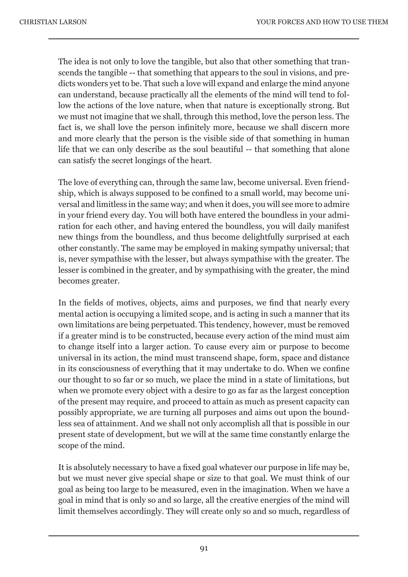The idea is not only to love the tangible, but also that other something that transcends the tangible -- that something that appears to the soul in visions, and predicts wonders yet to be. That such a love will expand and enlarge the mind anyone can understand, because practically all the elements of the mind will tend to follow the actions of the love nature, when that nature is exceptionally strong. But we must not imagine that we shall, through this method, love the person less. The fact is, we shall love the person infinitely more, because we shall discern more and more clearly that the person is the visible side of that something in human life that we can only describe as the soul beautiful -- that something that alone can satisfy the secret longings of the heart.

The love of everything can, through the same law, become universal. Even friendship, which is always supposed to be confined to a small world, may become universal and limitless in the same way; and when it does, you will see more to admire in your friend every day. You will both have entered the boundless in your admiration for each other, and having entered the boundless, you will daily manifest new things from the boundless, and thus become delightfully surprised at each other constantly. The same may be employed in making sympathy universal; that is, never sympathise with the lesser, but always sympathise with the greater. The lesser is combined in the greater, and by sympathising with the greater, the mind becomes greater.

In the fields of motives, objects, aims and purposes, we find that nearly every mental action is occupying a limited scope, and is acting in such a manner that its own limitations are being perpetuated. This tendency, however, must be removed if a greater mind is to be constructed, because every action of the mind must aim to change itself into a larger action. To cause every aim or purpose to become universal in its action, the mind must transcend shape, form, space and distance in its consciousness of everything that it may undertake to do. When we confine our thought to so far or so much, we place the mind in a state of limitations, but when we promote every object with a desire to go as far as the largest conception of the present may require, and proceed to attain as much as present capacity can possibly appropriate, we are turning all purposes and aims out upon the boundless sea of attainment. And we shall not only accomplish all that is possible in our present state of development, but we will at the same time constantly enlarge the scope of the mind.

It is absolutely necessary to have a fixed goal whatever our purpose in life may be, but we must never give special shape or size to that goal. We must think of our goal as being too large to be measured, even in the imagination. When we have a goal in mind that is only so and so large, all the creative energies of the mind will limit themselves accordingly. They will create only so and so much, regardless of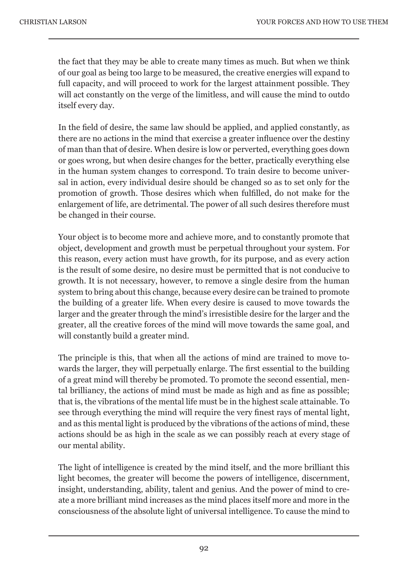the fact that they may be able to create many times as much. But when we think of our goal as being too large to be measured, the creative energies will expand to full capacity, and will proceed to work for the largest attainment possible. They will act constantly on the verge of the limitless, and will cause the mind to outdo itself every day.

In the field of desire, the same law should be applied, and applied constantly, as there are no actions in the mind that exercise a greater influence over the destiny of man than that of desire. When desire is low or perverted, everything goes down or goes wrong, but when desire changes for the better, practically everything else in the human system changes to correspond. To train desire to become universal in action, every individual desire should be changed so as to set only for the promotion of growth. Those desires which when fulfilled, do not make for the enlargement of life, are detrimental. The power of all such desires therefore must be changed in their course.

Your object is to become more and achieve more, and to constantly promote that object, development and growth must be perpetual throughout your system. For this reason, every action must have growth, for its purpose, and as every action is the result of some desire, no desire must be permitted that is not conducive to growth. It is not necessary, however, to remove a single desire from the human system to bring about this change, because every desire can be trained to promote the building of a greater life. When every desire is caused to move towards the larger and the greater through the mind's irresistible desire for the larger and the greater, all the creative forces of the mind will move towards the same goal, and will constantly build a greater mind.

The principle is this, that when all the actions of mind are trained to move towards the larger, they will perpetually enlarge. The first essential to the building of a great mind will thereby be promoted. To promote the second essential, mental brilliancy, the actions of mind must be made as high and as fine as possible; that is, the vibrations of the mental life must be in the highest scale attainable. To see through everything the mind will require the very finest rays of mental light, and as this mental light is produced by the vibrations of the actions of mind, these actions should be as high in the scale as we can possibly reach at every stage of our mental ability.

The light of intelligence is created by the mind itself, and the more brilliant this light becomes, the greater will become the powers of intelligence, discernment, insight, understanding, ability, talent and genius. And the power of mind to create a more brilliant mind increases as the mind places itself more and more in the consciousness of the absolute light of universal intelligence. To cause the mind to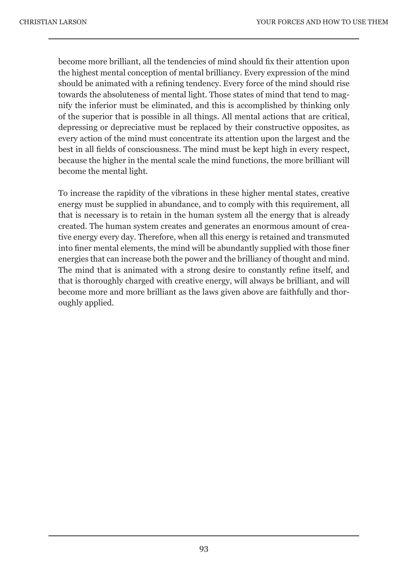become more brilliant, all the tendencies of mind should fix their attention upon the highest mental conception of mental brilliancy. Every expression of the mind should be animated with a refining tendency. Every force of the mind should rise towards the absoluteness of mental light. Those states of mind that tend to magnify the inferior must be eliminated, and this is accomplished by thinking only of the superior that is possible in all things. All mental actions that are critical, depressing or depreciative must be replaced by their constructive opposites, as every action of the mind must concentrate its attention upon the largest and the best in all fields of consciousness. The mind must be kept high in every respect, because the higher in the mental scale the mind functions, the more brilliant will become the mental light.

To increase the rapidity of the vibrations in these higher mental states, creative energy must be supplied in abundance, and to comply with this requirement, all that is necessary is to retain in the human system all the energy that is already created. The human system creates and generates an enormous amount of creative energy every day. Therefore, when all this energy is retained and transmuted into finer mental elements, the mind will be abundantly supplied with those finer energies that can increase both the power and the brilliancy of thought and mind. The mind that is animated with a strong desire to constantly refine itself, and that is thoroughly charged with creative energy, will always be brilliant, and will become more and more brilliant as the laws given above are faithfully and thoroughly applied.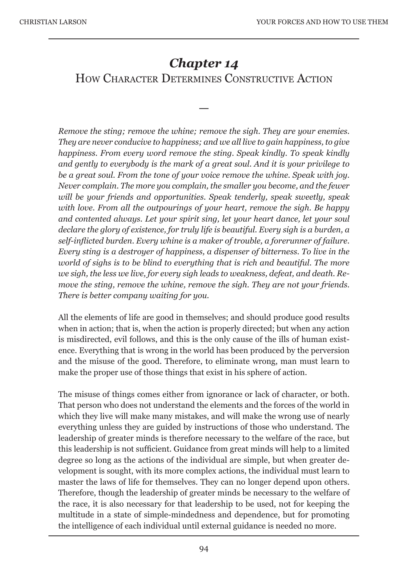# *Chapter 14* HOW CHARACTER DETERMINES CONSTRUCTIVE ACTION

—

*Remove the sting; remove the whine; remove the sigh. They are your enemies. They are never conducive to happiness; and we all live to gain happiness, to give happiness. From every word remove the sting. Speak kindly. To speak kindly and gently to everybody is the mark of a great soul. And it is your privilege to be a great soul. From the tone of your voice remove the whine. Speak with joy. Never complain. The more you complain, the smaller you become, and the fewer will be your friends and opportunities. Speak tenderly, speak sweetly, speak with love. From all the outpourings of your heart, remove the sigh. Be happy and contented always. Let your spirit sing, let your heart dance, let your soul declare the glory of existence, for truly life is beautiful. Every sigh is a burden, a self-inflicted burden. Every whine is a maker of trouble, a forerunner of failure. Every sting is a destroyer of happiness, a dispenser of bitterness. To live in the world of sighs is to be blind to everything that is rich and beautiful. The more we sigh, the less we live, for every sigh leads to weakness, defeat, and death. Remove the sting, remove the whine, remove the sigh. They are not your friends. There is better company waiting for you.*

All the elements of life are good in themselves; and should produce good results when in action; that is, when the action is properly directed; but when any action is misdirected, evil follows, and this is the only cause of the ills of human existence. Everything that is wrong in the world has been produced by the perversion and the misuse of the good. Therefore, to eliminate wrong, man must learn to make the proper use of those things that exist in his sphere of action.

The misuse of things comes either from ignorance or lack of character, or both. That person who does not understand the elements and the forces of the world in which they live will make many mistakes, and will make the wrong use of nearly everything unless they are guided by instructions of those who understand. The leadership of greater minds is therefore necessary to the welfare of the race, but this leadership is not sufficient. Guidance from great minds will help to a limited degree so long as the actions of the individual are simple, but when greater development is sought, with its more complex actions, the individual must learn to master the laws of life for themselves. They can no longer depend upon others. Therefore, though the leadership of greater minds be necessary to the welfare of the race, it is also necessary for that leadership to be used, not for keeping the multitude in a state of simple-mindedness and dependence, but for promoting the intelligence of each individual until external guidance is needed no more.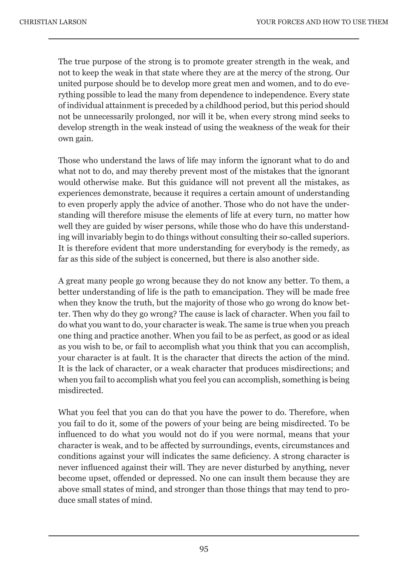The true purpose of the strong is to promote greater strength in the weak, and not to keep the weak in that state where they are at the mercy of the strong. Our united purpose should be to develop more great men and women, and to do everything possible to lead the many from dependence to independence. Every state of individual attainment is preceded by a childhood period, but this period should not be unnecessarily prolonged, nor will it be, when every strong mind seeks to develop strength in the weak instead of using the weakness of the weak for their own gain.

Those who understand the laws of life may inform the ignorant what to do and what not to do, and may thereby prevent most of the mistakes that the ignorant would otherwise make. But this guidance will not prevent all the mistakes, as experiences demonstrate, because it requires a certain amount of understanding to even properly apply the advice of another. Those who do not have the understanding will therefore misuse the elements of life at every turn, no matter how well they are guided by wiser persons, while those who do have this understanding will invariably begin to do things without consulting their so-called superiors. It is therefore evident that more understanding for everybody is the remedy, as far as this side of the subject is concerned, but there is also another side.

A great many people go wrong because they do not know any better. To them, a better understanding of life is the path to emancipation. They will be made free when they know the truth, but the majority of those who go wrong do know better. Then why do they go wrong? The cause is lack of character. When you fail to do what you want to do, your character is weak. The same is true when you preach one thing and practice another. When you fail to be as perfect, as good or as ideal as you wish to be, or fail to accomplish what you think that you can accomplish, your character is at fault. It is the character that directs the action of the mind. It is the lack of character, or a weak character that produces misdirections; and when you fail to accomplish what you feel you can accomplish, something is being misdirected.

What you feel that you can do that you have the power to do. Therefore, when you fail to do it, some of the powers of your being are being misdirected. To be influenced to do what you would not do if you were normal, means that your character is weak, and to be affected by surroundings, events, circumstances and conditions against your will indicates the same deficiency. A strong character is never influenced against their will. They are never disturbed by anything, never become upset, offended or depressed. No one can insult them because they are above small states of mind, and stronger than those things that may tend to produce small states of mind.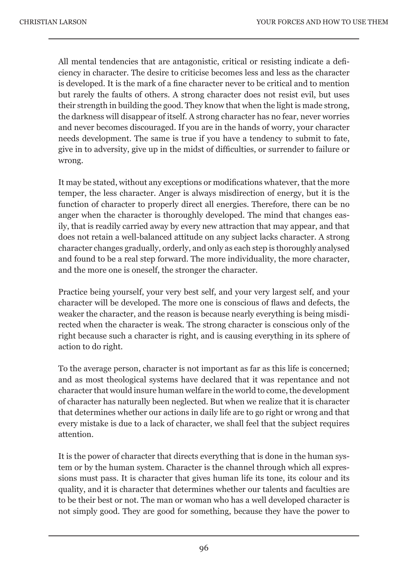All mental tendencies that are antagonistic, critical or resisting indicate a deficiency in character. The desire to criticise becomes less and less as the character is developed. It is the mark of a fine character never to be critical and to mention but rarely the faults of others. A strong character does not resist evil, but uses their strength in building the good. They know that when the light is made strong, the darkness will disappear of itself. A strong character has no fear, never worries and never becomes discouraged. If you are in the hands of worry, your character needs development. The same is true if you have a tendency to submit to fate, give in to adversity, give up in the midst of difficulties, or surrender to failure or wrong.

It may be stated, without any exceptions or modifications whatever, that the more temper, the less character. Anger is always misdirection of energy, but it is the function of character to properly direct all energies. Therefore, there can be no anger when the character is thoroughly developed. The mind that changes easily, that is readily carried away by every new attraction that may appear, and that does not retain a well-balanced attitude on any subject lacks character. A strong character changes gradually, orderly, and only as each step is thoroughly analysed and found to be a real step forward. The more individuality, the more character, and the more one is oneself, the stronger the character.

Practice being yourself, your very best self, and your very largest self, and your character will be developed. The more one is conscious of flaws and defects, the weaker the character, and the reason is because nearly everything is being misdirected when the character is weak. The strong character is conscious only of the right because such a character is right, and is causing everything in its sphere of action to do right.

To the average person, character is not important as far as this life is concerned; and as most theological systems have declared that it was repentance and not character that would insure human welfare in the world to come, the development of character has naturally been neglected. But when we realize that it is character that determines whether our actions in daily life are to go right or wrong and that every mistake is due to a lack of character, we shall feel that the subject requires attention.

It is the power of character that directs everything that is done in the human system or by the human system. Character is the channel through which all expressions must pass. It is character that gives human life its tone, its colour and its quality, and it is character that determines whether our talents and faculties are to be their best or not. The man or woman who has a well developed character is not simply good. They are good for something, because they have the power to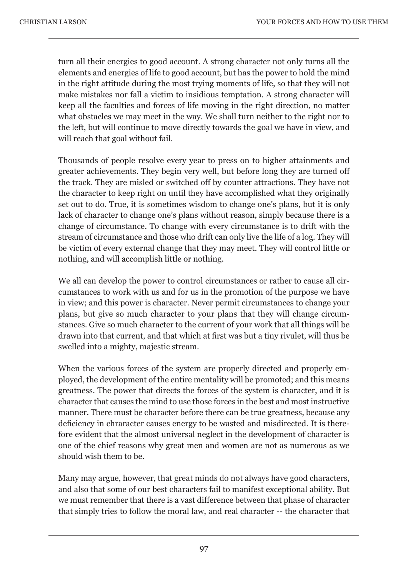turn all their energies to good account. A strong character not only turns all the elements and energies of life to good account, but has the power to hold the mind in the right attitude during the most trying moments of life, so that they will not make mistakes nor fall a victim to insidious temptation. A strong character will keep all the faculties and forces of life moving in the right direction, no matter what obstacles we may meet in the way. We shall turn neither to the right nor to the left, but will continue to move directly towards the goal we have in view, and will reach that goal without fail.

Thousands of people resolve every year to press on to higher attainments and greater achievements. They begin very well, but before long they are turned off the track. They are misled or switched off by counter attractions. They have not the character to keep right on until they have accomplished what they originally set out to do. True, it is sometimes wisdom to change one's plans, but it is only lack of character to change one's plans without reason, simply because there is a change of circumstance. To change with every circumstance is to drift with the stream of circumstance and those who drift can only live the life of a log. They will be victim of every external change that they may meet. They will control little or nothing, and will accomplish little or nothing.

We all can develop the power to control circumstances or rather to cause all circumstances to work with us and for us in the promotion of the purpose we have in view; and this power is character. Never permit circumstances to change your plans, but give so much character to your plans that they will change circumstances. Give so much character to the current of your work that all things will be drawn into that current, and that which at first was but a tiny rivulet, will thus be swelled into a mighty, majestic stream.

When the various forces of the system are properly directed and properly employed, the development of the entire mentality will be promoted; and this means greatness. The power that directs the forces of the system is character, and it is character that causes the mind to use those forces in the best and most instructive manner. There must be character before there can be true greatness, because any deficiency in chraracter causes energy to be wasted and misdirected. It is therefore evident that the almost universal neglect in the development of character is one of the chief reasons why great men and women are not as numerous as we should wish them to be.

Many may argue, however, that great minds do not always have good characters, and also that some of our best characters fail to manifest exceptional ability. But we must remember that there is a vast difference between that phase of character that simply tries to follow the moral law, and real character -- the character that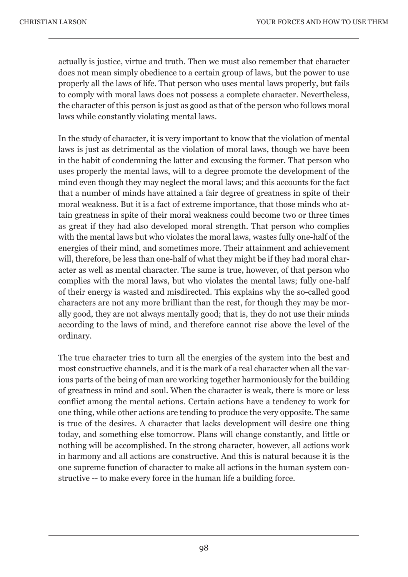actually is justice, virtue and truth. Then we must also remember that character does not mean simply obedience to a certain group of laws, but the power to use properly all the laws of life. That person who uses mental laws properly, but fails to comply with moral laws does not possess a complete character. Nevertheless, the character of this person is just as good as that of the person who follows moral laws while constantly violating mental laws.

In the study of character, it is very important to know that the violation of mental laws is just as detrimental as the violation of moral laws, though we have been in the habit of condemning the latter and excusing the former. That person who uses properly the mental laws, will to a degree promote the development of the mind even though they may neglect the moral laws; and this accounts for the fact that a number of minds have attained a fair degree of greatness in spite of their moral weakness. But it is a fact of extreme importance, that those minds who attain greatness in spite of their moral weakness could become two or three times as great if they had also developed moral strength. That person who complies with the mental laws but who violates the moral laws, wastes fully one-half of the energies of their mind, and sometimes more. Their attainment and achievement will, therefore, be less than one-half of what they might be if they had moral character as well as mental character. The same is true, however, of that person who complies with the moral laws, but who violates the mental laws; fully one-half of their energy is wasted and misdirected. This explains why the so-called good characters are not any more brilliant than the rest, for though they may be morally good, they are not always mentally good; that is, they do not use their minds according to the laws of mind, and therefore cannot rise above the level of the ordinary.

The true character tries to turn all the energies of the system into the best and most constructive channels, and it is the mark of a real character when all the various parts of the being of man are working together harmoniously for the building of greatness in mind and soul. When the character is weak, there is more or less conflict among the mental actions. Certain actions have a tendency to work for one thing, while other actions are tending to produce the very opposite. The same is true of the desires. A character that lacks development will desire one thing today, and something else tomorrow. Plans will change constantly, and little or nothing will be accomplished. In the strong character, however, all actions work in harmony and all actions are constructive. And this is natural because it is the one supreme function of character to make all actions in the human system constructive -- to make every force in the human life a building force.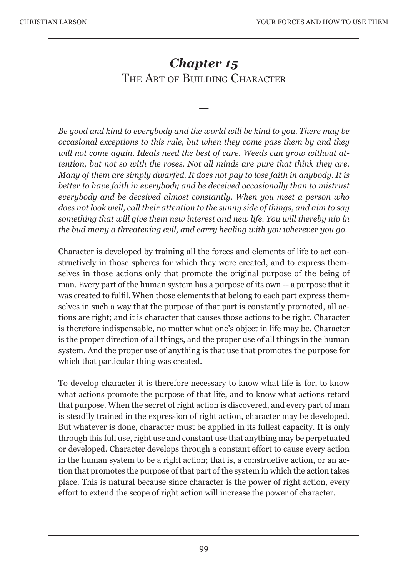# *Chapter 15* THE ART OF BUILDING CHARACTER

—

*Be good and kind to everybody and the world will be kind to you. There may be occasional exceptions to this rule, but when they come pass them by and they will not come again. Ideals need the best of care. Weeds can grow without attention, but not so with the roses. Not all minds are pure that think they are. Many of them are simply dwarfed. It does not pay to lose faith in anybody. It is better to have faith in everybody and be deceived occasionally than to mistrust everybody and be deceived almost constantly. When you meet a person who does not look well, call their attention to the sunny side of things, and aim to say something that will give them new interest and new life. You will thereby nip in the bud many a threatening evil, and carry healing with you wherever you go.*

Character is developed by training all the forces and elements of life to act constructively in those spheres for which they were created, and to express themselves in those actions only that promote the original purpose of the being of man. Every part of the human system has a purpose of its own -- a purpose that it was created to fulfil. When those elements that belong to each part express themselves in such a way that the purpose of that part is constantly promoted, all actions are right; and it is character that causes those actions to be right. Character is therefore indispensable, no matter what one's object in life may be. Character is the proper direction of all things, and the proper use of all things in the human system. And the proper use of anything is that use that promotes the purpose for which that particular thing was created.

To develop character it is therefore necessary to know what life is for, to know what actions promote the purpose of that life, and to know what actions retard that purpose. When the secret of right action is discovered, and every part of man is steadily trained in the expression of right action, character may be developed. But whatever is done, character must be applied in its fullest capacity. It is only through this full use, right use and constant use that anything may be perpetuated or developed. Character develops through a constant effort to cause every action in the human system to be a right action; that is, a construetive action, or an action that promotes the purpose of that part of the system in which the action takes place. This is natural because since character is the power of right action, every effort to extend the scope of right action will increase the power of character.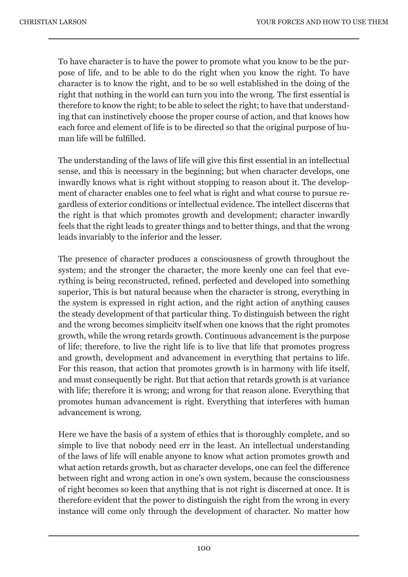To have character is to have the power to promote what you know to be the purpose of life, and to be able to do the right when you know the right. To have character is to know the right, and to be so well established in the doing of the right that nothing in the world can turn you into the wrong. The first essential is therefore to know the right; to be able to select the right; to have that understanding that can instinctively choose the proper course of action, and that knows how each force and element of life is to be directed so that the original purpose of human life will be fulfilled.

The understanding of the laws of life will give this first essential in an intellectual sense, and this is necessary in the beginning; but when character develops, one inwardly knows what is right without stopping to reason about it. The development of character enables one to feel what is right and what course to pursue regardless of exterior conditions or intellectual evidence. The intellect discerns that the right is that which promotes growth and development; character inwardly feels that the right leads to greater things and to better things, and that the wrong leads invariably to the inferior and the lesser.

The presence of character produces a consciousness of growth throughout the system; and the stronger the character, the more keenly one can feel that everything is being reconstructed, refined, perfected and developed into something superior, This is but natural because when the character is strong, everything in the system is expressed in right action, and the right action of anything causes the steady development of that particular thing. To distinguish between the right and the wrong becomes simplicitv itself when one knows that the right promotes growth, while the wrong retards growth. Continuous advancement is the purpose of life; therefore, to live the right life is to live that life that promotes progress and growth, development and advancement in everything that pertains to life. For this reason, that action that promotes growth is in harmony with life itself, and must consequently be right. But that action that retards growth is at variance with life; therefore it is wrong; and wrong for that reason alone. Everything that promotes human advancement is right. Everything that interferes with human advancement is wrong.

Here we have the basis of a system of ethics that is thoroughly complete, and so simple to live that nobody need err in the least. An intellectual understanding of the laws of life will enable anyone to know what action promotes growth and what action retards growth, but as character develops, one can feel the difference between right and wrong action in one's own system, because the consciousness of right becomes so keen that anything that is not right is discerned at once. It is therefore evident that the power to distinguish the right from the wrong in every instance will come only through the development of character. No matter how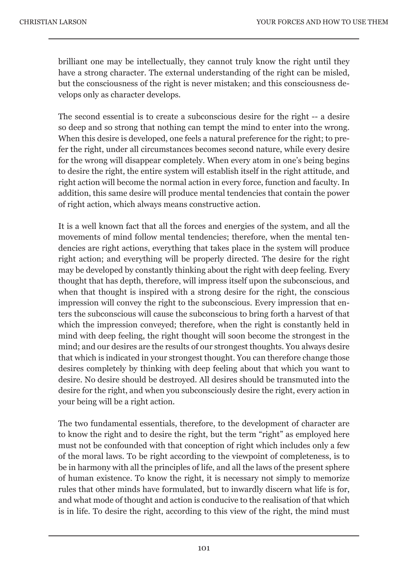brilliant one may be intellectually, they cannot truly know the right until they have a strong character. The external understanding of the right can be misled, but the consciousness of the right is never mistaken; and this consciousness develops only as character develops.

The second essential is to create a subconscious desire for the right -- a desire so deep and so strong that nothing can tempt the mind to enter into the wrong. When this desire is developed, one feels a natural preference for the right; to prefer the right, under all circumstances becomes second nature, while every desire for the wrong will disappear completely. When every atom in one's being begins to desire the right, the entire system will establish itself in the right attitude, and right action will become the normal action in every force, function and faculty. In addition, this same desire will produce mental tendencies that contain the power of right action, which always means constructive action.

It is a well known fact that all the forces and energies of the system, and all the movements of mind follow mental tendencies; therefore, when the mental tendencies are right actions, everything that takes place in the system will produce right action; and everything will be properly directed. The desire for the right may be developed by constantly thinking about the right with deep feeling. Every thought that has depth, therefore, will impress itself upon the subconscious, and when that thought is inspired with a strong desire for the right, the conscious impression will convey the right to the subconscious. Every impression that enters the subconscious will cause the subconscious to bring forth a harvest of that which the impression conveyed; therefore, when the right is constantly held in mind with deep feeling, the right thought will soon become the strongest in the mind; and our desires are the results of our strongest thoughts. You always desire that which is indicated in your strongest thought. You can therefore change those desires completely by thinking with deep feeling about that which you want to desire. No desire should be destroyed. All desires should be transmuted into the desire for the right, and when you subconsciously desire the right, every action in your being will be a right action.

The two fundamental essentials, therefore, to the development of character are to know the right and to desire the right, but the term "right" as employed here must not be confounded with that conception of right which includes only a few of the moral laws. To be right according to the viewpoint of completeness, is to be in harmony with all the principles of life, and all the laws of the present sphere of human existence. To know the right, it is necessary not simply to memorize rules that other minds have formulated, but to inwardly discern what life is for, and what mode of thought and action is conducive to the realisation of that which is in life. To desire the right, according to this view of the right, the mind must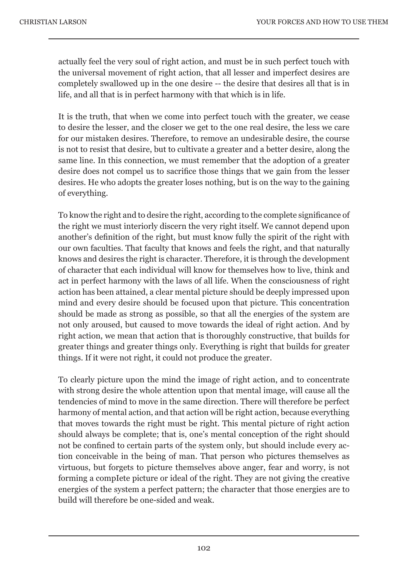actually feel the very soul of right action, and must be in such perfect touch with the universal movement of right action, that all lesser and imperfect desires are completely swallowed up in the one desire -- the desire that desires all that is in life, and all that is in perfect harmony with that which is in life.

It is the truth, that when we come into perfect touch with the greater, we cease to desire the lesser, and the closer we get to the one real desire, the less we care for our mistaken desires. Therefore, to remove an undesirable desire, the course is not to resist that desire, but to cultivate a greater and a better desire, along the same line. In this connection, we must remember that the adoption of a greater desire does not compel us to sacrifice those things that we gain from the lesser desires. He who adopts the greater loses nothing, but is on the way to the gaining of everything.

To know the right and to desire the right, according to the complete significance of the right we must interiorly discern the very right itself. We cannot depend upon another's definition of the right, but must know fully the spirit of the right with our own faculties. That faculty that knows and feels the right, and that naturally knows and desires the right is character. Therefore, it is through the development of character that each individual will know for themselves how to live, think and act in perfect harmony with the laws of all life. When the consciousness of right action has been attained, a clear mental picture should be deeply impressed upon mind and every desire should be focused upon that picture. This concentration should be made as strong as possible, so that all the energies of the system are not only aroused, but caused to move towards the ideal of right action. And by right action, we mean that action that is thoroughly constructive, that builds for greater things and greater things only. Everything is right that builds for greater things. If it were not right, it could not produce the greater.

To clearly picture upon the mind the image of right action, and to concentrate with strong desire the whole attention upon that mental image, will cause all the tendencies of mind to move in the same direction. There will therefore be perfect harmony of mental action, and that action will be right action, because everything that moves towards the right must be right. This mental picture of right action should always be complete; that is, one's mental conception of the right should not be confined to certain parts of the system only, but should include every action conceivable in the being of man. That person who pictures themselves as virtuous, but forgets to picture themselves above anger, fear and worry, is not forming a compIete picture or ideal of the right. They are not giving the creative energies of the system a perfect pattern; the character that those energies are to build will therefore be one-sided and weak.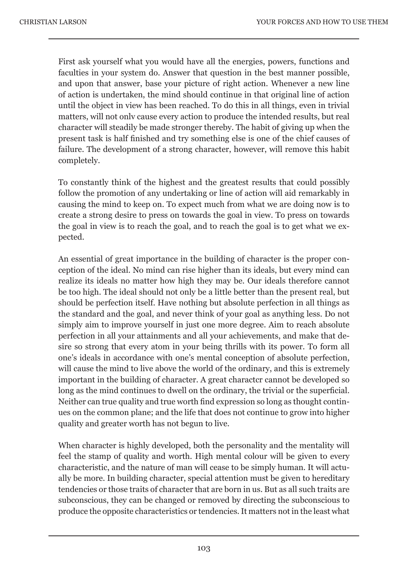First ask yourself what you would have all the energies, powers, functions and faculties in your system do. Answer that question in the best manner possible, and upon that answer, base your picture of right action. Whenever a new line of action is undertaken, the mind should continue in that original line of action until the object in view has been reached. To do this in all things, even in trivial matters, will not onlv cause every action to produce the intended results, but real character will steadily be made stronger thereby. The habit of giving up when the present task is half finished and try something else is one of the chief causes of failure. The development of a strong character, however, will remove this habit completely.

To constantly think of the highest and the greatest results that could possibly follow the promotion of any undertaking or line of action will aid remarkably in causing the mind to keep on. To expect much from what we are doing now is to create a strong desire to press on towards the goal in view. To press on towards the goal in view is to reach the goal, and to reach the goal is to get what we expected.

An essential of great importance in the building of character is the proper conception of the ideal. No mind can rise higher than its ideals, but every mind can realize its ideals no matter how high they may be. Our ideals therefore cannot be too high. The ideal should not only be a little better than the present real, but should be perfection itself. Have nothing but absolute perfection in all things as the standard and the goal, and never think of your goal as anything less. Do not simply aim to improve yourself in just one more degree. Aim to reach absolute perfection in all your attainments and all your achievements, and make that desire so strong that every atom in your being thrills with its power. To form all one's ideals in accordance with one's mental conception of absolute perfection, will cause the mind to live above the world of the ordinary, and this is extremely important in the building of character. A great charactcr cannot be developed so long as the mind continues to dwell on the ordinary, the trivial or the superficial. Neither can true quality and true worth find expression so long as thought continues on the common plane; and the life that does not continue to grow into higher quality and greater worth has not begun to live.

When character is highly developed, both the personality and the mentality will feel the stamp of quality and worth. High mental colour will be given to every characteristic, and the nature of man will cease to be simply human. It will actually be more. In building character, special attention must be given to hereditary tendencies or those traits of character that are born in us. But as all such traits are subconscious, they can be changed or removed by directing the subconscious to produce the opposite characteristics or tendencies. It matters not in the least what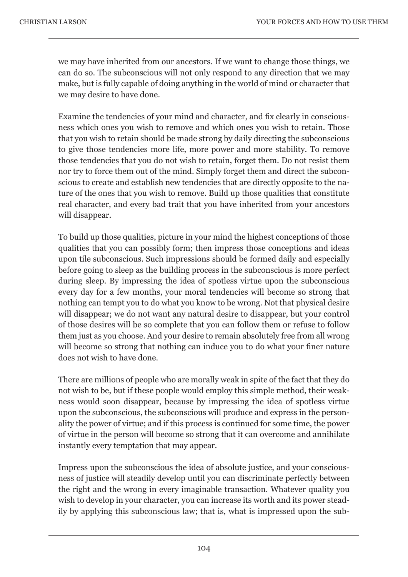we may have inherited from our ancestors. If we want to change those things, we can do so. The subconscious will not only respond to any direction that we may make, but is fully capable of doing anything in the world of mind or character that we may desire to have done.

Examine the tendencies of your mind and character, and fix clearly in consciousness which ones you wish to remove and which ones you wish to retain. Those that you wish to retain should be made strong by daily directing the subconscious to give those tendencies more life, more power and more stability. To remove those tendencies that you do not wish to retain, forget them. Do not resist them nor try to force them out of the mind. Simply forget them and direct the subconscious to create and establish new tendencies that are directly opposite to the nature of the ones that you wish to remove. Build up those qualities that constitute real character, and every bad trait that you have inherited from your ancestors will disappear.

To build up those qualities, picture in your mind the highest conceptions of those qualities that you can possibly form; then impress those conceptions and ideas upon tile subconscious. Such impressions should be formed daily and especially before going to sleep as the building process in the subconscious is more perfect during sleep. By impressing the idea of spotless virtue upon the subconscious every day for a few months, your moral tendencies will become so strong that nothing can tempt you to do what you know to be wrong. Not that physical desire will disappear; we do not want any natural desire to disappear, but your control of those desires will be so complete that you can follow them or refuse to follow them just as you choose. And your desire to remain absolutely free from all wrong will become so strong that nothing can induce you to do what your finer nature does not wish to have done.

There are millions of people who are morally weak in spite of the fact that they do not wish to be, but if these pcople would employ this simple method, their weakness would soon disappear, because by impressing the idea of spotless virtue upon the subconscious, the subconscious will produce and express in the personality the power of virtue; and if this process is continued for some time, the power of virtue in the person will become so strong that it can overcome and annihilate instantly every temptation that may appear.

Impress upon the subconscious the idea of absolute justice, and your consciousness of justice will steadily develop until you can discriminate perfectly between the right and the wrong in every imaginable transaction. Whatever quality you wish to develop in your character, you can increase its worth and its power steadily by applying this subconscious law; that is, what is impressed upon the sub-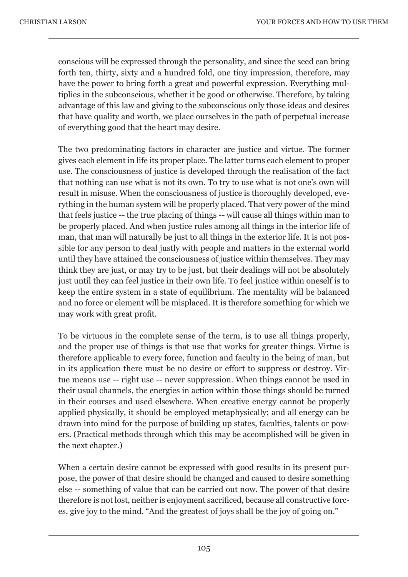conscious will be expressed through the personality, and since the seed can bring forth ten, thirty, sixty and a hundred fold, one tiny impression, therefore, may have the power to bring forth a great and powerful expression. Everything multiplies in the subconscious, whether it be good or otherwise. Therefore, by taking advantage of this law and giving to the subconscious only those ideas and desires that have quality and worth, we place ourselves in the path of perpetual increase of everything good that the heart may desire.

The two predominating factors in character are justice and virtue. The former gives each element in life its proper place. The latter turns each element to proper use. The consciousness of justice is developed through the realisation of the fact that nothing can use what is not its own. To try to use what is not one's own will result in misuse. When the consciousness of justice is thoroughly developed, everything in the human system will be properly placed. That very power of the mind that feels justice -- the true placing of things -- will cause all things within man to be properly placed. And when justice rules among all things in the interior life of man, that man will naturally be just to all things in the exterior life. It is not possible for any person to deal justly with people and matters in the external world until they have attained the consciousness of justice within themselves. They may think they are just, or may try to be just, but their dealings will not be absolutely just until they can feel justice in their own life. To feel justice within oneself is to keep the entire system in a state of equilibrium. The mentality will be balanced and no force or element will be misplaced. It is therefore something for which we may work with great profit.

To be virtuous in the complete sense of the term, is to use all things properly, and the proper use of things is that use that works for greater things. Virtue is therefore applicable to every force, function and faculty in the being of man, but in its application there must be no desire or effort to suppress or destroy. Virtue means use -- right use -- never suppression. When things cannot be used in their usual channels, the energies in action within those things should be turned in their courses and used elsewhere. When creative energy cannot be properly applied physically, it should be employed metaphysically; and all energy can be drawn into mind for the purpose of building up states, faculties, talents or powers. (Practical methods through which this may be accomplished will be given in the next chapter.)

When a certain desire cannot be expressed with good results in its present purpose, the power of that desire should be changed and caused to desire something else -- something of value that can be carried out now. The power of that desire therefore is not lost, neither is enjoyment sacrificed, because all constructive forces, give joy to the mind. "And the greatest of joys shall be the joy of going on."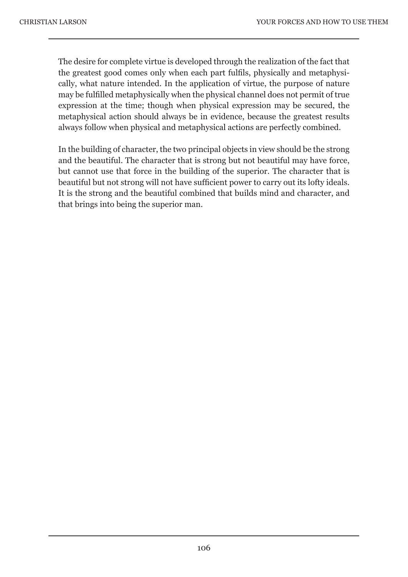The desire for complete virtue is developed through the realization of the fact that the greatest good comes only when each part fulfils, physically and metaphysically, what nature intended. In the application of virtue, the purpose of nature may be fulfilled metaphysically when the physical channel does not permit of true expression at the time; though when physical expression may be secured, the metaphysical action should always be in evidence, because the greatest results always follow when physical and metaphysical actions are perfectly combined.

In the building of character, the two principal objects in view should be the strong and the beautiful. The character that is strong but not beautiful may have force, but cannot use that force in the building of the superior. The character that is beautiful but not strong will not have sufficient power to carry out its lofty ideals. It is the strong and the beautiful combined that builds mind and character, and that brings into being the superior man.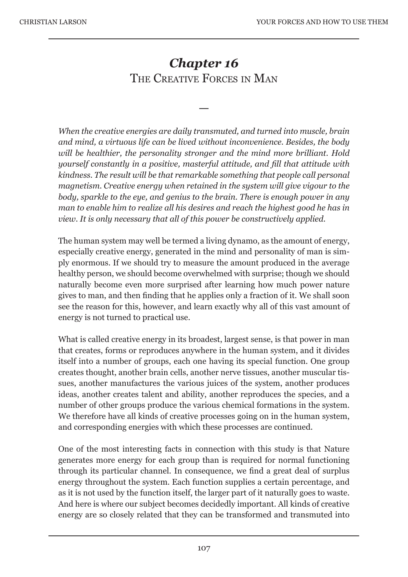# *Chapter 16* THE CREATIVE FORCES IN MAN

—

*When the creative energies are daily transmuted, and turned into muscle, brain and mind, a virtuous life can be lived without inconvenience. Besides, the body will be healthier, the personality stronger and the mind more brilliant. Hold yourself constantly in a positive, masterful attitude, and fill that attitude with kindness. The result will be that remarkable something that people call personal magnetism. Creative energy when retained in the system will give vigour to the body, sparkle to the eye, and genius to the brain. There is enough power in any man to enable him to realize all his desires and reach the highest good he has in view. It is only necessary that all of this power be constructively applied.*

The human system may well be termed a living dynamo, as the amount of energy, especially creative energy, generated in the mind and personality of man is simply enormous. If we should try to measure the amount produced in the average healthy person, we should become overwhelmed with surprise; though we should naturally become even more surprised after learning how much power nature gives to man, and then finding that he applies only a fraction of it. We shall soon see the reason for this, however, and learn exactly why all of this vast amount of energy is not turned to practical use.

What is called creative energy in its broadest, largest sense, is that power in man that creates, forms or reproduces anywhere in the human system, and it divides itself into a number of groups, each one having its special function. One group creates thought, another brain cells, another nerve tissues, another muscular tissues, another manufactures the various juices of the system, another produces ideas, another creates talent and ability, another reproduces the species, and a number of other groups produce the various chemical formations in the system. We therefore have all kinds of creative processes going on in the human system, and corresponding energies with which these processes are continued.

One of the most interesting facts in connection with this study is that Nature generates more energy for each group than is required for normal functioning through its particular channel. In consequence, we find a great deal of surplus energy throughout the system. Each function supplies a certain percentage, and as it is not used by the function itself, the larger part of it naturally goes to waste. And here is where our subject becomes decidedly important. All kinds of creative energy are so closely related that they can be transformed and transmuted into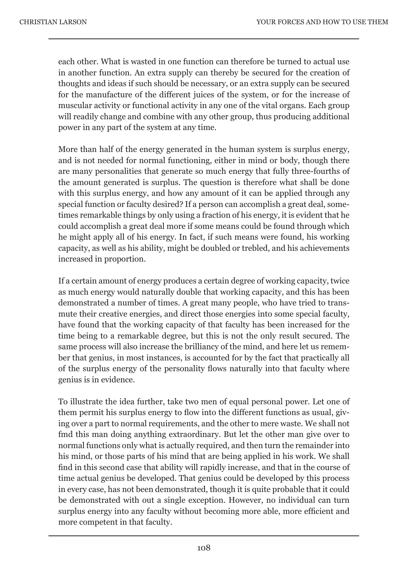each other. What is wasted in one function can therefore be turned to actual use in another function. An extra supply can thereby be secured for the creation of thoughts and ideas if such should be necessary, or an extra supply can be secured for the manufacture of the different juices of the system, or for the increase of muscular activity or functional activity in any one of the vital organs. Each group will readily change and combine with any other group, thus producing additional power in any part of the system at any time.

More than half of the energy generated in the human system is surplus energy, and is not needed for normal functioning, either in mind or body, though there are many personalities that generate so much energy that fully three-fourths of the amount generated is surplus. The question is therefore what shall be done with this surplus energy, and how any amount of it can be applied through any special function or faculty desired? If a person can accomplish a great deal, sometimes remarkable things by only using a fraction of his energy, it is evident that he could accomplish a great deal more if some means could be found through which he might apply all of his energy. In fact, if such means were found, his working capacity, as well as his ability, might be doubled or trebled, and his achievements increased in proportion.

If a certain amount of energy produces a certain degree of working capacity, twice as much energy would naturally double that working capacity, and this has been demonstrated a number of times. A great many people, who have tried to transmute their creative energies, and direct those energies into some special faculty, have found that the working capacity of that faculty has been increased for the time being to a remarkable degree, but this is not the only result secured. The same process will also increase the brilliancy of the mind, and here let us remember that genius, in most instances, is accounted for by the fact that practically all of the surplus energy of the personality flows naturally into that faculty where genius is in evidence.

To illustrate the idea further, take two men of equal personal power. Let one of them permit his surplus energy to flow into the different functions as usual, giving over a part to normal requirements, and the other to mere waste. We shall not fmd this man doing anything extraordinary. But let the other man give over to normal functions only what is actually required, and then turn the remainder into his mind, or those parts of his mind that are being applied in his work. We shall find in this second case that ability will rapidly increase, and that in the course of time actual genius be developed. That genius could be developed by this process in every case, has not been demonstrated, though it is quite probable that it could be demonstrated with out a single exception. However, no individual can turn surplus energy into any faculty without becoming more able, more efficient and more competent in that faculty.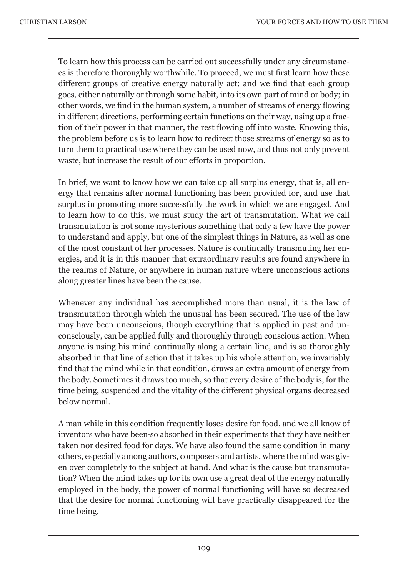To learn how this process can be carried out successfully under any circumstances is therefore thoroughly worthwhile. To proceed, we must first learn how these different groups of creative energy naturally act; and we find that each group goes, either naturally or through some habit, into its own part of mind or body; in other words, we find in the human system, a number of streams of energy flowing in different directions, performing certain functions on their way, using up a fraction of their power in that manner, the rest flowing off into waste. Knowing this, the problem before us is to learn how to redirect those streams of energy so as to turn them to practical use where they can be used now, and thus not only prevent waste, but increase the result of our efforts in proportion.

In brief, we want to know how we can take up all surplus energy, that is, all energy that remains after normal functioning has been provided for, and use that surplus in promoting more successfully the work in which we are engaged. And to learn how to do this, we must study the art of transmutation. What we call transmutation is not some mysterious something that only a few have the power to understand and apply, but one of the simplest things in Nature, as well as one of the most constant of her processes. Nature is continually transmuting her energies, and it is in this manner that extraordinary results are found anywhere in the realms of Nature, or anywhere in human nature where unconscious actions along greater lines have been the cause.

Whenever any individual has accomplished more than usual, it is the law of transmutation through which the unusual has been secured. The use of the law may have been unconscious, though everything that is applied in past and unconsciously, can be applied fully and thoroughly through conscious action. When anyone is using his mind continually along a certain line, and is so thoroughly absorbed in that line of action that it takes up his whole attention, we invariably find that the mind while in that condition, draws an extra amount of energy from the body. Sometimes it draws too much, so that every desire of the body is, for the time being, suspended and the vitality of the different physical organs decreased below normal.

A man while in this condition frequently loses desire for food, and we all know of inventors who have been·so absorbed in their experiments that they have neither taken nor desired food for days. We have also found the same condition in many others, especially among authors, composers and artists, where the mind was given over completely to the subject at hand. And what is the cause but transmutation? When the mind takes up for its own use a great deal of the energy naturally employed in the body, the power of normal functioning will have so decreased that the desire for normal functioning will have practically disappeared for the time being.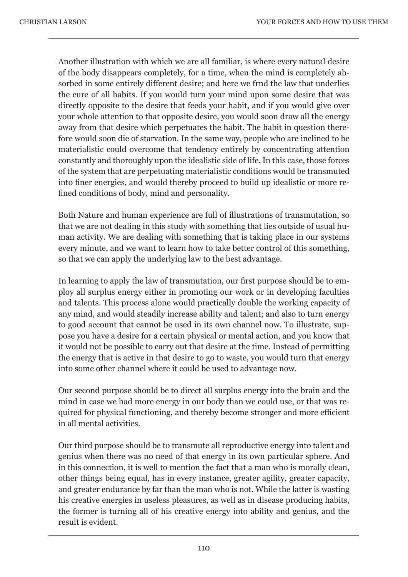Another illustration with which we are all familiar, is where every natural desire of the body disappears completely, for a time, when the mind is completely absorbed in some entirely different desire; and here we frnd the law that underlies the cure of all habits. If you would turn your mind upon some desire that was directly opposite to the desire that feeds your habit, and if you would give over your whole attention to that opposite desire, you would soon draw all the energy away from that desire which perpetuates the habit. The habit in question therefore would soon die of starvation. In the same way, people who are inclined to be materialistic could overcome that tendency entirely by concentrating attention constantly and thoroughly upon the idealistic side of life. In this case, those forces of the system that are perpetuating materialistic conditions would be transmuted into finer energies, and would thereby proceed to build up idealistic or more refined conditions of body, mind and personality.

Both Nature and human experience are full of illustrations of transmutation, so that we are not dealing in this study with something that lies outside of usual human activity. We are dealing with something that is taking place in our systems every minute, and we want to learn how to take better control of this something, so that we can apply the underlying law to the best advantage.

In learning to apply the law of transmutation, our first purpose should be to employ all surplus energy either in promoting our work or in developing faculties and talents. This process alone would practically double the working capacity of any mind, and would steadily increase ability and talent; and also to turn energy to good account that cannot be used in its own channel now. To illustrate, suppose you have a desire for a certain physical or mental action, and you know that it would not be possible to carry out that desire at the time. Instead of permitting the energy that is active in that desire to go to waste, you would turn that energy into some other channel where it could be used to advantage now.

Our second purpose should be to direct all surplus energy into the brain and the mind in case we had more energy in our body than we could use, or that was required for physical functioning, and thereby become stronger and more efficient in all mental activities.

Our third purpose should be to transmute all reproductive energy into talent and genius when there was no need of that energy in its own particular sphere. And in this connection, it is well to mention the fact that a man who is morally clean, other things being equal, has in every instance, greater agility, greater capacity, and greater endurance by far than the man who is not. While the latter is wasting his creative energies in useless pleasures, as well as in disease producing habits, the former is turning all of his creative energy into ability and genius, and the result is evident.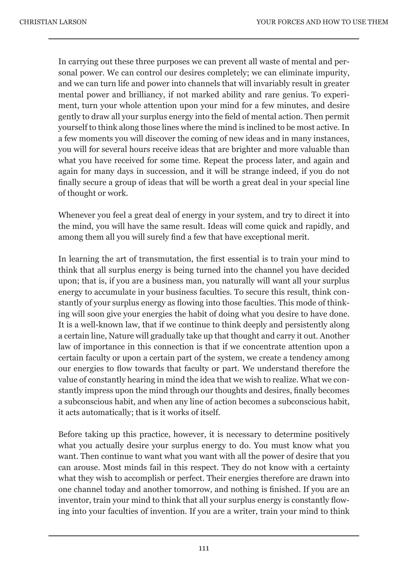In carrying out these three purposes we can prevent all waste of mental and personal power. We can control our desires completely; we can eliminate impurity, and we can turn life and power into channels that will invariably result in greater mental power and brilliancy, if not marked ability and rare genius. To experiment, turn your whole attention upon your mind for a few minutes, and desire gently to draw all your surplus energy into the field of mental action. Then permit yourself to think along those lines where the mind is inclined to be most active. In a few moments you will discover the coming of new ideas and in many instances, you will for several hours receive ideas that are brighter and more valuable than what you have received for some time. Repeat the process later, and again and again for many days in succession, and it will be strange indeed, if you do not finally secure a group of ideas that will be worth a great deal in your special line of thought or work.

Whenever you feel a great deal of energy in your system, and try to direct it into the mind, you will have the same result. Ideas will come quick and rapidly, and among them all you will surely find a few that have exceptional merit.

In learning the art of transmutation, the first essential is to train your mind to think that all surplus energy is being turned into the channel you have decided upon; that is, if you are a business man, you naturally will want all your surplus energy to accumulate in your business faculties. To secure this result, think constantly of your surplus energy as flowing into those faculties. This mode of thinking will soon give your energies the habit of doing what you desire to have done. It is a well-known law, that if we continue to think deeply and persistently along a certain line, Nature will gradually take up that thought and carry it out. Another law of importance in this connection is that if we concentrate attention upon a certain faculty or upon a certain part of the system, we create a tendency among our energies to flow towards that faculty or part. We understand therefore the value of constantly hearing in mind the idea that we wish to realize. What we constantly impress upon the mind through our thoughts and desires, finally becomes a subconscious habit, and when any line of action becomes a subconscious habit, it acts automatically; that is it works of itself.

Before taking up this practice, however, it is necessary to determine positively what you actually desire your surplus energy to do. You must know what you want. Then continue to want what you want with all the power of desire that you can arouse. Most minds fail in this respect. They do not know with a certainty what they wish to accomplish or perfect. Their energies therefore are drawn into one channel today and another tomorrow, and nothing is finished. If you are an inventor, train your mind to think that all your surplus energy is constantly flowing into your faculties of invention. If you are a writer, train your mind to think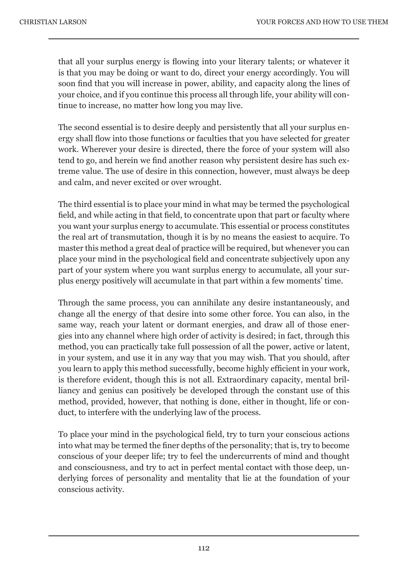that all your surplus energy is flowing into your literary talents; or whatever it is that you may be doing or want to do, direct your energy accordingly. You will soon find that you will increase in power, ability, and capacity along the lines of your choice, and if you continue this process all through life, your ability will continue to increase, no matter how long you may live.

The second essential is to desire deeply and persistently that all your surplus energy shall flow into those functions or faculties that you have selected for greater work. Wherever your desire is directed, there the force of your system will also tend to go, and herein we find another reason why persistent desire has such extreme value. The use of desire in this connection, however, must always be deep and calm, and never excited or over wrought.

The third essential is to place your mind in what may be termed the psychological field, and while acting in that field, to concentrate upon that part or faculty where you want your surplus energy to accumulate. This essential or process constitutes the real art of transmutation, though it is by no means the easiest to acquire. To master this method a great deal of practice will be required, but whenever you can place your mind in the psychological field and concentrate subjectively upon any part of your system where you want surplus energy to accumulate, all your surplus energy positively will accumulate in that part within a few moments' time.

Through the same process, you can annihilate any desire instantaneously, and change all the energy of that desire into some other force. You can also, in the same way, reach your latent or dormant energies, and draw all of those energies into any channel where high order of activity is desired; in fact, through this method, you can practically take full possession of all the power, active or latent, in your system, and use it in any way that you may wish. That you should, after you learn to apply this method successfully, become highly efficient in your work, is therefore evident, though this is not all. Extraordinary capacity, mental brilliancy and genius can positively be developed through the constant use of this method, provided, however, that nothing is done, either in thought, life or conduct, to interfere with the underlying law of the process.

To place your mind in the psychological field, try to turn your conscious actions into what may be termed the finer depths of the personality; that is, try to become conscious of your deeper life; try to feel the undercurrents of mind and thought and consciousness, and try to act in perfect mental contact with those deep, underlying forces of personality and mentality that lie at the foundation of your conscious activity.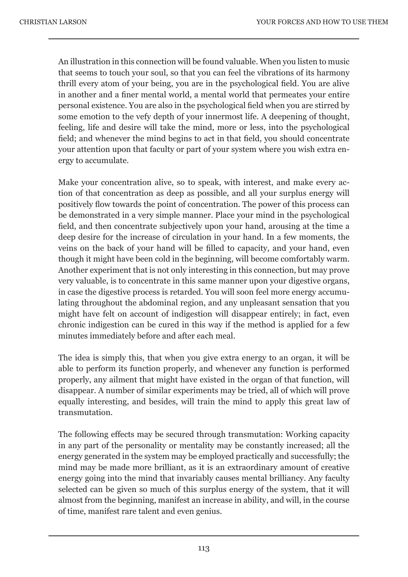An illustration in this connection will be found valuable. When you listen to music that seems to touch your soul, so that you can feel the vibrations of its harmony thrill every atom of your being, you are in the psychological field. You are alive in another and a finer mental world, a mental world that permeates your entire personal existence. You are also in the psychological field when you are stirred by some emotion to the vefy depth of your innermost life. A deepening of thought, feeling, life and desire will take the mind, more or less, into the psychological field; and whenever the mind begins to act in that field, you should concentrate your attention upon that faculty or part of your system where you wish extra energy to accumulate.

Make your concentration alive, so to speak, with interest, and make every action of that concentration as deep as possible, and all your surplus energy will positively flow towards the point of concentration. The power of this process can be demonstrated in a very simple manner. Place your mind in the psychological field, and then concentrate subjectively upon your hand, arousing at the time a deep desire for the increase of circulation in your hand. In a few moments, the veins on the back of your hand will be filled to capacity, and your hand, even though it might have been cold in the beginning, will become comfortably warm. Another experiment that is not only interesting in this connection, but may prove very valuable, is to concentrate in this same manner upon your digestive organs, in case the digestive process is retarded. You will soon feel more energy accumulating throughout the abdominal region, and any unpleasant sensation that you might have felt on account of indigestion will disappear entirely; in fact, even chronic indigestion can be cured in this way if the method is applied for a few minutes immediately before and after each meal.

The idea is simply this, that when you give extra energy to an organ, it will be able to perform its function properly, and whenever any function is performed properly, any ailment that might have existed in the organ of that function, will disappear. A number of similar experiments may be tried, all of which will prove equally interesting, and besides, will train the mind to apply this great law of transmutation.

The following effects may be secured through transmutation: Working capacity in any part of the personality or mentality may be constantly increased; all the energy generated in the system may be employed practically and successfully; the mind may be made more brilliant, as it is an extraordinary amount of creative energy going into the mind that invariably causes mental brilliancy. Any faculty selected can be given so much of this surplus energy of the system, that it will almost from the beginning, manifest an increase in ability, and will, in the course of time, manifest rare talent and even genius.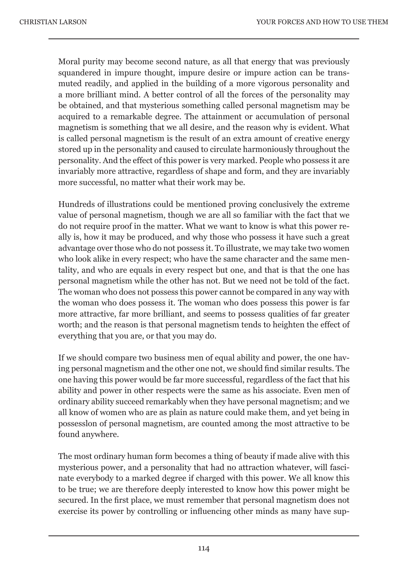Moral purity may become second nature, as all that energy that was previously squandered in impure thought, impure desire or impure action can be transmuted readily, and applied in the building of a more vigorous personality and a more brilliant mind. A better control of all the forces of the personality may be obtained, and that mysterious something called personal magnetism may be acquired to a remarkable degree. The attainment or accumulation of personal magnetism is something that we all desire, and the reason why is evident. What is called personal magnetism is the result of an extra amount of creative energy stored up in the personality and caused to circulate harmoniously throughout the personality. And the effect of this power is very marked. People who possess it are invariably more attractive, regardless of shape and form, and they are invariably more successful, no matter what their work may be.

Hundreds of illustrations could be mentioned proving conclusively the extreme value of personal magnetism, though we are all so familiar with the fact that we do not require proof in the matter. What we want to know is what this power really is, how it may be produced, and why those who possess it have such a great advantage over those who do not possess it. To illustrate, we may take two women who look alike in every respect; who have the same character and the same mentality, and who are equals in every respect but one, and that is that the one has personal magnetism while the other has not. But we need not be told of the fact. The woman who does not possess this power cannot be compared in any way with the woman who does possess it. The woman who does possess this power is far more attractive, far more brilliant, and seems to possess qualities of far greater worth; and the reason is that personal magnetism tends to heighten the effect of everything that you are, or that you may do.

If we should compare two business men of equal ability and power, the one having personal magnetism and the other one not, we should find similar results. The one having this power would be far more successful, regardless of the fact that his ability and power in other respects were the same as his associate. Even men of ordinary ability succeed remarkably when they have personal magnetism; and we all know of women who are as plain as nature could make them, and yet being in possesslon of personal magnetism, are counted among the most attractive to be found anywhere.

The most ordinary human form becomes a thing of beauty if made alive with this mysterious power, and a personality that had no attraction whatever, will fascinate everybody to a marked degree if charged with this power. We all know this to be true; we are therefore deeply interested to know how this power might be secured. In the first place, we must remember that personal magnetism does not exercise its power by controlling or influencing other minds as many have sup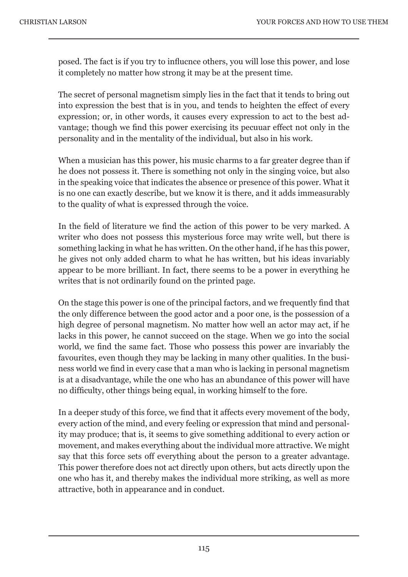posed. The fact is if you try to influcnce others, you will lose this power, and lose it completely no matter how strong it may be at the present time.

The secret of personal magnetism simply lies in the fact that it tends to bring out into expression the best that is in you, and tends to heighten the effect of every expression; or, in other words, it causes every expression to act to the best advantage; though we find this power exercising its pecuuar effect not only in the personality and in the mentality of the individual, but also in his work.

When a musician has this power, his music charms to a far greater degree than if he does not possess it. There is something not only in the singing voice, but also in the speaking voice that indicates the absence or presence of this power. What it is no one can exactly describe, but we know it is there, and it adds immeasurably to the quality of what is expressed through the voice.

In the field of literature we find the action of this power to be very marked. A writer who does not possess this mysterious force may write well, but there is something lacking in what he has written. On the other hand, if he has this power, he gives not only added charm to what he has written, but his ideas invariably appear to be more brilliant. In fact, there seems to be a power in everything he writes that is not ordinarily found on the printed page.

On the stage this power is one of the principal factors, and we frequently find that the only difference between the good actor and a poor one, is the possession of a high degree of personal magnetism. No matter how well an actor may act, if he lacks in this power, he cannot succeed on the stage. When we go into the social world, we find the same fact. Those who possess this power are invariably the favourites, even though they may be lacking in many other qualities. In the business world we find in every case that a man who is lacking in personal magnetism is at a disadvantage, while the one who has an abundance of this power will have no difficulty, other things being equal, in working himself to the fore.

In a deeper study of this force, we find that it affects every movement of the body, every action of the mind, and every feeling or expression that mind and personality may produce; that is, it seems to give something additional to every action or movement, and makes everything about the individual more attractive. We might say that this force sets off everything about the person to a greater advantage. This power therefore does not act directly upon others, but acts directly upon the one who has it, and thereby makes the individual more striking, as well as more attractive, both in appearance and in conduct.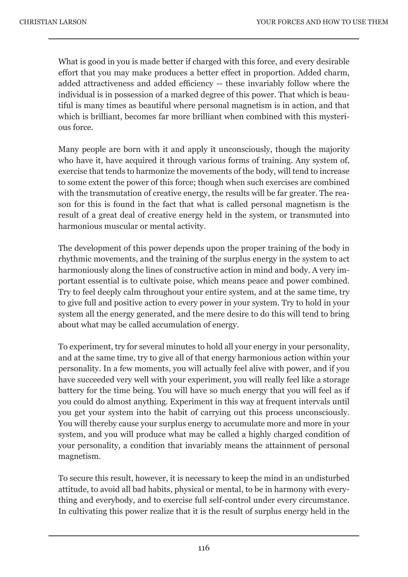What is good in you is made better if charged with this force, and every desirable effort that you may make produces a better effect in proportion. Added charm, added attractiveness and added efficiency -- these invariably follow where the individual is in possession of a marked degree of this power. That which is beautiful is many times as beautiful where personal magnetism is in action, and that which is brilliant, becomes far more brilliant when combined with this mysterious force.

Many people are born with it and apply it unconsciously, though the majority who have it, have acquired it through various forms of training. Any system of, exercise that tends to harmonize the movements of the body, will tend to increase to some extent the power of this force; though when such exercises are combined with the transmutation of creative energy, the results will be far greater. The reason for this is found in the fact that what is called personal magnetism is the result of a great deal of creative energy held in the system, or transmuted into harmonious muscular or mental activity.

The development of this power depends upon the proper training of the body in rhythmic movements, and the training of the surplus energy in the system to act harmoniously along the lines of constructive action in mind and body. A very important essential is to cultivate poise, which means peace and power combined. Try to feel deeply calm throughout your entire system, and at the same time, try to give full and positive action to every power in your system. Try to hold in your system all the energy generated, and the mere desire to do this will tend to bring about what may be called accumulation of energy.

To experiment, try for several minutes to hold all your energy in your personality, and at the same time, try to give all of that energy harmonious action within your personality. In a few moments, you will actually feel alive with power, and if you have succeeded very well with your experiment, you will really feel like a storage battery for the time being. You will have so much energy that you will feel as if you could do almost anything. Experiment in this way at frequent intervals until you get your system into the habit of carrying out this process unconsciously. You will thereby cause your surplus energy to accumulate more and more in your system, and you will produce what may be called a highly charged condition of your personality, a condition that invariably means the attainment of personal magnetism.

To secure this result, however, it is necessary to keep the mind in an undisturbed attitude, to avoid all bad habits, physical or mental, to be in harmony with everything and everybody, and to exercise full self-control under every circumstance. In cultivating this power realize that it is the result of surplus energy held in the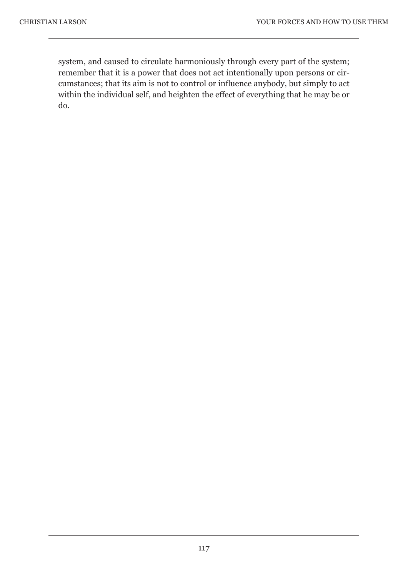system, and caused to circulate harmoniously through every part of the system; remember that it is a power that does not act intentionally upon persons or circumstances; that its aim is not to control or influence anybody, but simply to act within the individual self, and heighten the effect of everything that he may be or do.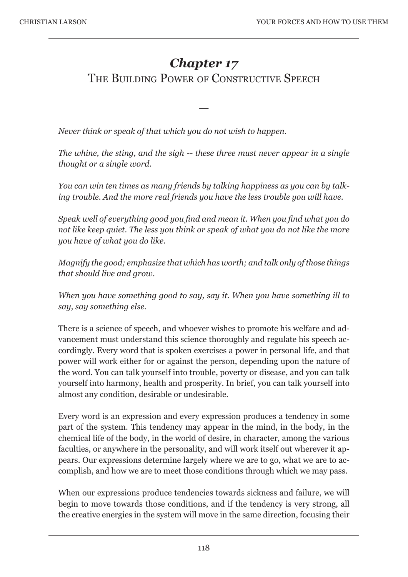## *Chapter 17*

THE BUILDING POWER OF CONSTRUCTIVE SPEECH

—

*Never think or speak of that which you do not wish to happen.*

*The whine, the sting, and the sigh -- these three must never appear in a single thought or a single word.*

*You can win ten times as many friends by talking happiness as you can by talking trouble. And the more real friends you have the less trouble you will have.*

*Speak well of everything good you find and mean it. When you find what you do not like keep quiet. The less you think or speak of what you do not like the more you have of what you do like.*

*Magnify the good; emphasize that which has worth; and talk only of those things that should live and grow.*

*When you have something good to say, say it. When you have something ill to say, say something else.* 

There is a science of speech, and whoever wishes to promote his welfare and advancement must understand this science thoroughly and regulate his speech accordingly. Every word that is spoken exercises a power in personal life, and that power will work either for or against the person, depending upon the nature of the word. You can talk yourself into trouble, poverty or disease, and you can talk yourself into harmony, health and prosperity. In brief, you can talk yourself into almost any condition, desirable or undesirable.

Every word is an expression and every expression produces a tendency in some part of the system. This tendency may appear in the mind, in the body, in the chemical life of the body, in the world of desire, in character, among the various faculties, or anywhere in the personality, and will work itself out wherever it appears. Our expressions determine largely where we are to go, what we are to accomplish, and how we are to meet those conditions through which we may pass.

When our expressions produce tendencies towards sickness and failure, we will begin to move towards those conditions, and if the tendency is very strong, all the creative energies in the system will move in the same direction, focusing their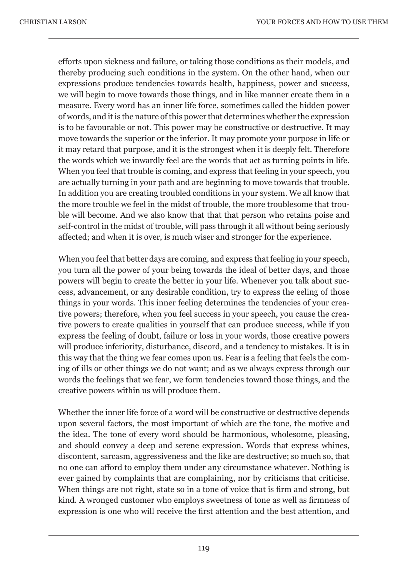efforts upon sickness and failure, or taking those conditions as their models, and thereby producing such conditions in the system. On the other hand, when our expressions produce tendencies towards health, happiness, power and success, we will begin to move towards those things, and in like manner create them in a measure. Every word has an inner life force, sometimes called the hidden power of words, and it is the nature of this power that determines whether the expression is to be favourable or not. This power may be constructive or destructive. It may move towards the superior or the inferior. It may promote your purpose in life or it may retard that purpose, and it is the strongest when it is deeply felt. Therefore the words which we inwardly feel are the words that act as turning points in life. When you feel that trouble is coming, and express that feeling in your speech, you are actually turning in your path and are beginning to move towards that trouble. In addition you are creating troubled conditions in your system. We all know that the more trouble we feel in the midst of trouble, the more troublesome that trouble will become. And we also know that that that person who retains poise and self-control in the midst of trouble, will pass through it all without being seriously affected; and when it is over, is much wiser and stronger for the experience.

When you feel that better days are coming, and express that feeling in your speech, you turn all the power of your being towards the ideal of better days, and those powers will begin to create the better in your life. Whenever you talk about success, advancement, or any desirable condition, try to express the eeling of those things in your words. This inner feeling determines the tendencies of your creative powers; therefore, when you feel success in your speech, you cause the creative powers to create qualities in yourself that can produce success, while if you express the feeling of doubt, failure or loss in your words, those creative powers will produce inferiority, disturbance, discord, and a tendency to mistakes. It is in this way that the thing we fear comes upon us. Fear is a feeling that feels the coming of ills or other things we do not want; and as we always express through our words the feelings that we fear, we form tendencies toward those things, and the creative powers within us will produce them.

Whether the inner life force of a word will be constructive or destructive depends upon several factors, the most important of which are the tone, the motive and the idea. The tone of every word should be harmonious, wholesome, pleasing, and should convey a deep and serene expression. Words that express whines, discontent, sarcasm, aggressiveness and the like are destructive; so much so, that no one can afford to employ them under any circumstance whatever. Nothing is ever gained by complaints that are complaining, nor by criticisms that criticise. When things are not right, state so in a tone of voice that is firm and strong, but kind. A wronged customer who employs sweetness of tone as well as firmness of expression is one who will receive the first attention and the best attention, and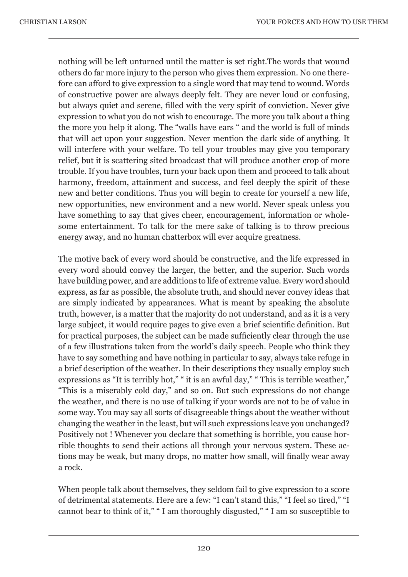nothing will be left unturned until the matter is set right.The words that wound others do far more injury to the person who gives them expression. No one therefore can afford to give expression to a single word that may tend to wound. Words of constructive power are always deeply felt. They are never loud or confusing, but always quiet and serene, filled with the very spirit of conviction. Never give expression to what you do not wish to encourage. The more you talk about a thing the more you help it along. The "walls have ears " and the world is full of minds that will act upon your suggestion. Never mention the dark side of anything. It will interfere with your welfare. To tell your troubles may give you temporary relief, but it is scattering sited broadcast that will produce another crop of more trouble. If you have troubles, turn your back upon them and proceed to talk about harmony, freedom, attainment and success, and feel deeply the spirit of these new and better conditions. Thus you will begin to create for yourself a new life, new opportunities, new environment and a new world. Never speak unless you have something to say that gives cheer, encouragement, information or wholesome entertainment. To talk for the mere sake of talking is to throw precious energy away, and no human chatterbox will ever acquire greatness.

The motive back of every word should be constructive, and the life expressed in every word should convey the larger, the better, and the superior. Such words have building power, and are additions to life of extreme value. Every word should express, as far as possible, the absolute truth, and should never convey ideas that are simply indicated by appearances. What is meant by speaking the absolute truth, however, is a matter that the majority do not understand, and as it is a very large subject, it would require pages to give even a brief scientific definition. But for practical purposes, the subject can be made sufficiently clear through the use of a few illustrations taken from the world's daily speech. People who think they have to say something and have nothing in particular to say, always take refuge in a brief description of the weather. In their descriptions they usually employ such expressions as "It is terribly hot," " it is an awful day," " This is terrible weather," "This is a miserably cold day," and so on. But such expressions do not change the weather, and there is no use of talking if your words are not to be of value in some way. You may say all sorts of disagreeable things about the weather without changing the weather in the least, but will such expressions leave you unchanged? Positively not ! Whenever you declare that something is horrible, you cause horrible thoughts to send their actions all through your nervous system. These actions may be weak, but many drops, no matter how small, will finally wear away a rock.

When people talk about themselves, they seldom fail to give expression to a score of detrimental statements. Here are a few: "I can't stand this," "I feel so tired," "I cannot bear to think of it," " I am thoroughly disgusted," " I am so susceptible to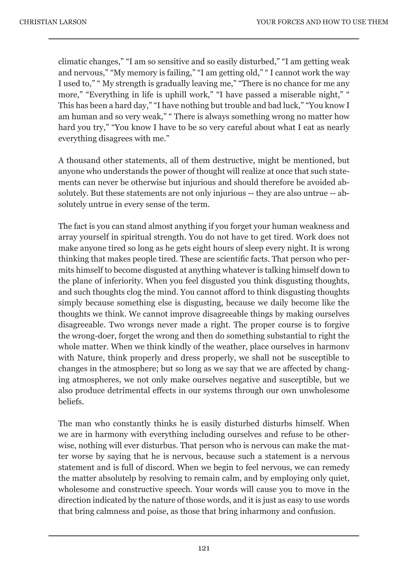climatic changes," "I am so sensitive and so easily disturbed," "I am getting weak and nervous," "My memory is failing," "I am getting old," " I cannot work the way I used to," " My strength is gradually leaving me," "There is no chance for me any more," "Everything in life is uphill work," "I have passed a miserable night," " This has been a hard day," "I have nothing but trouble and bad luck," "You know I am human and so very weak," " There is always something wrong no matter how hard you try," "You know I have to be so very careful about what I eat as nearly everything disagrees with me."

A thousand other statements, all of them destructive, might be mentioned, but anyone who understands the power of thought will realize at once that such statements can never be otherwise but injurious and should therefore be avoided absolutely. But these statements are not only injurious -- they are also untrue -- absolutely untrue in every sense of the term.

The fact is you can stand almost anything if you forget your human weakness and array yourself in spiritual strength. You do not have to get tired. Work does not make anyone tired so long as he gets eight hours of sleep every night. It is wrong thinking that makes people tired. These are scientific facts. That person who permits himself to become disgusted at anything whatever is talking himself down to the plane of inferiority. When you feel disgusted you think disgusting thoughts, and such thoughts clog the mind. You cannot afford to think disgusting thoughts simply because something else is disgusting, because we daily become like the thoughts we think. We cannot improve disagreeable things by making ourselves disagreeable. Two wrongs never made a right. The proper course is to forgive the wrong-doer, forget the wrong and then do something substantial to right the whole matter. When we think kindly of the weather, place ourselves in harmonv with Nature, think properly and dress properly, we shall not be susceptible to changes in the atmosphere; but so long as we say that we are affected by changing atmospheres, we not only make ourselves negative and susceptible, but we also produce detrimental effects in our systems through our own unwholesome beliefs.

The man who constantly thinks he is easily disturbed disturbs himself. When we are in harmony with everything including ourselves and refuse to be otherwise, nothing will ever disturbus. That person who is nervous can make the matter worse by saying that he is nervous, because such a statement is a nervous statement and is full of discord. When we begin to feel nervous, we can remedy the matter absolutelp by resolving to remain calm, and by employing only quiet, wholesome and constructive speech. Your words will cause you to move in the direction indicated by the nature of those words, and it is just as easy to use words that bring calmness and poise, as those that bring inharmony and confusion.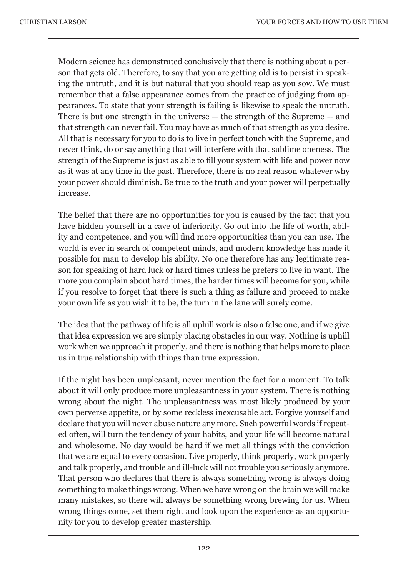Modern science has demonstrated conclusively that there is nothing about a person that gets old. Therefore, to say that you are getting old is to persist in speaking the untruth, and it is but natural that you should reap as you sow. We must remember that a false appearance comes from the practice of judging from appearances. To state that your strength is failing is likewise to speak the untruth. There is but one strength in the universe -- the strength of the Supreme -- and that strength can never fail. You may have as much of that strength as you desire. All that is necessary for you to do is to live in perfect touch with the Supreme, and never think, do or say anything that will interfere with that sublime oneness. The strength of the Supreme is just as able to fill your system with life and power now as it was at any time in the past. Therefore, there is no real reason whatever why your power should diminish. Be true to the truth and your power will perpetually increase.

The belief that there are no opportunities for you is caused by the fact that you have hidden yourself in a cave of inferiority. Go out into the life of worth, ability and competence, and you will find more opportunities than you can use. The world is ever in search of competent minds, and modern knowledge has made it possible for man to develop his ability. No one therefore has any legitimate reason for speaking of hard luck or hard times unless he prefers to live in want. The more you complain about hard times, the harder times will become for you, while if you resolve to forget that there is such a thing as failure and proceed to make your own life as you wish it to be, the turn in the lane will surely come.

The idea that the pathway of life is all uphill work is also a false one, and if we give that idea expression we are simply placing obstacles in our way. Nothing is uphill work when we approach it properly, and there is nothing that helps more to place us in true relationship with things than true expression.

If the night has been unpleasant, never mention the fact for a moment. To talk about it will only produce more unpleasantness in your system. There is nothing wrong about the night. The unpleasantness was most likely produced by your own perverse appetite, or by some reckless inexcusable act. Forgive yourself and declare that you will never abuse nature any more. Such powerful words if repeated often, will turn the tendency of your habits, and your life will become natural and wholesome. No day would be hard if we met all things with the conviction that we are equal to every occasion. Live properly, think properly, work properly and talk properly, and trouble and ill-luck will not trouble you seriously anymore. That person who declares that there is always something wrong is always doing something to make things wrong. When we have wrong on the brain we will make many mistakes, so there will always be something wrong brewing for us. When wrong things come, set them right and look upon the experience as an opportunity for you to develop greater mastership.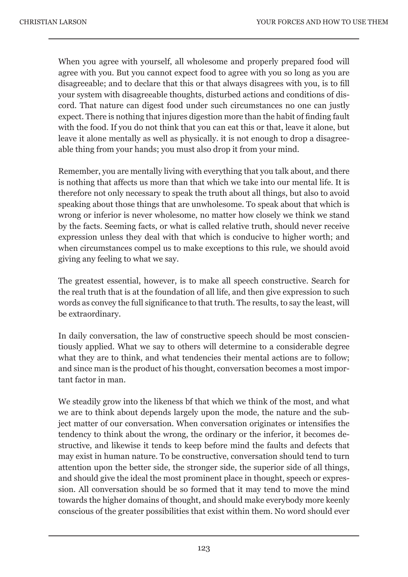When you agree with yourself, all wholesome and properly prepared food will agree with you. But you cannot expect food to agree with you so long as you are disagreeable; and to declare that this or that always disagrees with you, is to fill your system with disagreeable thoughts, disturbed actions and conditions of discord. That nature can digest food under such circumstances no one can justly expect. There is nothing that injures digestion more than the habit of finding fault with the food. If you do not think that you can eat this or that, leave it alone, but leave it alone mentally as well as physically. it is not enough to drop a disagreeable thing from your hands; you must also drop it from your mind.

Remember, you are mentally living with everything that you talk about, and there is nothing that affects us more than that which we take into our mental life. It is therefore not only necessary to speak the truth about all things, but also to avoid speaking about those things that are unwholesome. To speak about that which is wrong or inferior is never wholesome, no matter how closely we think we stand by the facts. Seeming facts, or what is called relative truth, should never receive expression unless they deal with that which is conducive to higher worth; and when circumstances compel us to make exceptions to this rule, we should avoid giving any feeling to what we say.

The greatest essential, however, is to make all speech constructive. Search for the real truth that is at the foundation of all life, and then give expression to such words as convey the full significance to that truth. The results, to say the least, will be extraordinary.

In daily conversation, the law of constructive speech should be most conscientiously applied. What we say to others will determine to a considerable degree what they are to think, and what tendencies their mental actions are to follow; and since man is the product of his thought, conversation becomes a most important factor in man.

We steadily grow into the likeness bf that which we think of the most, and what we are to think about depends largely upon the mode, the nature and the subject matter of our conversation. When conversation originates or intensifies the tendency to think about the wrong, the ordinary or the inferior, it becomes destructive, and likewise it tends to keep before mind the faults and defects that may exist in human nature. To be constructive, conversation should tend to turn attention upon the better side, the stronger side, the superior side of all things, and should give the ideal the most prominent place in thought, speech or expression. All conversation should be so formed that it may tend to move the mind towards the higher domains of thought, and should make everybody more keenly conscious of the greater possibilities that exist within them. No word should ever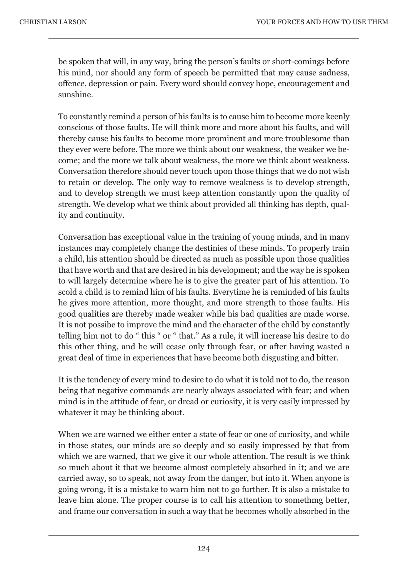be spoken that will, in any way, bring the person's faults or short-comings before his mind, nor should any form of speech be permitted that may cause sadness, offence, depression or pain. Every word should convey hope, encouragement and sunshine.

To constantly remind a person of his faults is to cause him to become more keenly conscious of those faults. He will think more and more about his faults, and will thereby cause his faults to become more prominent and more troublesome than they ever were before. The more we think about our weakness, the weaker we become; and the more we talk about weakness, the more we think about weakness. Conversation therefore should never touch upon those things that we do not wish to retain or develop. The only way to remove weakness is to develop strength, and to develop strength we must keep attention constantly upon the quality of strength. We develop what we think about provided all thinking has depth, quality and continuity.

Conversation has exceptional value in the training of young minds, and in many instances may completely change the destinies of these minds. To properly train a child, his attention should be directed as much as possible upon those qualities that have worth and that are desired in his development; and the way he is spoken to will largely determine where he is to give the greater part of his attention. To scold a child is to remind him of his faults. Everytime he is reminded of his faults he gives more attention, more thought, and more strength to those faults. His good qualities are thereby made weaker while his bad qualities are made worse. It is not possibe to improve the mind and the character of the child by constantly telling him not to do " this " or " that." As a rule, it will increase his desire to do this other thing, and he will cease only through fear, or after having wasted a great deal of time in experiences that have become both disgusting and bitter.

It is the tendency of every mind to desire to do what it is told not to do, the reason being that negative commands are nearly always associated with fear; and when mind is in the attitude of fear, or dread or curiosity, it is very easily impressed by whatever it may be thinking about.

When we are warned we either enter a state of fear or one of curiosity, and while in those states, our minds are so deeply and so easily impressed by that from which we are warned, that we give it our whole attention. The result is we think so much about it that we become almost completely absorbed in it; and we are carried away, so to speak, not away from the danger, but into it. When anyone is going wrong, it is a mistake to warn him not to go further. It is also a mistake to leave him alone. The proper course is to call his attention to somethmg better, and frame our conversation in such a way that he becomes wholly absorbed in the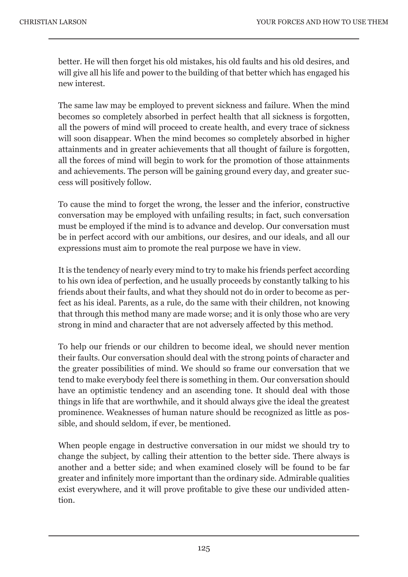better. He will then forget his old mistakes, his old faults and his old desires, and will give all his life and power to the building of that better which has engaged his new interest.

The same law may be employed to prevent sickness and failure. When the mind becomes so completely absorbed in perfect health that all sickness is forgotten, all the powers of mind will proceed to create health, and every trace of sickness will soon disappear. When the mind becomes so completely absorbed in higher attainments and in greater achievements that all thought of failure is forgotten, all the forces of mind will begin to work for the promotion of those attainments and achievements. The person will be gaining ground every day, and greater success will positively follow.

To cause the mind to forget the wrong, the lesser and the inferior, constructive conversation may be employed with unfailing results; in fact, such conversation must be employed if the mind is to advance and develop. Our conversation must be in perfect accord with our ambitions, our desires, and our ideals, and all our expressions must aim to promote the real purpose we have in view.

It is the tendency of nearly every mind to try to make his friends perfect according to his own idea of perfection, and he usually proceeds by constantly talking to his friends about their faults, and what they should not do in order to become as perfect as his ideal. Parents, as a rule, do the same with their children, not knowing that through this method many are made worse; and it is only those who are very strong in mind and character that are not adversely affected by this method.

To help our friends or our children to become ideal, we should never mention their faults. Our conversation should deal with the strong points of character and the greater possibilities of mind. We should so frame our conversation that we tend to make everybody feel there is something in them. Our conversation should have an optimistic tendency and an ascending tone. It should deal with those things in life that are worthwhile, and it should always give the ideal the greatest prominence. Weaknesses of human nature should be recognized as little as possible, and should seldom, if ever, be mentioned.

When people engage in destructive conversation in our midst we should try to change the subject, by calling their attention to the better side. There always is another and a better side; and when examined closely will be found to be far greater and infinitely more important than the ordinary side. Admirable qualities exist everywhere, and it will prove profitable to give these our undivided attention.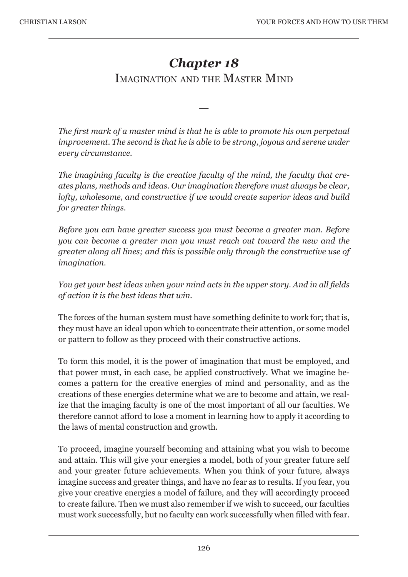## *Chapter 18*  IMAGINATION AND THE MASTER MIND

*The first mark of a master mind is that he is able to promote his own perpetual improvement. The second is that he is able to be strong, joyous and serene under every circumstance.*

—

*The imagining faculty is the creative faculty of the mind, the faculty that creates plans, methods and ideas. Our imagination therefore must always be clear, lofty, wholesome, and constructive if we would create superior ideas and build for greater things.*

*Before you can have greater success you must become a greater man. Before you can become a greater man you must reach out toward the new and the greater along all lines; and this is possible only through the constructive use of imagination.* 

*You get your best ideas when your mind acts in the upper story. And in all fields of action it is the best ideas that win.*

The forces of the human system must have something definite to work for; that is, they must have an ideal upon which to concentrate their attention, or some model or pattern to follow as they proceed with their constructive actions.

To form this model, it is the power of imagination that must be employed, and that power must, in each case, be applied constructively. What we imagine becomes a pattern for the creative energies of mind and personality, and as the creations of these energies determine what we are to become and attain, we realize that the imaging faculty is one of the most important of all our faculties. We therefore cannot afford to lose a moment in learning how to apply it according to the laws of mental construction and growth.

To proceed, imagine yourself becoming and attaining what you wish to become and attain. This will give your energies a model, both of your greater future self and your greater future achievements. When you think of your future, always imagine success and greater things, and have no fear as to results. If you fear, you give your creative energies a model of failure, and they will accordingIy proceed to create failure. Then we must also remember if we wish to succeed, our faculties must work successfully, but no faculty can work successfully when filled with fear.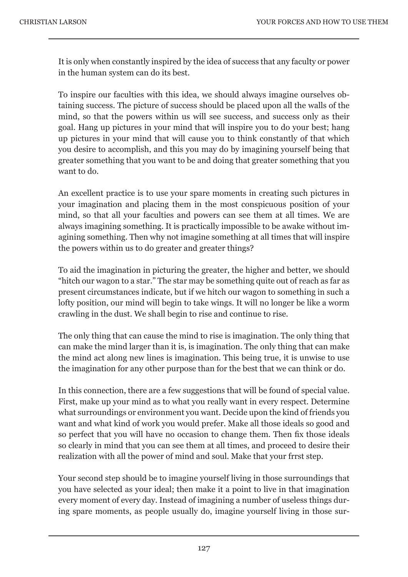It is only when constantly inspired by the idea of success that any faculty or power in the human system can do its best.

To inspire our faculties with this idea, we should always imagine ourselves obtaining success. The picture of success should be placed upon all the walls of the mind, so that the powers within us will see success, and success only as their goal. Hang up pictures in your mind that will inspire you to do your best; hang up pictures in your mind that will cause you to think constantly of that which you desire to accomplish, and this you may do by imagining yourself being that greater something that you want to be and doing that greater something that you want to do.

An excellent practice is to use your spare moments in creating such pictures in your imagination and placing them in the most conspicuous position of your mind, so that all your faculties and powers can see them at all times. We are always imagining something. It is practically impossible to be awake without imagining something. Then why not imagine something at all times that will inspire the powers within us to do greater and greater things?

To aid the imagination in picturing the greater, the higher and better, we should "hitch our wagon to a star." The star may be something quite out of reach as far as present circumstances indicate, but if we hitch our wagon to something in such a lofty position, our mind will begin to take wings. It will no longer be like a worm crawling in the dust. We shall begin to rise and continue to rise.

The only thing that can cause the mind to rise is imagination. The only thing that can make the mind larger than it is, is imagination. The only thing that can make the mind act along new lines is imagination. This being true, it is unwise to use the imagination for any other purpose than for the best that we can think or do.

In this connection, there are a few suggestions that will be found of special value. First, make up your mind as to what you really want in every respect. Determine what surroundings or environment you want. Decide upon the kind of friends you want and what kind of work you would prefer. Make all those ideals so good and so perfect that you will have no occasion to change them. Then fix those ideals so clearly in mind that you can see them at all times, and proceed to desire their realization with all the power of mind and soul. Make that your frrst step.

Your second step should be to imagine yourself living in those surroundings that you have selected as your ideal; then make it a point to live in that imagination every moment of every day. Instead of imagining a number of useless things during spare moments, as people usually do, imagine yourself living in those sur-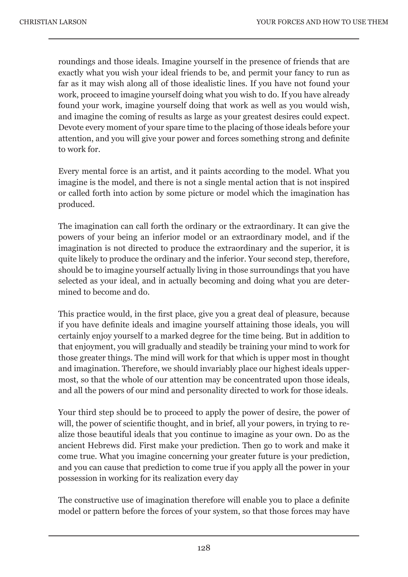roundings and those ideals. Imagine yourself in the presence of friends that are exactly what you wish your ideal friends to be, and permit your fancy to run as far as it may wish along all of those idealistic lines. If you have not found your work, proceed to imagine yourself doing what you wish to do. If you have already found your work, imagine yourself doing that work as well as you would wish, and imagine the coming of results as large as your greatest desires could expect. Devote every moment of your spare time to the placing of those ideals before your attention, and you will give your power and forces something strong and definite to work for.

Every mental force is an artist, and it paints according to the model. What you imagine is the model, and there is not a single mental action that is not inspired or called forth into action by some picture or model which the imagination has produced.

The imagination can call forth the ordinary or the extraordinary. It can give the powers of your being an inferior model or an extraordinary model, and if the imagination is not directed to produce the extraordinary and the superior, it is quite likely to produce the ordinary and the inferior. Your second step, therefore, should be to imagine yourself actually living in those surroundings that you have selected as your ideal, and in actually becoming and doing what you are determined to become and do.

This practice would, in the first place, give you a great deal of pleasure, because if you have definite ideals and imagine yourself attaining those ideals, you will certainly enjoy yourself to a marked degree for the time being. But in addition to that enjoyment, you will gradually and steadily be training your mind to work for those greater things. The mind will work for that which is upper most in thought and imagination. Therefore, we should invariably place our highest ideals uppermost, so that the whole of our attention may be concentrated upon those ideals, and all the powers of our mind and personality directed to work for those ideals.

Your third step should be to proceed to apply the power of desire, the power of will, the power of scientific thought, and in brief, all your powers, in trying to realize those beautiful ideals that you continue to imagine as your own. Do as the ancient Hebrews did. First make your prediction. Then go to work and make it come true. What you imagine concerning your greater future is your prediction, and you can cause that prediction to come true if you apply all the power in your possession in working for its realization every day

The constructive use of imagination therefore will enable you to place a definite model or pattern before the forces of your system, so that those forces may have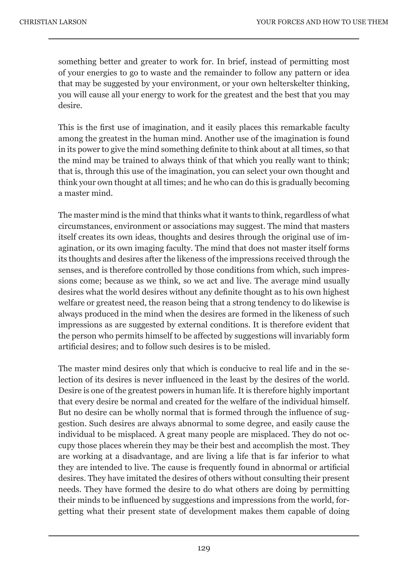something better and greater to work for. In brief, instead of permitting most of your energies to go to waste and the remainder to follow any pattern or idea that may be suggested by your environment, or your own helterskelter thinking, you will cause all your energy to work for the greatest and the best that you may desire.

This is the first use of imagination, and it easily places this remarkable faculty among the greatest in the human mind. Another use of the imagination is found in its power to give the mind something definite to think about at all times, so that the mind may be trained to always think of that which you really want to think; that is, through this use of the imagination, you can select your own thought and think your own thought at all times; and he who can do this is gradually becoming a master mind.

The master mind is the mind that thinks what it wants to think, regardless of what circumstances, environment or associations may suggest. The mind that masters itself creates its own ideas, thoughts and desires through the original use of imagination, or its own imaging faculty. The mind that does not master itself forms its thoughts and desires after the likeness of the impressions received through the senses, and is therefore controlled by those conditions from which, such impressions come; because as we think, so we act and live. The average mind usually desires what the world desires without any definite thought as to his own highest welfare or greatest need, the reason being that a strong tendency to do likewise is always produced in the mind when the desires are formed in the likeness of such impressions as are suggested by external conditions. It is therefore evident that the person who permits himself to be affected by suggestions will invariably form artificial desires; and to follow such desires is to be misled.

The master mind desires only that which is conducive to real life and in the selection of its desires is never influenced in the least by the desires of the world. Desire is one of the greatest powers in human life. It is therefore highly important that every desire be normal and created for the welfare of the individual himself. But no desire can be wholly normal that is formed through the influence of suggestion. Such desires are always abnormal to some degree, and easily cause the individual to be misplaced. A great many people are misplaced. They do not occupy those places wherein they may be their best and accomplish the most. They are working at a disadvantage, and are living a life that is far inferior to what they are intended to live. The cause is frequently found in abnormal or artificial desires. They have imitated the desires of others without consulting their present needs. They have formed the desire to do what others are doing by permitting their minds to be influenced by suggestions and impressions from the world, forgetting what their present state of development makes them capable of doing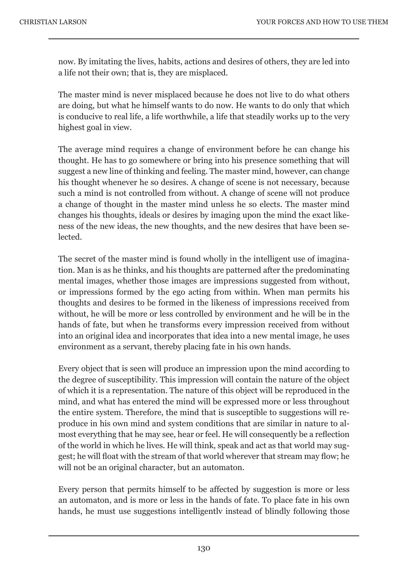now. By imitating the lives, habits, actions and desires of others, they are led into a life not their own; that is, they are misplaced.

The master mind is never misplaced because he does not live to do what others are doing, but what he himself wants to do now. He wants to do only that which is conducive to real life, a life worthwhile, a life that steadily works up to the very highest goal in view.

The average mind requires a change of environment before he can change his thought. He has to go somewhere or bring into his presence something that will suggest a new line of thinking and feeling. The master mind, however, can change his thought whenever he so desires. A change of scene is not necessary, because such a mind is not controlled from without. A change of scene will not produce a change of thought in the master mind unless he so elects. The master mind changes his thoughts, ideals or desires by imaging upon the mind the exact likeness of the new ideas, the new thoughts, and the new desires that have been selected.

The secret of the master mind is found wholly in the intelligent use of imagination. Man is as he thinks, and his thoughts are patterned after the predominating mental images, whether those images are impressions suggested from without, or impressions formed by the ego acting from within. When man permits his thoughts and desires to be formed in the likeness of impressions received from without, he will be more or less controlled by environment and he will be in the hands of fate, but when he transforms every impression received from without into an original idea and incorporates that idea into a new mental image, he uses environment as a servant, thereby placing fate in his own hands.

Every object that is seen will produce an impression upon the mind according to the degree of susceptibility. This impression will contain the nature of the object of which it is a representation. The nature of this object will be reproduced in the mind, and what has entered the mind will be expressed more or less throughout the entire system. Therefore, the mind that is susceptible to suggestions will reproduce in his own mind and system conditions that are similar in nature to almost everything that he may see, hear or feel. He will consequently be a reflection of the world in which he lives. He will think, speak and act as that world may suggest; he will float with the stream of that world wherever that stream may flow; he will not be an original character, but an automaton.

Every person that permits himself to be affected by suggestion is more or less an automaton, and is more or less in the hands of fate. To place fate in his own hands, he must use suggestions intelligentlv instead of blindly following those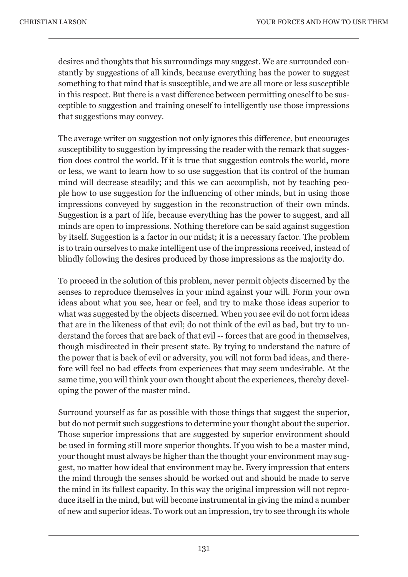desires and thoughts that his surroundings may suggest. We are surrounded constantly by suggestions of all kinds, because everything has the power to suggest something to that mind that is susceptible, and we are all more or less susceptible in this respect. But there is a vast difference between permitting oneself to be susceptible to suggestion and training oneself to intelligently use those impressions that suggestions may convey.

The average writer on suggestion not only ignores this difference, but encourages susceptibility to suggestion by impressing the reader with the remark that suggestion does control the world. If it is true that suggestion controls the world, more or less, we want to learn how to so use suggestion that its control of the human mind will decrease steadily; and this we can accomplish, not by teaching people how to use suggestion for the influencing of other minds, but in using those impressions conveyed by suggestion in the reconstruction of their own minds. Suggestion is a part of life, because everything has the power to suggest, and all minds are open to impressions. Nothing therefore can be said against suggestion by itself. Suggestion is a factor in our midst; it is a necessary factor. The problem is to train ourselves to make intelligent use of the impressions received, instead of blindly following the desires produced by those impressions as the majority do.

To proceed in the solution of this problem, never permit objects discerned by the senses to reproduce themselves in your mind against your will. Form your own ideas about what you see, hear or feel, and try to make those ideas superior to what was suggested by the objects discerned. When you see evil do not form ideas that are in the likeness of that evil; do not think of the evil as bad, but try to understand the forces that are back of that evil -- forces that are good in themselves, though misdirected in their present state. By trying to understand the nature of the power that is back of evil or adversity, you will not form bad ideas, and therefore will feel no bad effects from experiences that may seem undesirable. At the same time, you will think your own thought about the experiences, thereby developing the power of the master mind.

Surround yourself as far as possible with those things that suggest the superior, but do not permit such suggestions to determine your thought about the superior. Those superior impressions that are suggested by superior environment should be used in forming still more superior thoughts. If you wish to be a master mind, your thought must always be higher than the thought your environment may suggest, no matter how ideal that environment may be. Every impression that enters the mind through the senses should be worked out and should be made to serve the mind in its fullest capacity. In this way the original impression will not reproduce itself in the mind, but will become instrumental in giving the mind a number of new and superior ideas. To work out an impression, try to see through its whole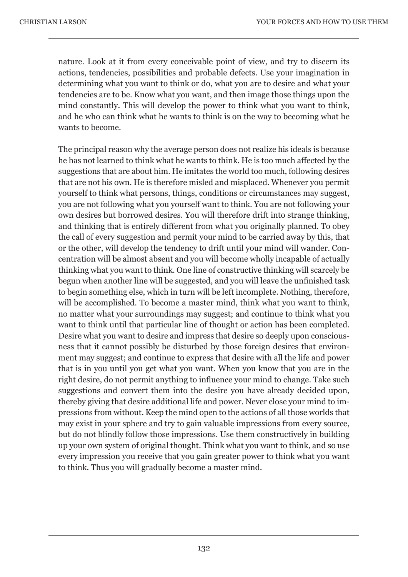nature. Look at it from every conceivable point of view, and try to discern its actions, tendencies, possibilities and probable defects. Use your imagination in determining what you want to think or do, what you are to desire and what your tendencies are to be. Know what you want, and then image those things upon the mind constantly. This will develop the power to think what you want to think, and he who can think what he wants to think is on the way to becoming what he wants to become.

The principal reason why the average person does not realize his ideals is because he has not learned to think what he wants to think. He is too much affected by the suggestions that are about him. He imitates the world too much, following desires that are not his own. He is therefore misled and misplaced. Whenever you permit yourself to think what persons, things, conditions or circumstances may suggest, you are not following what you yourself want to think. You are not following your own desires but borrowed desires. You will therefore drift into strange thinking, and thinking that is entirely different from what you originally planned. To obey the call of every suggestion and permit your mind to be carried away by this, that or the other, will develop the tendency to drift until your mind will wander. Concentration will be almost absent and you will become wholly incapable of actually thinking what you want to think. One line of constructive thinking will scarcely be begun when another line will be suggested, and you will leave the unfinished task to begin something else, which in turn will be left incomplete. Nothing, therefore, will be accomplished. To become a master mind, think what you want to think, no matter what your surroundings may suggest; and continue to think what you want to think until that particular line of thought or action has been completed. Desire what you want to desire and impress that desire so deeply upon consciousness that it cannot possibly be disturbed by those foreign desires that environment may suggest; and continue to express that desire with all the life and power that is in you until you get what you want. When you know that you are in the right desire, do not permit anything to influence your mind to change. Take such suggestions and convert them into the desire you have already decided upon, thereby giving that desire additional life and power. Never close your mind to impressions from without. Keep the mind open to the actions of all those worlds that may exist in your sphere and try to gain valuable impressions from every source, but do not blindly follow those impressions. Use them constructively in building up your own system of original thought. Think what you want to think, and so use every impression you receive that you gain greater power to think what you want to think. Thus you will gradually become a master mind.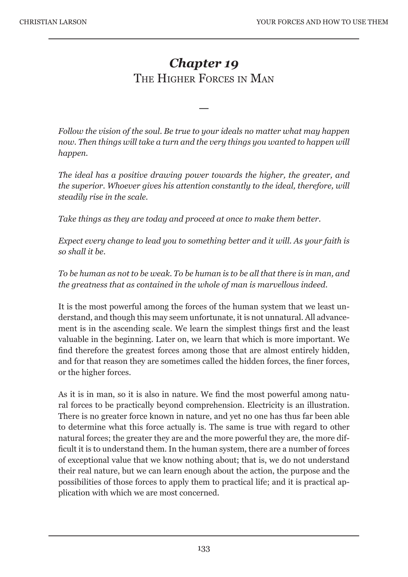## *Chapter 19*  THE HIGHER FORCES IN MAN

—

*Follow the vision of the soul. Be true to your ideals no matter what may happen now. Then things will take a turn and the very things you wanted to happen will happen.*

*The ideal has a positive drawing power towards the higher, the greater, and the superior. Whoever gives his attention constantly to the ideal, therefore, will steadily rise in the scale.*

*Take things as they are today and proceed at once to make them better.*

*Expect every change to lead you to something better and it will. As your faith is so shall it be.*

*To be human as not to be weak. To be human is to be all that there is in man, and the greatness that as contained in the whole of man is marvellous indeed.*

It is the most powerful among the forces of the human system that we least understand, and though this may seem unfortunate, it is not unnatural. All advancement is in the ascending scale. We learn the simplest things first and the least valuable in the beginning. Later on, we learn that which is more important. We find therefore the greatest forces among those that are almost entirely hidden, and for that reason they are sometimes called the hidden forces, the finer forces, or the higher forces.

As it is in man, so it is also in nature. We find the most powerful among natural forces to be practically beyond comprehension. Electricity is an illustration. There is no greater force known in nature, and yet no one has thus far been able to determine what this force actually is. The same is true with regard to other natural forces; the greater they are and the more powerful they are, the more difficult it is to understand them. In the human system, there are a number of forces of exceptional value that we know nothing about; that is, we do not understand their real nature, but we can learn enough about the action, the purpose and the possibilities of those forces to apply them to practical life; and it is practical application with which we are most concerned.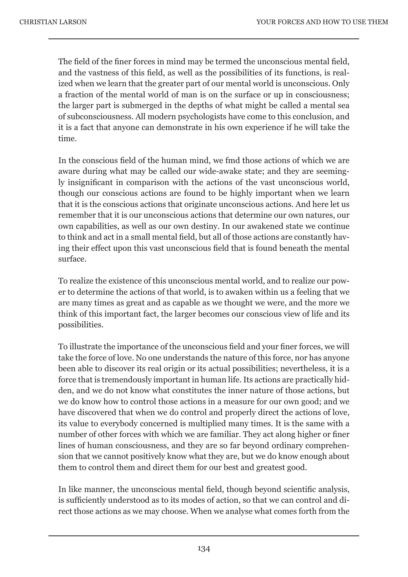The field of the finer forces in mind may be termed the unconscious mental field, and the vastness of this field, as well as the possibilities of its functions, is realized when we learn that the greater part of our mental world is unconscious. Only a fraction of the mental world of man is on the surface or up in consciousness; the larger part is submerged in the depths of what might be called a mental sea of subconsciousness. All modern psychologists have come to this conclusion, and it is a fact that anyone can demonstrate in his own experience if he will take the time.

In the conscious field of the human mind, we fmd those actions of which we are aware during what may be called our wide-awake state; and they are seemingly insignificant in comparison with the actions of the vast unconscious world, though our conscious actions are found to be highly important when we learn that it is the conscious actions that originate unconscious actions. And here let us remember that it is our unconscious actions that determine our own natures, our own capabilities, as well as our own destiny. In our awakened state we continue to think and act in a small mental field, but all of those actions are constantly having their effect upon this vast unconscious field that is found beneath the mental surface.

To realize the existence of this unconscious mental world, and to realize our power to determine the actions of that world, is to awaken within us a feeling that we are many times as great and as capable as we thought we were, and the more we think of this important fact, the larger becomes our conscious view of life and its possibilities.

To illustrate the importance of the unconscious field and your finer forces, we will take the force of love. No one understands the nature of this force, nor has anyone been able to discover its real origin or its actual possibilities; nevertheless, it is a force that is tremendously important in human life. Its actions are practically hidden, and we do not know what constitutes the inner nature of those actions, but we do know how to control those actions in a measure for our own good; and we have discovered that when we do control and properly direct the actions of love, its value to everybody concerned is multiplied many times. It is the same with a number of other forces with which we are familiar. They act along higher or finer lines of human consciousness, and they are so far beyond ordinary comprehension that we cannot positively know what they are, but we do know enough about them to control them and direct them for our best and greatest good.

In like manner, the unconscious mental field, though beyond scientific analysis, is sufficiently understood as to its modes of action, so that we can control and direct those actions as we may choose. When we analyse what comes forth from the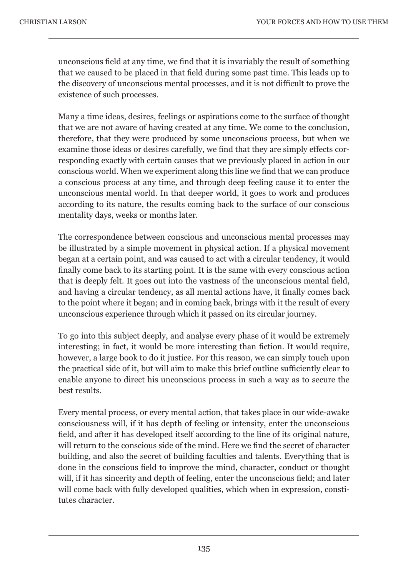unconscious field at any time, we find that it is invariably the result of something that we caused to be placed in that field during some past time. This leads up to the discovery of unconscious mental processes, and it is not difficult to prove the existence of such processes.

Many a time ideas, desires, feelings or aspirations come to the surface of thought that we are not aware of having created at any time. We come to the conclusion, therefore, that they were produced by some unconscious process, but when we examine those ideas or desires carefully, we find that they are simply effects corresponding exactly with certain causes that we previously placed in action in our conscious world. When we experiment along this line we find that we can produce a conscious process at any time, and through deep feeling cause it to enter the unconscious mental world. In that deeper world, it goes to work and produces according to its nature, the results coming back to the surface of our conscious mentality days, weeks or months later.

The correspondence between conscious and unconscious mental processes may be illustrated by a simple movement in physical action. If a physical movement began at a certain point, and was caused to act with a circular tendency, it would finally come back to its starting point. It is the same with every conscious action that is deeply felt. It goes out into the vastness of the unconscious mental field, and having a circular tendency, as all mental actions have, it finally comes back to the point where it began; and in coming back, brings with it the result of every unconscious experience through which it passed on its circular journey.

To go into this subject deeply, and analyse every phase of it would be extremely interesting; in fact, it would be more interesting than fiction. It would require, however, a large book to do it justice. For this reason, we can simply touch upon the practical side of it, but will aim to make this brief outline sufficiently clear to enable anyone to direct his unconscious process in such a way as to secure the best results.

Every mental process, or every mental action, that takes place in our wide-awake consciousness will, if it has depth of feeling or intensity, enter the unconscious field, and after it has developed itself according to the line of its original nature, will return to the conscious side of the mind. Here we find the secret of character building, and also the secret of building faculties and talents. Everything that is done in the conscious field to improve the mind, character, conduct or thought will, if it has sincerity and depth of feeling, enter the unconscious field; and later will come back with fully developed qualities, which when in expression, constitutes character.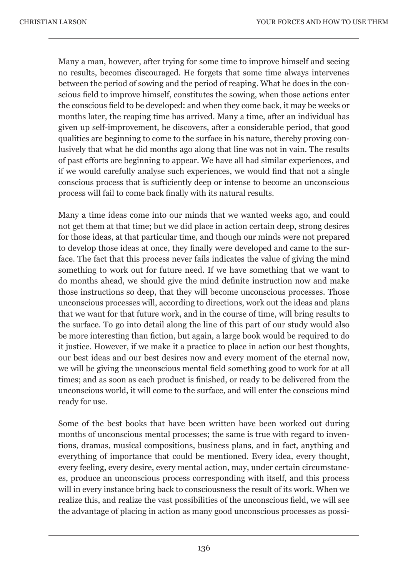Many a man, however, after trying for some time to improve himself and seeing no results, becomes discouraged. He forgets that some time always intervenes between the period of sowing and the period of reaping. What he does in the conscious field to improve himself, constitutes the sowing, when those actions enter the conscious field to be developed: and when they come back, it may be weeks or months later, the reaping time has arrived. Many a time, after an individual has given up self-improvement, he discovers, after a considerable period, that good qualities are beginning to come to the surface in his nature, thereby proving conlusively that what he did months ago along that line was not in vain. The results of past efforts are beginning to appear. We have all had similar experiences, and if we would carefully analyse such experiences, we would find that not a single conscious process that is sufticiently deep or intense to become an unconscious process will fail to come back finally with its natural results.

Many a time ideas come into our minds that we wanted weeks ago, and could not get them at that time; but we did place in action certain deep, strong desires for those ideas, at that particular time, and though our minds were not prepared to develop those ideas at once, they finally were developed and came to the surface. The fact that this process never fails indicates the value of giving the mind something to work out for future need. If we have something that we want to do months ahead, we should give the mind definite instruction now and make those instructions so deep, that they will become unconscious processes. Those unconscious processes will, according to directions, work out the ideas and plans that we want for that future work, and in the course of time, will bring results to the surface. To go into detail along the line of this part of our study would also be more interesting than fiction, but again, a large book would be required to do it justice. However, if we make it a practice to place in action our best thoughts, our best ideas and our best desires now and every moment of the eternal now, we will be giving the unconscious mental field something good to work for at all times; and as soon as each product is finished, or ready to be delivered from the unconscious world, it will come to the surface, and will enter the conscious mind ready for use.

Some of the best books that have been written have been worked out during months of unconscious mental processes; the same is true with regard to inventions, dramas, musical compositions, business plans, and in fact, anything and everything of importance that could be mentioned. Every idea, every thought, every feeling, every desire, every mental action, may, under certain circumstances, produce an unconscious process corresponding with itself, and this process will in every instance bring back to consciousness the result of its work. When we realize this, and realize the vast possibilities of the unconscious field, we will see the advantage of placing in action as many good unconscious processes as possi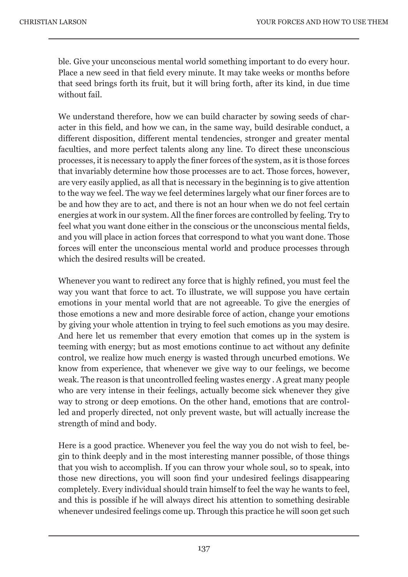ble. Give your unconscious mental world something important to do every hour. Place a new seed in that field every minute. It may take weeks or months before that seed brings forth its fruit, but it will bring forth, after its kind, in due time without fail.

We understand therefore, how we can build character by sowing seeds of character in this field, and how we can, in the same way, build desirable conduct, a different disposition, different mental tendencies, stronger and greater mental faculties, and more perfect talents along any line. To direct these unconscious processes, it is necessary to apply the finer forces of the system, as it is those forces that invariably determine how those processes are to act. Those forces, however, are very easily applied, as all that is necessary in the beginning is to give attention to the way we feel. The way we feel determines largely what our finer forces are to be and how they are to act, and there is not an hour when we do not feel certain energies at work in our system. All the finer forces are controlled by feeling. Try to feel what you want done either in the conscious or the unconscious mental fields, and you will place in action forces that correspond to what you want done. Those forces will enter the unconscious mental world and produce processes through which the desired results will be created.

Whenever you want to redirect any force that is highly refined, you must feel the way you want that force to act. To illustrate, we will suppose you have certain emotions in your mental world that are not agreeable. To give the energies of those emotions a new and more desirable force of action, change your emotions by giving your whole attention in trying to feel such emotions as you may desire. And here let us remember that every emotion that comes up in the system is teeming with energy; but as most emotions continue to act without any definite control, we realize how much energy is wasted through uncurbed emotions. We know from experience, that whenever we give way to our feelings, we become weak. The reason is that uncontrolled feeling wastes energy . A great many people who are very intense in their feelings, actually become sick whenever they give way to strong or deep emotions. On the other hand, emotions that are controlled and properly directed, not only prevent waste, but will actually increase the strength of mind and body.

Here is a good practice. Whenever you feel the way you do not wish to feel, begin to think deeply and in the most interesting manner possible, of those things that you wish to accomplish. If you can throw your whole soul, so to speak, into those new directions, you will soon find your undesired feelings disappearing completely. Every individual should train himself to feel the way he wants to feel, and this is possible if he will always direct his attention to something desirable whenever undesired feelings come up. Through this practice he will soon get such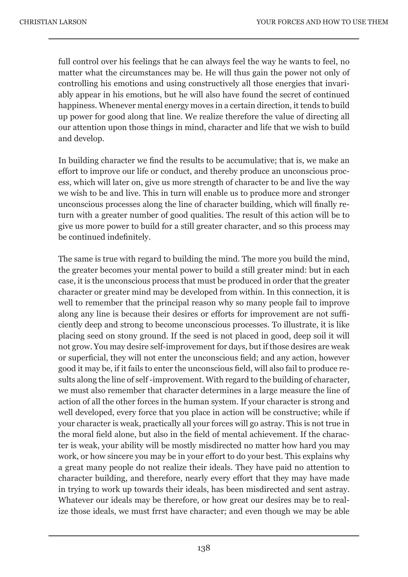full control over his feelings that he can always feel the way he wants to feel, no matter what the circumstances may be. He will thus gain the power not only of controlling his emotions and using constructively all those energies that invariably appear in his emotions, but he will also have found the secret of continued happiness. Whenever mental energy moves in a certain direction, it tends to build up power for good along that line. We realize therefore the value of directing all our attention upon those things in mind, character and life that we wish to build and develop.

In building character we find the results to be accumulative; that is, we make an effort to improve our life or conduct, and thereby produce an unconscious process, which will later on, give us more strength of character to be and live the way we wish to be and live. This in turn will enable us to produce more and stronger unconscious processes along the line of character building, which will finally return with a greater number of good qualities. The result of this action will be to give us more power to build for a still greater character, and so this process may be continued indefinitely.

The same is true with regard to building the mind. The more you build the mind, the greater becomes your mental power to build a still greater mind: but in each case, it is the unconscious process that must be produced in order that the greater character or greater mind may be developed from within. In this connection, it is well to remember that the principal reason why so many people fail to improve along any line is because their desires or efforts for improvement are not sufficiently deep and strong to become unconscious processes. To illustrate, it is like placing seed on stony ground. If the seed is not placed in good, deep soil it will not grow. You may desire self-improvement for days, but if those desires are weak or superficial, they will not enter the unconscious field; and any action, however good it may be, if it fails to enter the unconscious field, will also fail to produce results along the line of self -improvement. With regard to the building of character, we must also remember that character determines in a large measure the line of action of all the other forces in the human system. If your character is strong and well developed, every force that you place in action will be constructive; while if your character is weak, practically all your forces will go astray. This is not true in the moral field alone, but also in the field of mental achievement. If the character is weak, your ability will be mostly misdirected no matter how hard you may work, or how sincere you may be in your effort to do your best. This explains why a great many people do not realize their ideals. They have paid no attention to character building, and therefore, nearly every effort that they may have made in trying to work up towards their ideals, has been misdirected and sent astray. Whatever our ideals may be therefore, or how great our desires may be to realize those ideals, we must frrst have character; and even though we may be able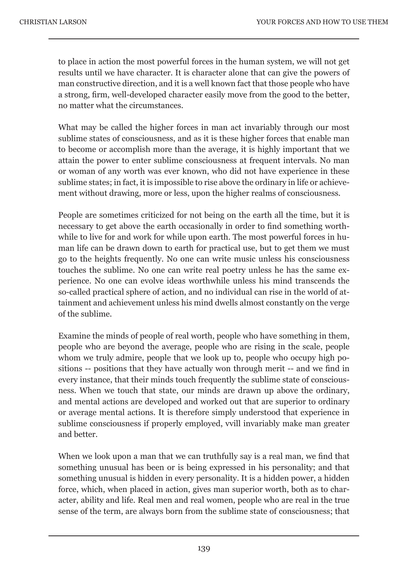to place in action the most powerful forces in the human system, we will not get results until we have character. It is character alone that can give the powers of man constructive direction, and it is a well known fact that those people who have a strong, firm, well-developed character easily move from the good to the better, no matter what the circumstances.

What may be called the higher forces in man act invariably through our most sublime states of consciousness, and as it is these higher forces that enable man to become or accomplish more than the average, it is highly important that we attain the power to enter sublime consciousness at frequent intervals. No man or woman of any worth was ever known, who did not have experience in these sublime states; in fact, it is impossible to rise above the ordinary in life or achievement without drawing, more or less, upon the higher realms of consciousness.

People are sometimes criticized for not being on the earth all the time, but it is necessary to get above the earth occasionally in order to find something worthwhile to live for and work for while upon earth. The most powerful forces in human life can be drawn down to earth for practical use, but to get them we must go to the heights frequently. No one can write music unless his consciousness touches the sublime. No one can write real poetry unless he has the same experience. No one can evolve ideas worthwhile unless his mind transcends the so-called practical sphere of action, and no individual can rise in the world of attainment and achievement unless his mind dwells almost constantly on the verge of the sublime.

Examine the minds of people of real worth, people who have something in them, people who are beyond the average, people who are rising in the scale, people whom we truly admire, people that we look up to, people who occupy high positions -- positions that they have actually won through merit -- and we find in every instance, that their minds touch frequently the sublime state of consciousness. When we touch that state, our minds are drawn up above the ordinary, and mental actions are developed and worked out that are superior to ordinary or average mental actions. It is therefore simply understood that experience in sublime consciousness if properly employed, vvill invariably make man greater and better.

When we look upon a man that we can truthfully say is a real man, we find that something unusual has been or is being expressed in his personality; and that something unusual is hidden in every personality. It is a hidden power, a hidden force, which, when placed in action, gives man superior worth, both as to character, ability and life. Real men and real women, people who are real in the true sense of the term, are always born from the sublime state of consciousness; that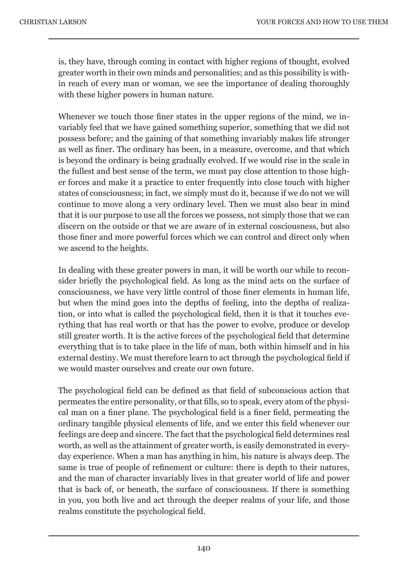is, they have, through coming in contact with higher regions of thought, evolved greater worth in their own minds and personalities; and as this possibility is within reach of every man or woman, we see the importance of dealing thoroughly with these higher powers in human nature.

Whenever we touch those finer states in the upper regions of the mind, we invariably feel that we have gained something superior, something that we did not possess before; and the gaining of that something invariably makes life stronger as well as finer. The ordinary has been, in a measure, overcome, and that which is beyond the ordinary is being gradually evolved. If we would rise in the scale in the fullest and best sense of the term, we must pay close attention to those higher forces and make it a practice to enter frequently into close touch with higher states of consciousness; in fact, we simply must do it, because if we do not we will continue to move along a very ordinary level. Then we must also bear in mind that it is our purpose to use all the forces we possess, not simply those that we can discern on the outside or that we are aware of in external cosciousness, but also those finer and more powerful forces which we can control and direct only when we ascend to the heights.

In dealing with these greater powers in man, it will be worth our while to reconsider briefly the psychological field. As long as the mind acts on the surface of consciousness, we have very little control of those finer elements in human life, but when the mind goes into the depths of feeling, into the depths of realization, or into what is called the psychological field, then it is that it touches everything that has real worth or that has the power to evolve, produce or develop still greater worth. It is the active forces of the psychological field that determine everything that is to take place in the life of man, both within himself and in his external destiny. We must therefore learn to act through the psychological field if we would master ourselves and create our own future.

The psychological field can be defined as that field of subconscious action that permeates the entire personality, or that fills, so to speak, every atom of the physical man on a finer plane. The psychological field is a finer field, permeating the ordinary tangible physical elements of life, and we enter this field whenever our feelings are deep and sincere. The fact that the psychological field determines real worth, as well as the attainment of greater worth, is easily demonstrated in everyday experience. When a man has anything in him, his nature is always deep. The same is true of people of refinement or culture: there is depth to their natures, and the man of character invariably lives in that greater world of life and power that is back of, or beneath, the surface of consciousness. If there is something in you, you both live and act through the deeper realms of your life, and those realms constitute the psychological field.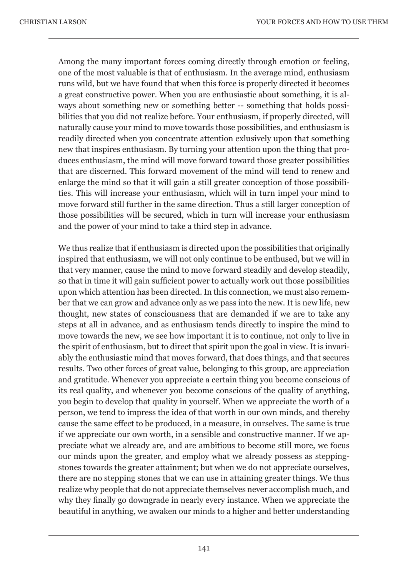Among the many important forces coming directly through emotion or feeling, one of the most valuable is that of enthusiasm. In the average mind, enthusiasm runs wild, but we have found that when this force is properly directed it becomes a great constructive power. When you are enthusiastic about something, it is always about something new or something better -- something that holds possibilities that you did not realize before. Your enthusiasm, if properly directed, will naturally cause your mind to move towards those possibilities, and enthusiasm is readily directed when you concentrate attention exlusively upon that something new that inspires enthusiasm. By turning your attention upon the thing that produces enthusiasm, the mind will move forward toward those greater possibilities that are discerned. This forward movement of the mind will tend to renew and enlarge the mind so that it will gain a still greater conception of those possibilities. This will increase your enthusiasm, which will in turn impel your mind to move forward still further in the same direction. Thus a still larger conception of those possibilities will be secured, which in turn will increase your enthusiasm and the power of your mind to take a third step in advance.

We thus realize that if enthusiasm is directed upon the possibilities that originally inspired that enthusiasm, we will not only continue to be enthused, but we will in that very manner, cause the mind to move forward steadily and develop steadily, so that in time it will gain sufficient power to actually work out those possibilities upon which attention has been directed. In this connection, we must also remember that we can grow and advance only as we pass into the new. It is new life, new thought, new states of consciousness that are demanded if we are to take any steps at all in advance, and as enthusiasm tends directly to inspire the mind to move towards the new, we see how important it is to continue, not only to live in the spirit of enthusiasm, but to direct that spirit upon the goal in view. It is invariably the enthusiastic mind that moves forward, that does things, and that secures results. Two other forces of great value, belonging to this group, are appreciation and gratitude. Whenever you appreciate a certain thing you become conscious of its real quality, and whenever you become conscious of the quality of anything, you begin to develop that quality in yourself. When we appreciate the worth of a person, we tend to impress the idea of that worth in our own minds, and thereby cause the same effect to be produced, in a measure, in ourselves. The same is true if we appreciate our own worth, in a sensible and constructive manner. If we appreciate what we already are, and are ambitious to become still more, we focus our minds upon the greater, and employ what we already possess as steppingstones towards the greater attainment; but when we do not appreciate ourselves, there are no stepping stones that we can use in attaining greater things. We thus realize why people that do not appreciate themselves never accomplish much, and why they finally go downgrade in nearly every instance. When we appreciate the beautiful in anything, we awaken our minds to a higher and better understanding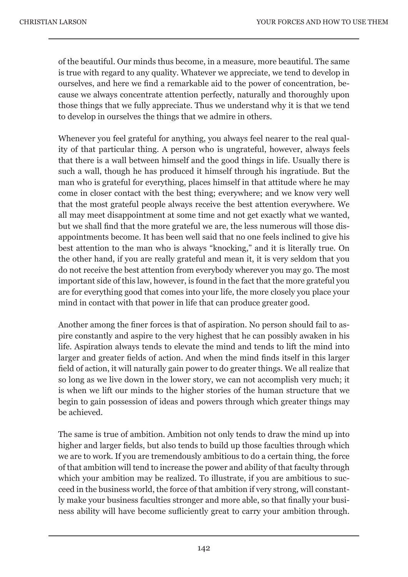of the beautiful. Our minds thus become, in a measure, more beautiful. The same is true with regard to any quality. Whatever we appreciate, we tend to develop in ourselves, and here we find a remarkable aid to the power of concentration, because we always concentrate attention perfectly, naturally and thoroughly upon those things that we fully appreciate. Thus we understand why it is that we tend to develop in ourselves the things that we admire in others.

Whenever you feel grateful for anything, you always feel nearer to the real quality of that particular thing. A person who is ungrateful, however, always feels that there is a wall between himself and the good things in life. Usually there is such a wall, though he has produced it himself through his ingratiude. But the man who is grateful for everything, places himself in that attitude where he may come in closer contact with the best thing; everywhere; and we know very well that the most grateful people always receive the best attention everywhere. We all may meet disappointment at some time and not get exactly what we wanted, but we shall find that the more grateful we are, the less numerous will those disappointments become. It has been well said that no one feels inclined to give his best attention to the man who is always "knocking," and it is literally true. On the other hand, if you are really grateful and mean it, it is very seldom that you do not receive the best attention from everybody wherever you may go. The most important side of this law, however, is found in the fact that the more grateful you are for everything good that comes into your life, the more closely you place your mind in contact with that power in life that can produce greater good.

Another among the finer forces is that of aspiration. No person should fail to aspire constantly and aspire to the very highest that he can possibly awaken in his life. Aspiration always tends to elevate the mind and tends to lift the mind into larger and greater fields of action. And when the mind finds itself in this larger field of action, it will naturally gain power to do greater things. We all realize that so long as we live down in the lower story, we can not accomplish very much; it is when we lift our minds to the higher stories of the human structure that we begin to gain possession of ideas and powers through which greater things may be achieved.

The same is true of ambition. Ambition not only tends to draw the mind up into higher and larger fields, but also tends to build up those faculties through which we are to work. If you are tremendously ambitious to do a certain thing, the force of that ambition will tend to increase the power and ability of that faculty through which your ambition may be realized. To illustrate, if you are ambitious to succeed in the business world, the force of that ambition if very strong, will constantly make your business faculties stronger and more able, so that finally your business ability will have become sufliciently great to carry your ambition through.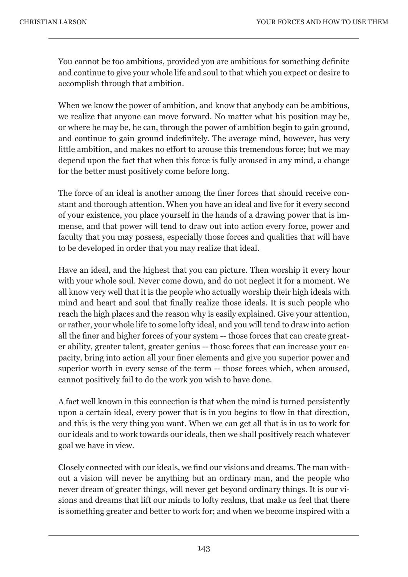You cannot be too ambitious, provided you are ambitious for something definite and continue to give your whole life and soul to that which you expect or desire to accomplish through that ambition.

When we know the power of ambition, and know that anybody can be ambitious, we realize that anyone can move forward. No matter what his position may be, or where he may be, he can, through the power of ambition begin to gain ground, and continue to gain ground indefinitely. The average mind, however, has very little ambition, and makes no effort to arouse this tremendous force; but we may depend upon the fact that when this force is fully aroused in any mind, a change for the better must positively come before long.

The force of an ideal is another among the finer forces that should receive constant and thorough attention. When you have an ideal and live for it every second of your existence, you place yourself in the hands of a drawing power that is immense, and that power will tend to draw out into action every force, power and faculty that you may possess, especially those forces and qualities that will have to be developed in order that you may realize that ideal.

Have an ideal, and the highest that you can picture. Then worship it every hour with your whole soul. Never come down, and do not neglect it for a moment. We all know very well that it is the people who actually worship their high ideals with mind and heart and soul that finally realize those ideals. It is such people who reach the high places and the reason why is easily explained. Give your attention, or rather, your whole life to some lofty ideal, and you will tend to draw into action all the finer and higher forces of your system -- those forces that can create greater ability, greater talent, greater genius -- those forces that can increase your capacity, bring into action all your finer elements and give you superior power and superior worth in every sense of the term -- those forces which, when aroused, cannot positively fail to do the work you wish to have done.

A fact well known in this connection is that when the mind is turned persistently upon a certain ideal, every power that is in you begins to flow in that direction, and this is the very thing you want. When we can get all that is in us to work for our ideals and to work towards our ideals, then we shall positively reach whatever goal we have in view.

Closely connected with our ideals, we find our visions and dreams. The man without a vision will never be anything but an ordinary man, and the people who never dream of greater things, will never get beyond ordinary things. It is our visions and dreams that lift our minds to lofty realms, that make us feel that there is something greater and better to work for; and when we become inspired with a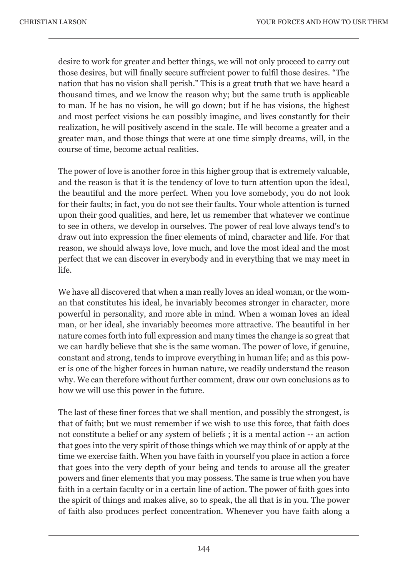desire to work for greater and better things, we will not only proceed to carry out those desires, but will finally secure suffrcient power to fulfil those desires. "The nation that has no vision shall perish." This is a great truth that we have heard a thousand times, and we know the reason why; but the same truth is applicable to man. If he has no vision, he will go down; but if he has visions, the highest and most perfect visions he can possibly imagine, and lives constantly for their realization, he will positively ascend in the scale. He will become a greater and a greater man, and those things that were at one time simply dreams, will, in the course of time, become actual realities.

The power of love is another force in this higher group that is extremely valuable, and the reason is that it is the tendency of love to turn attention upon the ideal, the beautiful and the more perfect. When you love somebody, you do not look for their faults; in fact, you do not see their faults. Your whole attention is turned upon their good qualities, and here, let us remember that whatever we continue to see in others, we develop in ourselves. The power of real love always tend's to draw out into expression the finer elements of mind, character and life. For that reason, we should always love, love much, and love the most ideal and the most perfect that we can discover in everybody and in everything that we may meet in life.

We have all discovered that when a man really loves an ideal woman, or the woman that constitutes his ideal, he invariably becomes stronger in character, more powerful in personality, and more able in mind. When a woman loves an ideal man, or her ideal, she invariably becomes more attractive. The beautiful in her nature comes forth into full expression and many times the change is so great that we can hardly believe that she is the same woman. The power of love, if genuine, constant and strong, tends to improve everything in human life; and as this power is one of the higher forces in human nature, we readily understand the reason why. We can therefore without further comment, draw our own conclusions as to how we will use this power in the future.

The last of these finer forces that we shall mention, and possibly the strongest, is that of faith; but we must remember if we wish to use this force, that faith does not constitute a belief or any system of beliefs ; it is a mental action -- an action that goes into the very spirit of those things which we may think of or apply at the time we exercise faith. When you have faith in yourself you place in action a force that goes into the very depth of your being and tends to arouse all the greater powers and finer elements that you may possess. The same is true when you have faith in a certain faculty or in a certain line of action. The power of faith goes into the spirit of things and makes alive, so to speak, the all that is in you. The power of faith also produces perfect concentration. Whenever you have faith along a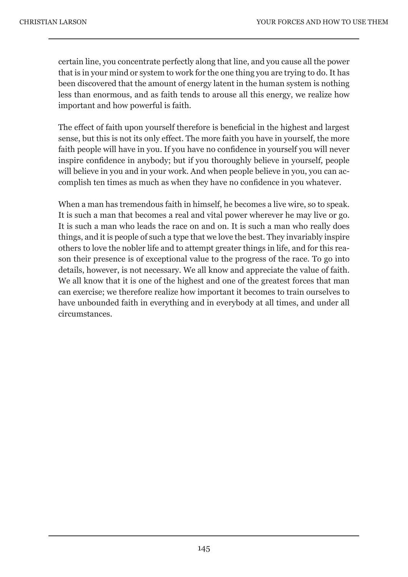certain line, you concentrate perfectly along that line, and you cause all the power that is in your mind or system to work for the one thing you are trying to do. It has been discovered that the amount of energy latent in the human system is nothing less than enormous, and as faith tends to arouse all this energy, we realize how important and how powerful is faith.

The effect of faith upon yourself therefore is beneficial in the highest and largest sense, but this is not its only effect. The more faith you have in yourself, the more faith people will have in you. If you have no confidence in yourself you will never inspire confidence in anybody; but if you thoroughly believe in yourself, people will believe in you and in your work. And when people believe in you, you can accomplish ten times as much as when they have no confidence in you whatever.

When a man has tremendous faith in himself, he becomes a live wire, so to speak. It is such a man that becomes a real and vital power wherever he may live or go. It is such a man who leads the race on and on. It is such a man who really does things, and it is people of such a type that we love the best. They invariably inspire others to love the nobler life and to attempt greater things in life, and for this reason their presence is of exceptional value to the progress of the race. To go into details, however, is not necessary. We all know and appreciate the value of faith. We all know that it is one of the highest and one of the greatest forces that man can exercise; we therefore realize how important it becomes to train ourselves to have unbounded faith in everything and in everybody at all times, and under all circumstances.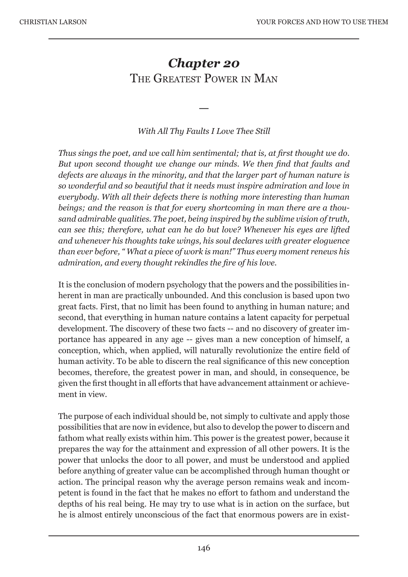## *Chapter 20* THE GREATEST POWER IN MAN

## *With All Thy Faults I Love Thee Still*

—

*Thus sings the poet, and we call him sentimental; that is, at first thought we do. But upon second thought we change our minds. We then find that faults and defects are always in the minority, and that the larger part of human nature is so wonderful and so beautiful that it needs must inspire admiration and love in everybody. With all their defects there is nothing more interesting than human beings; and the reason is that for every shortcoming in man there are a thousand admirable qualities. The poet, being inspired by the sublime vision of truth, can see this; therefore, what can he do but love? Whenever his eyes are lifted and whenever his thoughts take wings, his soul declares with greater eloguence than ever before, " What a piece of work is man!" Thus every moment renews his admiration, and every thought rekindles the fire of his love.*

It is the conclusion of modern psychology that the powers and the possibilities inherent in man are practically unbounded. And this conclusion is based upon two great facts. First, that no limit has been found to anything in human nature; and second, that everything in human nature contains a latent capacity for perpetual development. The discovery of these two facts -- and no discovery of greater importance has appeared in any age -- gives man a new conception of himself, a conception, which, when applied, will naturally revolutionize the entire field of human activity. To be able to discern the real significance of this new conception becomes, therefore, the greatest power in man, and should, in consequence, be given the first thought in all efforts that have advancement attainment or achievement in view.

The purpose of each individual should be, not simply to cultivate and apply those possibilities that are now in evidence, but also to develop the power to discern and fathom what really exists within him. This power is the greatest power, because it prepares the way for the attainment and expression of all other powers. It is the power that unlocks the door to all power, and must be understood and applied before anything of greater value can be accomplished through human thought or action. The principal reason why the average person remains weak and incompetent is found in the fact that he makes no effort to fathom and understand the depths of his real being. He may try to use what is in action on the surface, but he is almost entirely unconscious of the fact that enormous powers are in exist-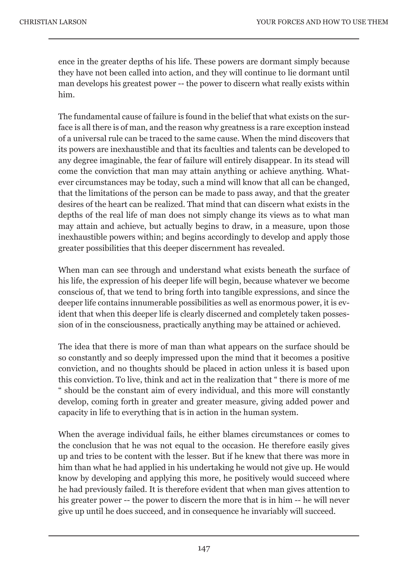ence in the greater depths of his life. These powers are dormant simply because they have not been called into action, and they will continue to lie dormant until man develops his greatest power -- the power to discern what really exists within him.

The fundamental cause of failure is found in the belief that what exists on the surface is all there is of man, and the reason why greatness is a rare exception instead of a universal rule can be traced to the same cause. When the mind discovers that its powers are inexhaustible and that its faculties and talents can be developed to any degree imaginable, the fear of failure will entirely disappear. In its stead will come the conviction that man may attain anything or achieve anything. Whatever circumstances may be today, such a mind will know that all can be changed, that the limitations of the person can be made to pass away, and that the greater desires of the heart can be realized. That mind that can discern what exists in the depths of the real life of man does not simply change its views as to what man may attain and achieve, but actually begins to draw, in a measure, upon those inexhaustible powers within; and begins accordingly to develop and apply those greater possibilities that this deeper discernment has revealed.

When man can see through and understand what exists beneath the surface of his life, the expression of his deeper life will begin, because whatever we become conscious of, that we tend to bring forth into tangible expressions, and since the deeper life contains innumerable possibilities as well as enormous power, it is evident that when this deeper life is clearly discerned and completely taken possession of in the consciousness, practically anything may be attained or achieved.

The idea that there is more of man than what appears on the surface should be so constantly and so deeply impressed upon the mind that it becomes a positive conviction, and no thoughts should be placed in action unless it is based upon this conviction. To live, think and act in the realization that " there is more of me " should be the constant aim of every individual, and this more will constantly develop, coming forth in greater and greater measure, giving added power and capacity in life to everything that is in action in the human system.

When the average individual fails, he either blames circumstances or comes to the conclusion that he was not equal to the occasion. He therefore easily gives up and tries to be content with the lesser. But if he knew that there was more in him than what he had applied in his undertaking he would not give up. He would know by developing and applying this more, he positively would succeed where he had previously failed. It is therefore evident that when man gives attention to his greater power -- the power to discern the more that is in him -- he will never give up until he does succeed, and in consequence he invariably will succeed.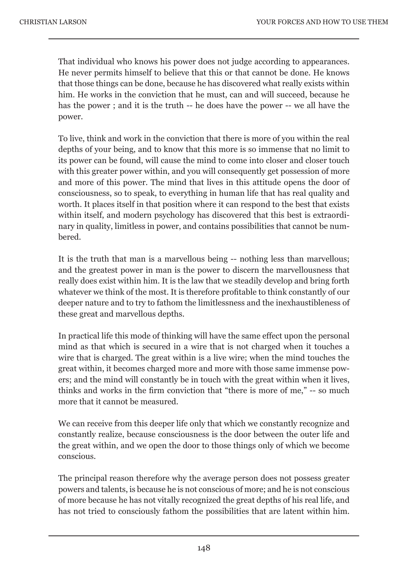That individual who knows his power does not judge according to appearances. He never permits himself to believe that this or that cannot be done. He knows that those things can be done, because he has discovered what really exists within him. He works in the conviction that he must, can and will succeed, because he has the power ; and it is the truth -- he does have the power -- we all have the power.

To live, think and work in the conviction that there is more of you within the real depths of your being, and to know that this more is so immense that no limit to its power can be found, will cause the mind to come into closer and closer touch with this greater power within, and you will consequently get possession of more and more of this power. The mind that lives in this attitude opens the door of consciousness, so to speak, to everything in human life that has real quality and worth. It places itself in that position where it can respond to the best that exists within itself, and modern psychology has discovered that this best is extraordinary in quality, limitless in power, and contains possibilities that cannot be numbered.

It is the truth that man is a marvellous being -- nothing less than marvellous; and the greatest power in man is the power to discern the marvellousness that really does exist within him. It is the law that we steadily develop and bring forth whatever we think of the most. It is therefore profitable to think constantly of our deeper nature and to try to fathom the limitlessness and the inexhaustibleness of these great and marvellous depths.

In practical life this mode of thinking will have the same effect upon the personal mind as that which is secured in a wire that is not charged when it touches a wire that is charged. The great within is a live wire; when the mind touches the great within, it becomes charged more and more with those same immense powers; and the mind will constantly be in touch with the great within when it lives, thinks and works in the firm conviction that "there is more of me," -- so much more that it cannot be measured.

We can receive from this deeper life only that which we constantly recognize and constantly realize, because consciousness is the door between the outer life and the great within, and we open the door to those things only of which we become conscious.

The principal reason therefore why the average person does not possess greater powers and talents, is because he is not conscious of more; and he is not conscious of more because he has not vitally recognized the great depths of his real life, and has not tried to consciously fathom the possibilities that are latent within him.